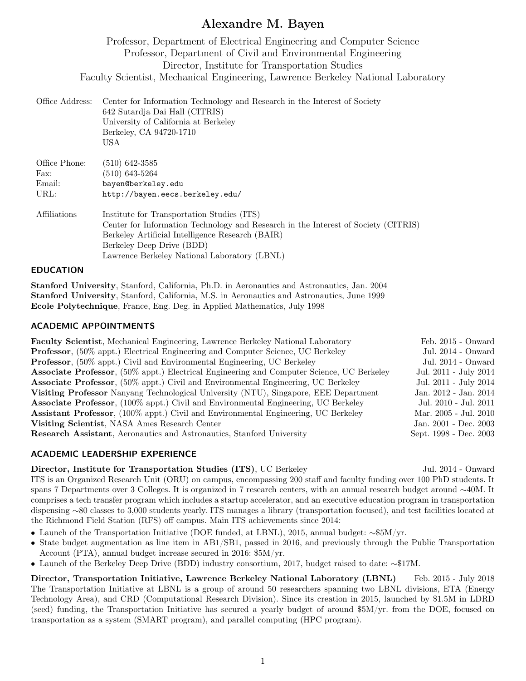# Alexandre M. Bayen

Professor, Department of Electrical Engineering and Computer Science Professor, Department of Civil and Environmental Engineering Director, Institute for Transportation Studies Faculty Scientist, Mechanical Engineering, Lawrence Berkeley National Laboratory

| Office Address:                         | Center for Information Technology and Research in the Interest of Society<br>642 Sutardja Dai Hall (CITRIS)<br>University of California at Berkeley<br>Berkeley, CA 94720-1710<br>USA                                                                             |
|-----------------------------------------|-------------------------------------------------------------------------------------------------------------------------------------------------------------------------------------------------------------------------------------------------------------------|
| Office Phone:<br>Fax:<br>Email:<br>URL: | $(510)$ 642-3585<br>(510) 643-5264<br>bayen@berkeley.edu<br>http://bayen.eecs.berkeley.edu/                                                                                                                                                                       |
| Affiliations                            | Institute for Transportation Studies (ITS)<br>Center for Information Technology and Research in the Interest of Society (CITRIS)<br>Berkeley Artificial Intelligence Research (BAIR)<br>Berkeley Deep Drive (BDD)<br>Lawrence Berkeley National Laboratory (LBNL) |

### EDUCATION

Stanford University, Stanford, California, Ph.D. in Aeronautics and Astronautics, Jan. 2004 Stanford University, Stanford, California, M.S. in Aeronautics and Astronautics, June 1999 Ecole Polytechnique, France, Eng. Deg. in Applied Mathematics, July 1998

## ACADEMIC APPOINTMENTS

| <b>Faculty Scientist</b> , Mechanical Engineering, Lawrence Berkeley National Laboratory          | $Feb. 2015 - Onward)$  |
|---------------------------------------------------------------------------------------------------|------------------------|
| <b>Professor</b> , (50% appt.) Electrical Engineering and Computer Science, UC Berkeley           | Jul. 2014 - Onward     |
| <b>Professor</b> , (50% appt.) Civil and Environmental Engineering, UC Berkeley                   | Jul. 2014 - Onward     |
| <b>Associate Professor</b> , (50% appt.) Electrical Engineering and Computer Science, UC Berkeley | Jul. 2011 - July 2014  |
| <b>Associate Professor</b> , (50% appt.) Civil and Environmental Engineering, UC Berkeley         | Jul. 2011 - July 2014  |
| Visiting Professor Nanyang Technological University (NTU), Singapore, EEE Department              | Jan. 2012 - Jan. 2014  |
| <b>Associate Professor</b> , (100% appt.) Civil and Environmental Engineering, UC Berkeley        | Jul. 2010 - Jul. 2011  |
| <b>Assistant Professor</b> , (100% appt.) Civil and Environmental Engineering, UC Berkeley        | Mar. 2005 - Jul. 2010  |
| Visiting Scientist, NASA Ames Research Center                                                     | Jan. 2001 - Dec. 2003  |
| Research Assistant, Aeronautics and Astronautics, Stanford University                             | Sept. 1998 - Dec. 2003 |
|                                                                                                   |                        |

## ACADEMIC LEADERSHIP EXPERIENCE

## Director, Institute for Transportation Studies (ITS), UC Berkeley Jul. 2014 - Onward

ITS is an Organized Research Unit (ORU) on campus, encompassing 200 staff and faculty funding over 100 PhD students. It spans 7 Departments over 3 Colleges. It is organized in 7 research centers, with an annual research budget around ∼40M. It comprises a tech transfer program which includes a startup accelerator, and an executive education program in transportation dispensing ∼80 classes to 3,000 students yearly. ITS manages a library (transportation focused), and test facilities located at the Richmond Field Station (RFS) off campus. Main ITS achievements since 2014:

- Launch of the Transportation Initiative (DOE funded, at LBNL), 2015, annual budget: ∼\$5M/yr.
- State budget augmentation as line item in AB1/SB1, passed in 2016, and previously through the Public Transportation Account (PTA), annual budget increase secured in 2016: \$5M/yr.
- Launch of the Berkeley Deep Drive (BDD) industry consortium, 2017, budget raised to date: ∼\$17M.

Director, Transportation Initiative, Lawrence Berkeley National Laboratory (LBNL) Feb. 2015 - July 2018 The Transportation Initiative at LBNL is a group of around 50 researchers spanning two LBNL divisions, ETA (Energy Technology Area), and CRD (Computational Research Division). Since its creation in 2015, launched by \$1.5M in LDRD (seed) funding, the Transportation Initiative has secured a yearly budget of around \$5M/yr. from the DOE, focused on transportation as a system (SMART program), and parallel computing (HPC program).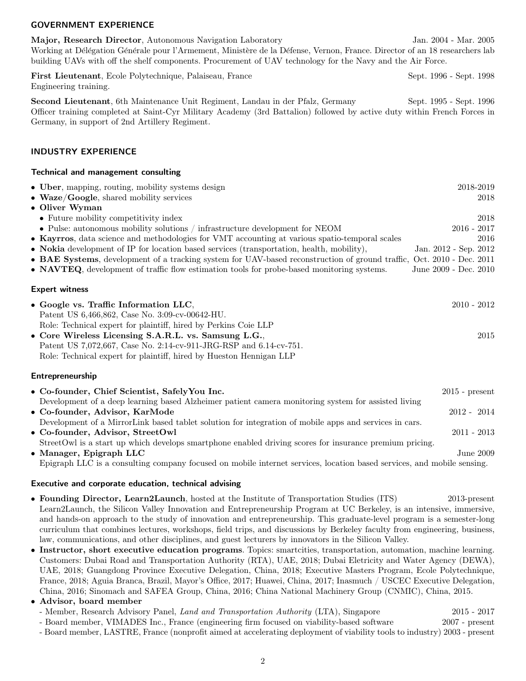### GOVERNMENT EXPERIENCE

Major, Research Director, Autonomous Navigation Laboratory Jan. 2004 - Mar. 2005 Working at Délégation Générale pour l'Armement, Ministère de la Défense, Vernon, France. Director of an 18 researchers lab building UAVs with off the shelf components. Procurement of UAV technology for the Navy and the Air Force.

First Lieutenant, Ecole Polytechnique, Palaiseau, France Sept. 1996 - Sept. 1998 Engineering training.

Second Lieutenant, 6th Maintenance Unit Regiment, Landau in der Pfalz, Germany Sept. 1995 - Sept. 1996 Officer training completed at Saint-Cyr Military Academy (3rd Battalion) followed by active duty within French Forces in Germany, in support of 2nd Artillery Regiment.

### INDUSTRY EXPERIENCE

### Technical and management consulting

| • Uber, mapping, routing, mobility systems design                                                                             | 2018-2019             |
|-------------------------------------------------------------------------------------------------------------------------------|-----------------------|
| $\bullet$ Waze/Google, shared mobility services                                                                               | 2018                  |
| • Oliver Wyman                                                                                                                |                       |
| • Future mobility competitivity index                                                                                         | 2018                  |
| • Pulse: autonomous mobility solutions / infrastructure development for NEOM                                                  | $2016 - 2017$         |
| • Kayrros, data science and methodologies for VMT accounting at various spatio-temporal scales                                | 2016                  |
| • Nokia development of IP for location based services (transportation, health, mobility),                                     | Jan. 2012 - Sep. 2012 |
| • <b>BAE Systems</b> , development of a tracking system for UAV-based reconstruction of ground traffic, Oct. 2010 - Dec. 2011 |                       |
| • NAVTEQ, development of traffic flow estimation tools for probe-based monitoring systems.                                    | June 2009 - Dec. 2010 |
| <b>Expert witness</b>                                                                                                         |                       |
| • Google vs. Traffic Information LLC,                                                                                         | $2010 - 2012$         |
| Patent US 6,466,862, Case No. 3:09-cv-00642-HU.                                                                               |                       |
| Role: Technical expert for plaintiff, hired by Perkins Coie LLP                                                               |                       |
| • Core Wireless Licensing S.A.R.L. vs. Samsung L.G.,                                                                          | 2015                  |
| Patent US 7,072,667, Case No. 2:14-cv-911-JRG-RSP and 6.14-cv-751.                                                            |                       |

Role: Technical expert for plaintiff, hired by Hueston Hennigan LLP

### Entrepreneurship

| • Co-founder, Chief Scientist, Safely You Inc.                                                                                 | $2015$ - present |
|--------------------------------------------------------------------------------------------------------------------------------|------------------|
| Development of a deep learning based Alzheimer patient camera monitoring system for assisted living                            |                  |
| • Co-founder, Advisor, KarMode                                                                                                 | $2012 - 2014$    |
| Development of a Mirror Link based tablet solution for integration of mobile apps and services in cars.                        |                  |
| • Co-founder, Advisor, StreetOwl                                                                                               | $2011 - 2013$    |
| StreetOwl is a start up which develops smartphone enabled driving scores for insurance premium pricing.                        |                  |
| • Manager, Epigraph LLC                                                                                                        | June 2009        |
| $\Gamma$ prigraph IIC is a consulting company focused on mobile internet services, location based services, and mobile sensing |                  |

Epigraph LLC is a consulting company focused on mobile internet services, location based services, and mobile sensing.

### Executive and corporate education, technical advising

- Founding Director, Learn2Launch, hosted at the Institute of Transportation Studies (ITS) 2013-present Learn2Launch, the Silicon Valley Innovation and Entrepreneurship Program at UC Berkeley, is an intensive, immersive, and hands-on approach to the study of innovation and entrepreneurship. This graduate-level program is a semester-long curriculum that combines lectures, workshops, field trips, and discussions by Berkeley faculty from engineering, business, law, communications, and other disciplines, and guest lecturers by innovators in the Silicon Valley.
- Instructor, short executive education programs. Topics: smartcities, transportation, automation, machine learning. Customers: Dubai Road and Transportation Authority (RTA), UAE, 2018; Dubai Eletricity and Water Agency (DEWA), UAE, 2018; Guangdong Province Executive Delegation, China, 2018; Executive Masters Program, Ecole Polytechnique, France, 2018; Aguia Branca, Brazil, Mayor's Office, 2017; Huawei, China, 2017; Inasmuch / USCEC Executive Delegation, China, 2016; Sinomach and SAFEA Group, China, 2016; China National Machinery Group (CNMIC), China, 2015.

## • Advisor, board member

- Member, Research Advisory Panel, Land and Transportation Authority (LTA), Singapore 2015 - 2017 - Board member, VIMADES Inc., France (engineering firm focused on viability-based software 2007 - present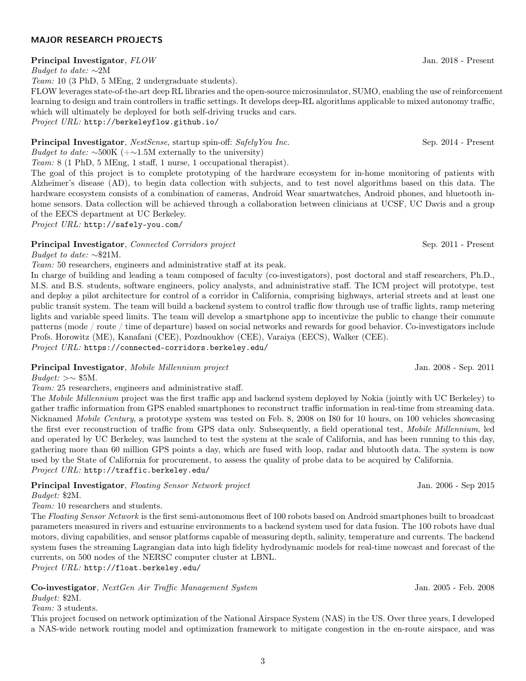## 3

# MAJOR RESEARCH PROJECTS

## Principal Investigator,  $FLOW$  Jan. 2018 - Present

Budget to date:  $~\sim$ 2M

Team: 10 (3 PhD, 5 MEng, 2 undergraduate students).

FLOW leverages state-of-the-art deep RL libraries and the open-source microsimulator, SUMO, enabling the use of reinforcement learning to design and train controllers in traffic settings. It develops deep-RL algorithms applicable to mixed autonomy traffic, which will ultimately be deployed for both self-driving trucks and cars.

Project URL: http://berkeleyflow.github.io/

**Principal Investigator**, NestSense, startup spin-off: SafelyYou Inc. Sep. 2014 - Present *Budget to date:*  $\sim$ 500K (+ $\sim$ 1.5M externally to the university)

Team: 8 (1 PhD, 5 MEng, 1 staff, 1 nurse, 1 occupational therapist).

The goal of this project is to complete prototyping of the hardware ecosystem for in-home monitoring of patients with Alzheimer's disease (AD), to begin data collection with subjects, and to test novel algorithms based on this data. The hardware ecosystem consists of a combination of cameras, Android Wear smartwatches, Android phones, and bluetooth inhome sensors. Data collection will be achieved through a collaboration between clinicians at UCSF, UC Davis and a group of the EECS department at UC Berkeley.

Project URL: http://safely-you.com/

# **Principal Investigator**, *Connected Corridors project* Sep. 2011 - Present

Budget to date:  $\sim$ \$21M.

Team: 50 researchers, engineers and administrative staff at its peak.

In charge of building and leading a team composed of faculty (co-investigators), post doctoral and staff researchers, Ph.D., M.S. and B.S. students, software engineers, policy analysts, and administrative staff. The ICM project will prototype, test and deploy a pilot architecture for control of a corridor in California, comprising highways, arterial streets and at least one public transit system. The team will build a backend system to control traffic flow through use of traffic lights, ramp metering lights and variable speed limits. The team will develop a smartphone app to incentivize the public to change their commute patterns (mode / route / time of departure) based on social networks and rewards for good behavior. Co-investigators include Profs. Horowitz (ME), Kanafani (CEE), Pozdnoukhov (CEE), Varaiya (EECS), Walker (CEE). Project URL: https://connected-corridors.berkeley.edu/

# Principal Investigator, Mobile Millennium project Jan. 2008 - Sep. 2011

 $Budqet: \gt\sim $5M$ .

Team: 25 researchers, engineers and administrative staff.

The Mobile Millennium project was the first traffic app and backend system deployed by Nokia (jointly with UC Berkeley) to gather traffic information from GPS enabled smartphones to reconstruct traffic information in real-time from streaming data. Nicknamed Mobile Century, a prototype system was tested on Feb. 8, 2008 on I80 for 10 hours, on 100 vehicles showcasing the first ever reconstruction of traffic from GPS data only. Subsequently, a field operational test, *Mobile Millennium*, led and operated by UC Berkeley, was launched to test the system at the scale of California, and has been running to this day, gathering more than 60 million GPS points a day, which are fused with loop, radar and blutooth data. The system is now used by the State of California for procurement, to assess the quality of probe data to be acquired by California. Project URL: http://traffic.berkeley.edu/

**Principal Investigator**, Floating Sensor Network project Jan. 2006 - Sep 2015

Budget: \$2M.

Team: 10 researchers and students.

The Floating Sensor Network is the first semi-autonomous fleet of 100 robots based on Android smartphones built to broadcast parameters measured in rivers and estuarine environments to a backend system used for data fusion. The 100 robots have dual motors, diving capabilities, and sensor platforms capable of measuring depth, salinity, temperature and currents. The backend system fuses the streaming Lagrangian data into high fidelity hydrodynamic models for real-time nowcast and forecast of the currents, on 500 nodes of the NERSC computer cluster at LBNL.

Project URL: http://float.berkeley.edu/

Co-investigator, *NextGen Air Traffic Management System* Jan. 2005 - Feb. 2008 Budget: \$2M.

Team: 3 students.

This project focused on network optimization of the National Airspace System (NAS) in the US. Over three years, I developed a NAS-wide network routing model and optimization framework to mitigate congestion in the en-route airspace, and was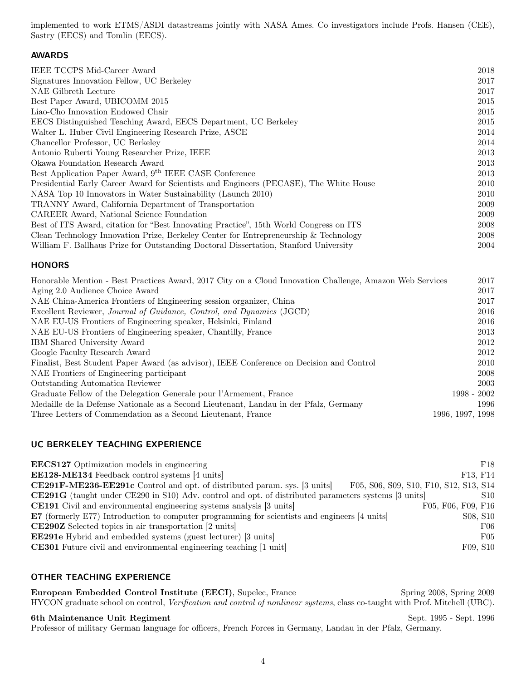implemented to work ETMS/ASDI datastreams jointly with NASA Ames. Co investigators include Profs. Hansen (CEE), Sastry (EECS) and Tomlin (EECS).

## AWARDS

| <b>IEEE TCCPS Mid-Career Award</b>                                                     | 2018 |
|----------------------------------------------------------------------------------------|------|
| Signatures Innovation Fellow, UC Berkeley                                              | 2017 |
| NAE Gilbreth Lecture                                                                   | 2017 |
| Best Paper Award, UBICOMM 2015                                                         | 2015 |
| Liao-Cho Innovation Endowed Chair                                                      | 2015 |
| EECS Distinguished Teaching Award, EECS Department, UC Berkeley                        | 2015 |
| Walter L. Huber Civil Engineering Research Prize, ASCE                                 | 2014 |
| Chancellor Professor, UC Berkeley                                                      | 2014 |
| Antonio Ruberti Young Researcher Prize, IEEE                                           | 2013 |
| Okawa Foundation Research Award                                                        | 2013 |
| Best Application Paper Award, 9 <sup>th</sup> IEEE CASE Conference                     | 2013 |
| Presidential Early Career Award for Scientists and Engineers (PECASE), The White House | 2010 |
| NASA Top 10 Innovators in Water Sustainability (Launch 2010)                           | 2010 |
| TRANNY Award, California Department of Transportation                                  | 2009 |
| CAREER Award, National Science Foundation                                              | 2009 |
| Best of ITS Award, citation for "Best Innovating Practice", 15th World Congress on ITS | 2008 |
| Clean Technology Innovation Prize, Berkeley Center for Entrepreneurship & Technology   | 2008 |
| William F. Ballhaus Prize for Outstanding Doctoral Dissertation, Stanford University   | 2004 |
|                                                                                        |      |

### **HONORS**

| Honorable Mention - Best Practices Award, 2017 City on a Cloud Innovation Challenge, Amazon Web Services | 2017             |
|----------------------------------------------------------------------------------------------------------|------------------|
| Aging 2.0 Audience Choice Award                                                                          | 2017             |
| NAE China-America Frontiers of Engineering session organizer, China                                      | 2017             |
| Excellent Reviewer, Journal of Guidance, Control, and Dynamics (JGCD)                                    | 2016             |
| NAE EU-US Frontiers of Engineering speaker, Helsinki, Finland                                            | 2016             |
| NAE EU-US Frontiers of Engineering speaker, Chantilly, France                                            | 2013             |
| IBM Shared University Award                                                                              | 2012             |
| Google Faculty Research Award                                                                            | 2012             |
| Finalist, Best Student Paper Award (as advisor), IEEE Conference on Decision and Control                 | 2010             |
| NAE Frontiers of Engineering participant                                                                 | 2008             |
| Outstanding Automatica Reviewer                                                                          | 2003             |
| Graduate Fellow of the Delegation Generale pour l'Armement, France                                       | $1998 - 2002$    |
| Medaille de la Defense Nationale as a Second Lieutenant, Landau in der Pfalz, Germany                    | 1996             |
| Three Letters of Commendation as a Second Lieutenant, France                                             | 1996, 1997, 1998 |
|                                                                                                          |                  |

## UC BERKELEY TEACHING EXPERIENCE

| <b>EECS127</b> Optimization models in engineering                                                           | F18                                    |
|-------------------------------------------------------------------------------------------------------------|----------------------------------------|
| <b>EE128-ME134</b> Feedback control systems [4 units]                                                       | F13, F14                               |
| CE291F-ME236-EE291c Control and opt. of distributed param. sys. [3 units]                                   | F05, S06, S09, S10, F10, S12, S13, S14 |
| <b>CE291G</b> (taught under CE290 in S10) Adv. control and opt. of distributed parameters systems [3 units] | S <sub>10</sub>                        |
| <b>CE191</b> Civil and environmental engineering systems analysis [3 units]                                 | F05, F06, F09, F16                     |
| <b>E7</b> (formerly E77) Introduction to computer programming for scientists and engineers [4 units]        | S <sub>08</sub> , S <sub>10</sub>      |
| <b>CE290Z</b> Selected topics in air transportation [2 units]                                               | F06                                    |
| <b>EE291e</b> Hybrid and embedded systems (guest lecturer) [3 units]                                        | F05                                    |
| <b>CE301</b> Future civil and environmental engineering teaching [1 unit]                                   | F09, S10                               |

## OTHER TEACHING EXPERIENCE

European Embedded Control Institute (EECI), Supelec, France Spring 2008, Spring 2009 HYCON graduate school on control, Verification and control of nonlinear systems, class co-taught with Prof. Mitchell (UBC).

## 6th Maintenance Unit Regiment Sept. 1995 - Sept. 1996

Professor of military German language for officers, French Forces in Germany, Landau in der Pfalz, Germany.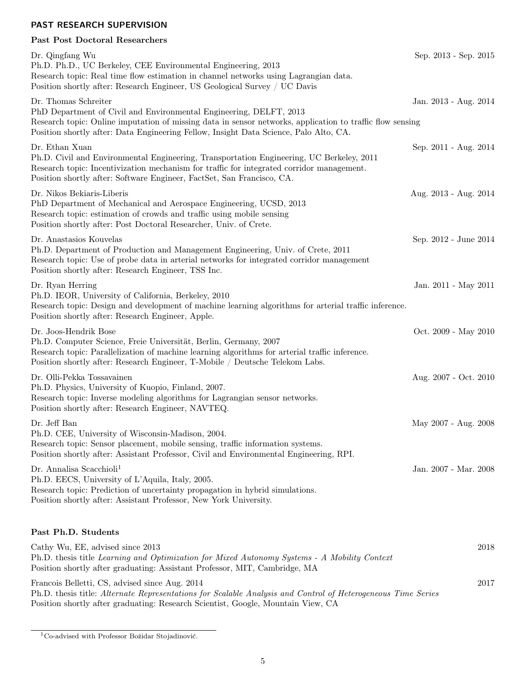## PAST RESEARCH SUPERVISION

## Past Post Doctoral Researchers

| Dr. Qingfang Wu<br>Ph.D. Ph.D., UC Berkeley, CEE Environmental Engineering, 2013<br>Research topic: Real time flow estimation in channel networks using Lagrangian data.<br>Position shortly after: Research Engineer, US Geological Survey / UC Davis                                           | Sep. 2013 - Sep. 2015 |
|--------------------------------------------------------------------------------------------------------------------------------------------------------------------------------------------------------------------------------------------------------------------------------------------------|-----------------------|
| Dr. Thomas Schreiter<br>PhD Department of Civil and Environmental Engineering, DELFT, 2013<br>Research topic: Online imputation of missing data in sensor networks, application to traffic flow sensing<br>Position shortly after: Data Engineering Fellow, Insight Data Science, Palo Alto, CA. | Jan. 2013 - Aug. 2014 |
| Dr. Ethan Xuan<br>Ph.D. Civil and Environmental Engineering, Transportation Engineering, UC Berkeley, 2011<br>Research topic: Incentivization mechanism for traffic for integrated corridor management.<br>Position shortly after: Software Engineer, FactSet, San Francisco, CA.                | Sep. 2011 - Aug. 2014 |
| Dr. Nikos Bekiaris-Liberis<br>PhD Department of Mechanical and Aerospace Engineering, UCSD, 2013<br>Research topic: estimation of crowds and traffic using mobile sensing<br>Position shortly after: Post Doctoral Researcher, Univ. of Crete.                                                   | Aug. 2013 - Aug. 2014 |
| Dr. Anastasios Kouvelas<br>Ph.D. Department of Production and Management Engineering, Univ. of Crete, 2011<br>Research topic: Use of probe data in arterial networks for integrated corridor management<br>Position shortly after: Research Engineer, TSS Inc.                                   | Sep. 2012 - June 2014 |
| Dr. Ryan Herring<br>Ph.D. IEOR, University of California, Berkeley, 2010<br>Research topic: Design and development of machine learning algorithms for arterial traffic inference.<br>Position shortly after: Research Engineer, Apple.                                                           | Jan. 2011 - May 2011  |
| Dr. Joos-Hendrik Bose<br>Ph.D. Computer Science, Freie Universität, Berlin, Germany, 2007<br>Research topic: Parallelization of machine learning algorithms for arterial traffic inference.<br>Position shortly after: Research Engineer, T-Mobile / Deutsche Telekom Labs.                      | Oct. 2009 - May 2010  |
| Dr. Olli-Pekka Tossavainen<br>Ph.D. Physics, University of Kuopio, Finland, 2007.<br>Research topic: Inverse modeling algorithms for Lagrangian sensor networks.<br>Position shortly after: Research Engineer, NAVTEQ.                                                                           | Aug. 2007 - Oct. 2010 |
| Dr. Jeff Ban<br>Ph.D. CEE, University of Wisconsin-Madison, 2004.<br>Research topic: Sensor placement, mobile sensing, traffic information systems.<br>Position shortly after: Assistant Professor, Civil and Environmental Engineering, RPI.                                                    | May 2007 - Aug. 2008  |
| Dr. Annalisa Scacchioli <sup>1</sup><br>Ph.D. EECS, University of L'Aquila, Italy, 2005.<br>Research topic: Prediction of uncertainty propagation in hybrid simulations.<br>Position shortly after: Assistant Professor, New York University.                                                    | Jan. 2007 - Mar. 2008 |
| Past Ph.D. Students                                                                                                                                                                                                                                                                              |                       |
| Cathy Wu, EE, advised since 2013<br>Ph.D. thesis title Learning and Optimization for Mixed Autonomy Systems - A Mobility Context<br>Position shortly after graduating: Assistant Professor, MIT, Cambridge, MA                                                                                   | 2018                  |
| Francois Belletti, CS, advised since Aug. 2014<br>Ph.D. thesis title: Alternate Representations for Scalable Analysis and Control of Heterogeneous Time Series<br>Position shortly after graduating: Research Scientist, Google, Mountain View, CA                                               | 2017                  |

 $\rm ^1Co\text{-}advised$  with Professor Božidar Stojadinović.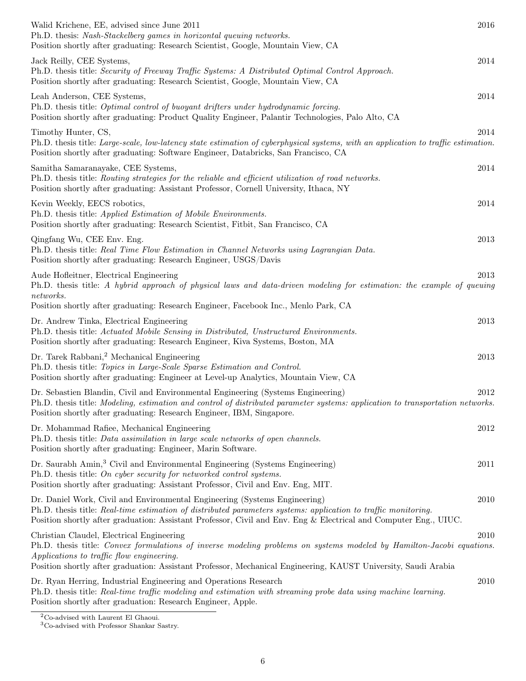| 2016<br>Walid Krichene, EE, advised since June 2011<br>Ph.D. thesis: Nash-Stackelberg games in horizontal queuing networks.<br>Position shortly after graduating: Research Scientist, Google, Mountain View, CA                                                                                                                           |  |
|-------------------------------------------------------------------------------------------------------------------------------------------------------------------------------------------------------------------------------------------------------------------------------------------------------------------------------------------|--|
| Jack Reilly, CEE Systems,<br>2014<br>Ph.D. thesis title: Security of Freeway Traffic Systems: A Distributed Optimal Control Approach.<br>Position shortly after graduating: Research Scientist, Google, Mountain View, CA                                                                                                                 |  |
| 2014<br>Leah Anderson, CEE Systems,<br>Ph.D. thesis title: Optimal control of buoyant drifters under hydrodynamic forcing.<br>Position shortly after graduating: Product Quality Engineer, Palantir Technologies, Palo Alto, CA                                                                                                           |  |
| 2014<br>Timothy Hunter, CS,<br>Ph.D. thesis title: Large-scale, low-latency state estimation of cyberphysical systems, with an application to traffic estimation.<br>Position shortly after graduating: Software Engineer, Databricks, San Francisco, CA                                                                                  |  |
| Samitha Samaranayake, CEE Systems,<br>2014<br>Ph.D. thesis title: Routing strategies for the reliable and efficient utilization of road networks.<br>Position shortly after graduating: Assistant Professor, Cornell University, Ithaca, NY                                                                                               |  |
| Kevin Weekly, EECS robotics,<br>2014<br>Ph.D. thesis title: Applied Estimation of Mobile Environments.<br>Position shortly after graduating: Research Scientist, Fitbit, San Francisco, CA                                                                                                                                                |  |
| 2013<br>Qingfang Wu, CEE Env. Eng.<br>Ph.D. thesis title: Real Time Flow Estimation in Channel Networks using Lagrangian Data.<br>Position shortly after graduating: Research Engineer, USGS/Davis                                                                                                                                        |  |
| 2013<br>Aude Hofleitner, Electrical Engineering<br>Ph.D. thesis title: A hybrid approach of physical laws and data-driven modeling for estimation: the example of queuing<br>networks.<br>Position shortly after graduating: Research Engineer, Facebook Inc., Menlo Park, CA                                                             |  |
| Dr. Andrew Tinka, Electrical Engineering<br>2013<br>Ph.D. thesis title: Actuated Mobile Sensing in Distributed, Unstructured Environments.<br>Position shortly after graduating: Research Engineer, Kiva Systems, Boston, MA                                                                                                              |  |
| Dr. Tarek Rabbani, <sup>2</sup> Mechanical Engineering<br>2013<br>Ph.D. thesis title: Topics in Large-Scale Sparse Estimation and Control.<br>Position shortly after graduating: Engineer at Level-up Analytics, Mountain View, CA                                                                                                        |  |
| 2012<br>Dr. Sebastien Blandin, Civil and Environmental Engineering (Systems Engineering)<br>Ph.D. thesis title: Modeling, estimation and control of distributed parameter systems: application to transportation networks.<br>Position shortly after graduating: Research Engineer, IBM, Singapore.                                       |  |
| Dr. Mohammad Rafiee, Mechanical Engineering<br>2012<br>Ph.D. thesis title: Data assimilation in large scale networks of open channels.<br>Position shortly after graduating: Engineer, Marin Software.                                                                                                                                    |  |
| Dr. Saurabh Amin, <sup>3</sup> Civil and Environmental Engineering (Systems Engineering)<br>2011<br>Ph.D. thesis title: On cyber security for networked control systems.<br>Position shortly after graduating: Assistant Professor, Civil and Env. Eng, MIT.                                                                              |  |
| Dr. Daniel Work, Civil and Environmental Engineering (Systems Engineering)<br>2010<br>Ph.D. thesis title: Real-time estimation of distributed parameters systems: application to traffic monitoring.<br>Position shortly after graduation: Assistant Professor, Civil and Env. Eng & Electrical and Computer Eng., UIUC.                  |  |
| 2010<br>Christian Claudel, Electrical Engineering<br>Ph.D. thesis title: Convex formulations of inverse modeling problems on systems modeled by Hamilton-Jacobi equations.<br>Applications to traffic flow engineering.<br>Position shortly after graduation: Assistant Professor, Mechanical Engineering, KAUST University, Saudi Arabia |  |
| Dr. Ryan Herring, Industrial Engineering and Operations Research<br>2010<br>Ph.D. thesis title: Real-time traffic modeling and estimation with streaming probe data using machine learning.<br>Position shortly after graduation: Research Engineer, Apple.                                                                               |  |

<sup>2</sup>Co-advised with Laurent El Ghaoui.

<sup>3</sup>Co-advised with Professor Shankar Sastry.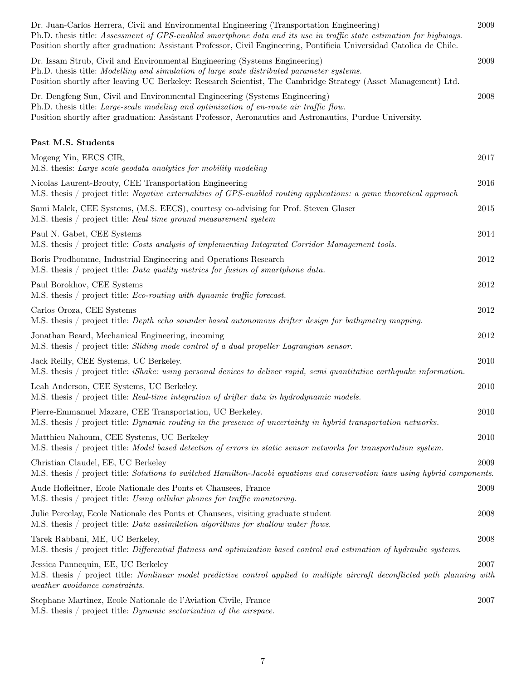| Dr. Juan-Carlos Herrera, Civil and Environmental Engineering (Transportation Engineering)<br>Ph.D. thesis title: Assessment of GPS-enabled smartphone data and its use in traffic state estimation for highways.<br>Position shortly after graduation: Assistant Professor, Civil Engineering, Pontificia Universidad Catolica de Chile. | 2009     |
|------------------------------------------------------------------------------------------------------------------------------------------------------------------------------------------------------------------------------------------------------------------------------------------------------------------------------------------|----------|
| Dr. Issam Strub, Civil and Environmental Engineering (Systems Engineering)<br>Ph.D. thesis title: Modelling and simulation of large scale distributed parameter systems.<br>Position shortly after leaving UC Berkeley: Research Scientist, The Cambridge Strategy (Asset Management) Ltd.                                               | 2009     |
| Dr. Dengfeng Sun, Civil and Environmental Engineering (Systems Engineering)<br>Ph.D. thesis title: Large-scale modeling and optimization of en-route air traffic flow.<br>Position shortly after graduation: Assistant Professor, Aeronautics and Astronautics, Purdue University.                                                       | 2008     |
| Past M.S. Students                                                                                                                                                                                                                                                                                                                       |          |
| Mogeng Yin, EECS CIR,<br>M.S. thesis: Large scale geodata analytics for mobility modeling                                                                                                                                                                                                                                                | 2017     |
| Nicolas Laurent-Brouty, CEE Transportation Engineering<br>M.S. thesis / project title: Negative externalities of GPS-enabled routing applications: a game theoretical approach                                                                                                                                                           | 2016     |
| Sami Malek, CEE Systems, (M.S. EECS), courtesy co-advising for Prof. Steven Glaser<br>M.S. thesis / project title: Real time ground measurement system                                                                                                                                                                                   | 2015     |
| Paul N. Gabet, CEE Systems<br>M.S. thesis / project title: Costs analysis of implementing Integrated Corridor Management tools.                                                                                                                                                                                                          | 2014     |
| Boris Prodhomme, Industrial Engineering and Operations Research<br>M.S. thesis / project title: Data quality metrics for fusion of smartphone data.                                                                                                                                                                                      | 2012     |
| Paul Borokhov, CEE Systems<br>M.S. thesis / project title: <i>Eco-routing with dynamic traffic forecast</i> .                                                                                                                                                                                                                            | 2012     |
| Carlos Oroza, CEE Systems<br>M.S. thesis / project title: Depth echo sounder based autonomous drifter design for bathymetry mapping.                                                                                                                                                                                                     | 2012     |
| Jonathan Beard, Mechanical Engineering, incoming<br>M.S. thesis / project title: Sliding mode control of a dual propeller Lagrangian sensor.                                                                                                                                                                                             | 2012     |
| Jack Reilly, CEE Systems, UC Berkeley.<br>M.S. thesis / project title: <i>iShake: using personal devices to deliver rapid, semi quantitative earthquake information</i> .                                                                                                                                                                | 2010     |
| Leah Anderson, CEE Systems, UC Berkeley.<br>M.S. thesis / project title: Real-time integration of drifter data in hydrodynamic models.                                                                                                                                                                                                   | 2010     |
| Pierre-Emmanuel Mazare, CEE Transportation, UC Berkeley.<br>M.S. thesis / project title: Dynamic routing in the presence of uncertainty in hybrid transportation networks.                                                                                                                                                               | 2010     |
| Matthieu Nahoum, CEE Systems, UC Berkeley<br>M.S. thesis / project title: Model based detection of errors in static sensor networks for transportation system.                                                                                                                                                                           | $2010\,$ |
| Christian Claudel, EE, UC Berkeley<br>M.S. thesis / project title: Solutions to switched Hamilton-Jacobi equations and conservation laws using hybrid components.                                                                                                                                                                        | 2009     |
| Aude Hoffeitner, Ecole Nationale des Ponts et Chausees, France<br>M.S. thesis / project title: Using cellular phones for traffic monitoring.                                                                                                                                                                                             | 2009     |
| Julie Percelay, Ecole Nationale des Ponts et Chausees, visiting graduate student<br>M.S. thesis / project title: Data assimilation algorithms for shallow water flows.                                                                                                                                                                   | 2008     |
| Tarek Rabbani, ME, UC Berkeley,<br>M.S. thesis / project title: Differential flatness and optimization based control and estimation of hydraulic systems.                                                                                                                                                                                | 2008     |
| Jessica Pannequin, EE, UC Berkeley<br>M.S. thesis / project title: Nonlinear model predictive control applied to multiple aircraft deconflicted path planning with<br>weather avoidance constraints.                                                                                                                                     | 2007     |
| Stephane Martinez, Ecole Nationale de l'Aviation Civile, France<br>M.S. thesis / project title: <i>Dynamic sectorization of the airspace</i> .                                                                                                                                                                                           | 2007     |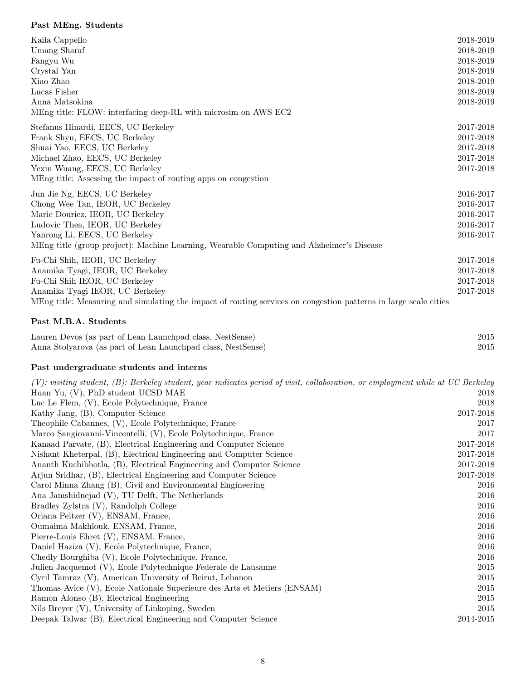# Past MEng. Students

| Kaila Cappello                                                                                                   | 2018-2019 |
|------------------------------------------------------------------------------------------------------------------|-----------|
| Umang Sharaf                                                                                                     | 2018-2019 |
| Fangyu Wu                                                                                                        | 2018-2019 |
| Crystal Yan                                                                                                      | 2018-2019 |
| Xiao Zhao                                                                                                        | 2018-2019 |
| Lucas Fisher                                                                                                     | 2018-2019 |
| Anna Matsokina                                                                                                   | 2018-2019 |
| MEng title: FLOW: interfacing deep-RL with microsim on AWS EC2                                                   |           |
| Stefanus Hinardi, EECS, UC Berkeley                                                                              | 2017-2018 |
| Frank Shyu, EECS, UC Berkeley                                                                                    | 2017-2018 |
| Shuai Yao, EECS, UC Berkeley                                                                                     | 2017-2018 |
| Michael Zhao, EECS, UC Berkeley                                                                                  | 2017-2018 |
| Yexin Wuang, EECS, UC Berkeley                                                                                   | 2017-2018 |
| MEng title: Assessing the impact of routing apps on congestion                                                   |           |
| Jun Jie Ng, EECS, UC Berkeley                                                                                    | 2016-2017 |
| Chong Wee Tan, IEOR, UC Berkeley                                                                                 | 2016-2017 |
| Marie Douriez, IEOR, UC Berkeley                                                                                 | 2016-2017 |
| Ludovic Thea, IEOR, UC Berkeley                                                                                  | 2016-2017 |
| Yanrong Li, EECS, UC Berkeley                                                                                    | 2016-2017 |
| MEng title (group project): Machine Learning, Wearable Computing and Alzheimer's Disease                         |           |
| Fu-Chi Shih, IEOR, UC Berkeley                                                                                   | 2017-2018 |
| Anamika Tyagi, IEOR, UC Berkeley                                                                                 | 2017-2018 |
| Fu-Chi Shih IEOR, UC Berkeley                                                                                    | 2017-2018 |
| Anamika Tyagi IEOR, UC Berkeley                                                                                  | 2017-2018 |
| MEng title: Measuring and simulating the impact of routing services on congestion patterns in large scale cities |           |

## Past M.B.A. Students

| Lauren Devos (as part of Lean Launchpad class, NestSense)    | 2015 |
|--------------------------------------------------------------|------|
| Anna Stolyarova (as part of Lean Launchpad class, NestSense) | 2015 |

# Past undergraduate students and interns

| (V): visiting student, (B): Berkeley student, year indicates period of visit, collaboration, or employment while at UC Berkeley |           |
|---------------------------------------------------------------------------------------------------------------------------------|-----------|
| Huan Yu, (V), PhD student UCSD MAE                                                                                              | 2018      |
| Luc Le Flem, (V), Ecole Polytechnique, France                                                                                   | 2018      |
| Kathy Jang, (B), Computer Science                                                                                               | 2017-2018 |
| Theophile Cabannes, (V), Ecole Polytechnique, France                                                                            | 2017      |
| Marco Sangiovanni-Vincentelli, (V), Ecole Polytechnique, France                                                                 | 2017      |
| Kanaad Parvate, (B), Electrical Engineering and Computer Science                                                                | 2017-2018 |
| Nishant Kheterpal, (B), Electrical Engineering and Computer Science                                                             | 2017-2018 |
| Ananth Kuchibhotla, (B), Electrical Engineering and Computer Science                                                            | 2017-2018 |
| Arjun Sridhar, (B), Electrical Engineering and Computer Science                                                                 | 2017-2018 |
| Carol Minna Zhang (B), Civil and Environmental Engineering                                                                      | 2016      |
| Ana Jamshidnejad (V), TU Delft, The Netherlands                                                                                 | 2016      |
| Bradley Zylstra (V), Randolph College                                                                                           | 2016      |
| Oriana Peltzer (V), ENSAM, France,                                                                                              | 2016      |
| Oumaima Makhlouk, ENSAM, France,                                                                                                | 2016      |
| Pierre-Louis Ehret (V), ENSAM, France,                                                                                          | 2016      |
| Daniel Haziza (V), Ecole Polytechnique, France,                                                                                 | 2016      |
| Chedly Bourghiba (V), Ecole Polytechnique, France,                                                                              | 2016      |
| Julien Jacquemot (V), Ecole Polytechnique Federale de Lausanne                                                                  | 2015      |
| Cyril Tamraz (V), American University of Beirut, Lebanon                                                                        | 2015      |
| Thomas Avice (V), Ecole Nationale Superieure des Arts et Metiers (ENSAM)                                                        | 2015      |
| Ramon Alonso (B), Electrical Engineering                                                                                        | 2015      |
| Nils Breyer (V), University of Linkoping, Sweden                                                                                | 2015      |
| Deepak Talwar (B), Electrical Engineering and Computer Science                                                                  | 2014-2015 |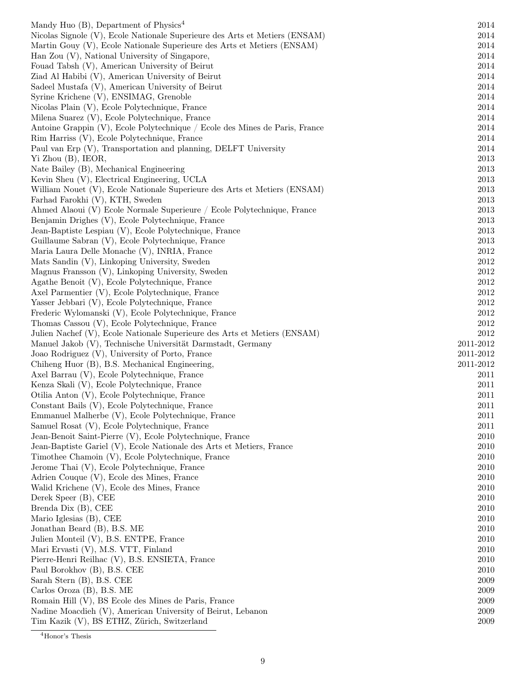| Mandy Huo $(B)$ , Department of Physics <sup>4</sup>                        | 2014      |
|-----------------------------------------------------------------------------|-----------|
| Nicolas Signole (V), Ecole Nationale Superieure des Arts et Metiers (ENSAM) | 2014      |
| Martin Gouy (V), Ecole Nationale Superieure des Arts et Metiers (ENSAM)     | 2014      |
| Han Zou (V), National University of Singapore,                              | 2014      |
| Fouad Tabsh (V), American University of Beirut                              | 2014      |
| Ziad Al Habibi (V), American University of Beirut                           | 2014      |
| Sadeel Mustafa (V), American University of Beirut                           | 2014      |
| Syrine Krichene (V), ENSIMAG, Grenoble                                      | 2014      |
| Nicolas Plain (V), Ecole Polytechnique, France                              | 2014      |
| Milena Suarez (V), Ecole Polytechnique, France                              | 2014      |
| Antoine Grappin (V), Ecole Polytechnique / Ecole des Mines de Paris, France | 2014      |
|                                                                             |           |
| Rim Harriss (V), Ecole Polytechnique, France                                | 2014      |
| Paul van Erp (V), Transportation and planning, DELFT University             | 2014      |
| Yi Zhou (B), IEOR,                                                          | 2013      |
| Nate Bailey (B), Mechanical Engineering                                     | 2013      |
| Kevin Sheu (V), Electrical Engineering, UCLA                                | 2013      |
| William Nouet (V), Ecole Nationale Superieure des Arts et Metiers (ENSAM)   | 2013      |
| Farhad Farokhi (V), KTH, Sweden                                             | 2013      |
| Ahmed Alaoui (V) Ecole Normale Superieure / Ecole Polytechnique, France     | 2013      |
| Benjamin Drighes (V), Ecole Polytechnique, France                           | 2013      |
| Jean-Baptiste Lespiau (V), Ecole Polytechnique, France                      | 2013      |
| Guillaume Sabran (V), Ecole Polytechnique, France                           | 2013      |
| Maria Laura Delle Monache (V), INRIA, France                                | 2012      |
| Mats Sandin (V), Linkoping University, Sweden                               | 2012      |
| Magnus Fransson (V), Linkoping University, Sweden                           | 2012      |
| Agathe Benoit (V), Ecole Polytechnique, France                              | 2012      |
| Axel Parmentier (V), Ecole Polytechnique, France                            | 2012      |
| Yasser Jebbari (V), Ecole Polytechnique, France                             | 2012      |
| Frederic Wylomanski (V), Ecole Polytechnique, France                        | 2012      |
| Thomas Cassou (V), Ecole Polytechnique, France                              | 2012      |
| Julien Nachef (V), Ecole Nationale Superieure des Arts et Metiers (ENSAM)   | 2012      |
| Manuel Jakob (V), Technische Universität Darmstadt, Germany                 | 2011-2012 |
| Joao Rodriguez (V), University of Porto, France                             | 2011-2012 |
| Chiheng Huor (B), B.S. Mechanical Engineering,                              | 2011-2012 |
| Axel Barrau (V), Ecole Polytechnique, France                                | 2011      |
| Kenza Skali (V), Ecole Polytechnique, France                                | 2011      |
| Otilia Anton (V), Ecole Polytechnique, France                               | 2011      |
| Constant Bails (V), Ecole Polytechnique, France                             | $2011\,$  |
| Emmanuel Malherbe (V), Ecole Polytechnique, France                          | 2011      |
| Samuel Rosat (V), Ecole Polytechnique, France                               | 2011      |
| Jean-Benoit Saint-Pierre (V), Ecole Polytechnique, France                   | 2010      |
| Jean-Baptiste Gariel (V), Ecole Nationale des Arts et Metiers, France       | 2010      |
| Timothee Chamoin (V), Ecole Polytechnique, France                           | 2010      |
| Jerome Thai (V), Ecole Polytechnique, France                                | 2010      |
| Adrien Couque (V), Ecole des Mines, France                                  | 2010      |
| Walid Krichene (V), Ecole des Mines, France                                 | 2010      |
| Derek Speer (B), CEE                                                        | 2010      |
| Brenda Dix (B), CEE                                                         | 2010      |
| Mario Iglesias (B), CEE                                                     | 2010      |
| Jonathan Beard (B), B.S. ME                                                 | 2010      |
| Julien Monteil (V), B.S. ENTPE, France                                      | 2010      |
| Mari Ervasti (V), M.S. VTT, Finland                                         | 2010      |
| Pierre-Henri Reilhac (V), B.S. ENSIETA, France                              | 2010      |
| Paul Borokhov (B), B.S. CEE                                                 | 2010      |
| Sarah Stern (B), B.S. CEE                                                   | 2009      |
| Carlos Oroza (B), B.S. ME                                                   | 2009      |
| Romain Hill (V), BS Ecole des Mines de Paris, France                        | 2009      |
| Nadine Moacdieh (V), American University of Beirut, Lebanon                 | 2009      |
|                                                                             |           |
| Tim Kazik (V), BS ETHZ, Zürich, Switzerland                                 | 2009      |

 $\overline{{}^4{\rm Honor's}}$  Thesis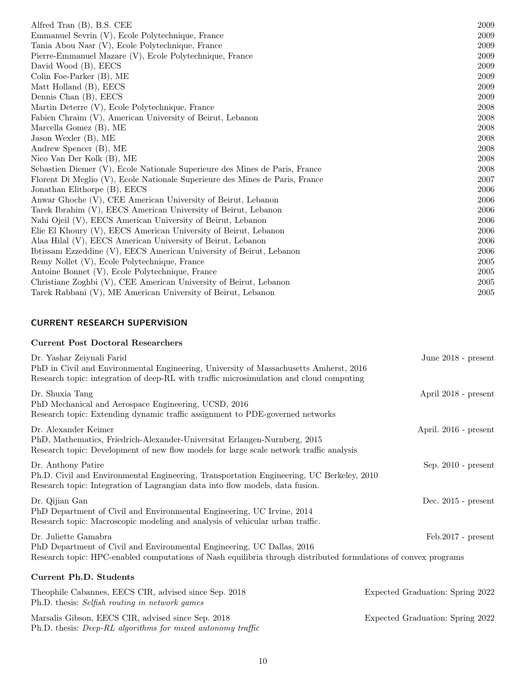| Alfred Tran (B), B.S. CEE                                                    | 2009 |
|------------------------------------------------------------------------------|------|
| Emmanuel Sevrin (V), Ecole Polytechnique, France                             | 2009 |
| Tania Abou Nasr (V), Ecole Polytechnique, France                             | 2009 |
| Pierre-Emmanuel Mazare (V), Ecole Polytechnique, France                      | 2009 |
| David Wood (B), EECS                                                         | 2009 |
| Colin Foe-Parker (B), ME                                                     | 2009 |
| Matt Holland (B), EECS                                                       | 2009 |
| Dennis Chan (B), EECS                                                        | 2009 |
| Martin Deterre (V), Ecole Polytechnique, France                              | 2008 |
| Fabien Chraim (V), American University of Beirut, Lebanon                    | 2008 |
| Marcella Gomez $(B)$ , ME                                                    | 2008 |
| Jason Wexler (B), ME                                                         | 2008 |
| Andrew Spencer (B), ME                                                       | 2008 |
| Nico Van Der Kolk (B), ME                                                    | 2008 |
| Sebastien Diemer (V), Ecole Nationale Superieure des Mines de Paris, France  | 2008 |
| Florent Di Meglio (V), Ecole Nationale Superieure des Mines de Paris, France | 2007 |
| Jonathan Elithorpe (B), EECS                                                 | 2006 |
| Anwar Ghoche (V), CEE American University of Beirut, Lebanon                 | 2006 |
| Tarek Ibrahim (V), EECS American University of Beirut, Lebanon               | 2006 |
| Nahi Ojeil (V), EECS American University of Beirut, Lebanon                  | 2006 |
| Elie El Khoury (V), EECS American University of Beirut, Lebanon              | 2006 |
| Alaa Hilal (V), EECS American University of Beirut, Lebanon                  | 2006 |
| Ibtissam Ezzeddine (V), EECS American University of Beirut, Lebanon          | 2006 |
| Remy Nollet (V), Ecole Polytechnique, France                                 | 2005 |
| Antoine Bonnet (V), Ecole Polytechnique, France                              | 2005 |
| Christiane Zoghbi (V), CEE American University of Beirut, Lebanon            | 2005 |
| Tarek Rabbani (V), ME American University of Beirut, Lebanon                 | 2005 |

## CURRENT RESEARCH SUPERVISION

## Current Post Doctoral Researchers

| Dr. Yashar Zeiynali Farid<br>PhD in Civil and Environmental Engineering, University of Massachusetts Amherst, 2016<br>Research topic: integration of deep-RL with traffic microsimulation and cloud computing     | June $2018$ - present            |
|-------------------------------------------------------------------------------------------------------------------------------------------------------------------------------------------------------------------|----------------------------------|
| Dr. Shuxia Tang<br>PhD Mechanical and Aerospace Engineering, UCSD, 2016<br>Research topic: Extending dynamic traffic assignment to PDE-governed networks                                                          | April 2018 - present             |
| Dr. Alexander Keimer<br>PhD, Mathematics, Friedrich-Alexander-Universitat Erlangen-Nurnberg, 2015<br>Research topic: Development of new flow models for large scale network traffic analysis                      | April. 2016 - present            |
| Dr. Anthony Patire<br>Ph.D. Civil and Environmental Engineering, Transportation Engineering, UC Berkeley, 2010<br>Research topic: Integration of Lagrangian data into flow models, data fusion.                   | Sep. $2010$ - present            |
| Dr. Qijian Gan<br>PhD Department of Civil and Environmental Engineering, UC Irvine, 2014<br>Research topic: Macroscopic modeling and analysis of vehicular urban traffic.                                         | Dec. 2015 - present              |
| Dr. Juliette Gamabra<br>PhD Department of Civil and Environmental Engineering, UC Dallas, 2016<br>Research topic: HPC-enabled computations of Nash equilibria through distributed formulations of convex programs | $Feb.2017 - present$             |
| <b>Current Ph.D. Students</b>                                                                                                                                                                                     |                                  |
| Theophile Cabannes, EECS CIR, advised since Sep. 2018<br>Ph.D. thesis: Selfish routing in network games                                                                                                           | Expected Graduation: Spring 2022 |
| Marsalis Gibson, EECS CIR, advised since Sep. 2018                                                                                                                                                                | Expected Graduation: Spring 2022 |

Ph.D. thesis: Deep-RL algorithms for mixed autonomy traffic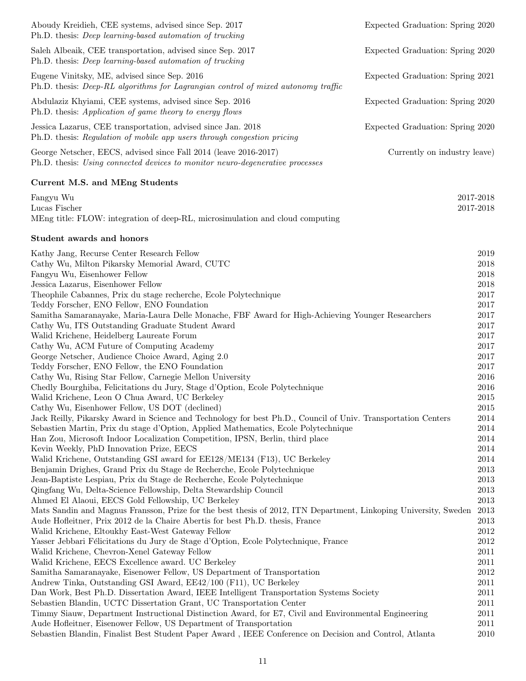| Aboudy Kreidieh, CEE systems, advised since Sep. 2017<br>Ph.D. thesis: <i>Deep learning-based automation of trucking</i>                                     | Expected Graduation: Spring 2020 |                        |
|--------------------------------------------------------------------------------------------------------------------------------------------------------------|----------------------------------|------------------------|
| Saleh Albeaik, CEE transportation, advised since Sep. 2017<br>Ph.D. thesis: <i>Deep learning-based automation of trucking</i>                                | Expected Graduation: Spring 2020 |                        |
| Eugene Vinitsky, ME, advised since Sep. 2016<br>Ph.D. thesis: Deep-RL algorithms for Lagrangian control of mixed autonomy traffic                            | Expected Graduation: Spring 2021 |                        |
| Abdulaziz Khyiami, CEE systems, advised since Sep. 2016<br>Ph.D. thesis: Application of game theory to energy flows                                          | Expected Graduation: Spring 2020 |                        |
| Jessica Lazarus, CEE transportation, advised since Jan. 2018<br>Ph.D. thesis: Regulation of mobile app users through congestion pricing                      | Expected Graduation: Spring 2020 |                        |
| George Netscher, EECS, advised since Fall 2014 (leave 2016-2017)<br>Ph.D. thesis: Using connected devices to monitor neuro-degenerative processes            | Currently on industry leave)     |                        |
| Current M.S. and MEng Students                                                                                                                               |                                  |                        |
| Fangyu Wu<br>Lucas Fischer<br>MEng title: FLOW: integration of deep-RL, microsimulation and cloud computing                                                  |                                  | 2017-2018<br>2017-2018 |
| Student awards and honors                                                                                                                                    |                                  |                        |
| Kathy Jang, Recurse Center Research Fellow                                                                                                                   |                                  | $\,2019$               |
| Cathy Wu, Milton Pikarsky Memorial Award, CUTC                                                                                                               |                                  | 2018                   |
| Fangyu Wu, Eisenhower Fellow                                                                                                                                 |                                  | 2018                   |
| Jessica Lazarus, Eisenhower Fellow                                                                                                                           |                                  | 2018                   |
| Theophile Cabannes, Prix du stage recherche, Ecole Polytechnique                                                                                             |                                  | 2017                   |
| Teddy Forscher, ENO Fellow, ENO Foundation<br>Samitha Samaranayake, Maria-Laura Delle Monache, FBF Award for High-Achieving Younger Researchers              |                                  | 2017<br>2017           |
| Cathy Wu, ITS Outstanding Graduate Student Award                                                                                                             |                                  | 2017                   |
| Walid Krichene, Heidelberg Laureate Forum                                                                                                                    |                                  | 2017                   |
| Cathy Wu, ACM Future of Computing Academy                                                                                                                    |                                  | 2017                   |
| George Netscher, Audience Choice Award, Aging 2.0                                                                                                            |                                  | 2017                   |
| Teddy Forscher, ENO Fellow, the ENO Foundation                                                                                                               |                                  | 2017                   |
| Cathy Wu, Rising Star Fellow, Carnegie Mellon University                                                                                                     |                                  | 2016                   |
| Chedly Bourghiba, Felicitations du Jury, Stage d'Option, Ecole Polytechnique                                                                                 |                                  | 2016                   |
| Walid Krichene, Leon O Chua Award, UC Berkeley                                                                                                               |                                  | 2015                   |
| Cathy Wu, Eisenhower Fellow, US DOT (declined)                                                                                                               |                                  | $2015\,$               |
| Jack Reilly, Pikarsky Award in Science and Technology for best Ph.D., Council of Univ. Transportation Centers                                                |                                  | 2014                   |
| Sebastien Martin, Prix du stage d'Option, Applied Mathematics, Ecole Polytechnique                                                                           |                                  | 2014                   |
| Han Zou, Microsoft Indoor Localization Competition, IPSN, Berlin, third place                                                                                |                                  | 2014                   |
| Kevin Weekly, PhD Innovation Prize, EECS<br>Walid Krichene, Outstanding GSI award for EE128/ME134 (F13), UC Berkeley                                         |                                  | 2014<br>2014           |
| Benjamin Drighes, Grand Prix du Stage de Recherche, Ecole Polytechnique                                                                                      |                                  | 2013                   |
| Jean-Baptiste Lespiau, Prix du Stage de Recherche, Ecole Polytechnique                                                                                       |                                  | 2013                   |
| Qingfang Wu, Delta-Science Fellowship, Delta Stewardship Council                                                                                             |                                  | 2013                   |
| Ahmed El Alaoui, EECS Gold Fellowship, UC Berkeley                                                                                                           |                                  | 2013                   |
| Mats Sandin and Magnus Fransson, Prize for the best thesis of 2012, ITN Department, Linkoping University, Sweden                                             |                                  | 2013                   |
| Aude Hofleitner, Prix 2012 de la Chaire Abertis for best Ph.D. thesis, France                                                                                |                                  | 2013                   |
| Walid Krichene, Eltoukhy East-West Gateway Fellow                                                                                                            |                                  | 2012                   |
| Yasser Jebbari Félicitations du Jury de Stage d'Option, Ecole Polytechnique, France                                                                          |                                  | 2012                   |
| Walid Krichene, Chevron-Xenel Gateway Fellow                                                                                                                 |                                  | 2011                   |
| Walid Krichene, EECS Excellence award. UC Berkeley                                                                                                           |                                  | 2011                   |
| Samitha Samaranayake, Eisenower Fellow, US Department of Transportation                                                                                      |                                  | 2012                   |
| Andrew Tinka, Outstanding GSI Award, EE42/100 (F11), UC Berkeley<br>Dan Work, Best Ph.D. Dissertation Award, IEEE Intelligent Transportation Systems Society |                                  | 2011<br>2011           |
| Sebastien Blandin, UCTC Dissertation Grant, UC Transportation Center                                                                                         |                                  | 2011                   |
| Timmy Siauw, Department Instructional Distinction Award, for E7, Civil and Environmental Engineering                                                         |                                  | 2011                   |
| Aude Hofleitner, Eisenower Fellow, US Department of Transportation                                                                                           |                                  | 2011                   |
| Sebastien Blandin, Finalist Best Student Paper Award, IEEE Conference on Decision and Control, Atlanta                                                       |                                  | 2010                   |
|                                                                                                                                                              |                                  |                        |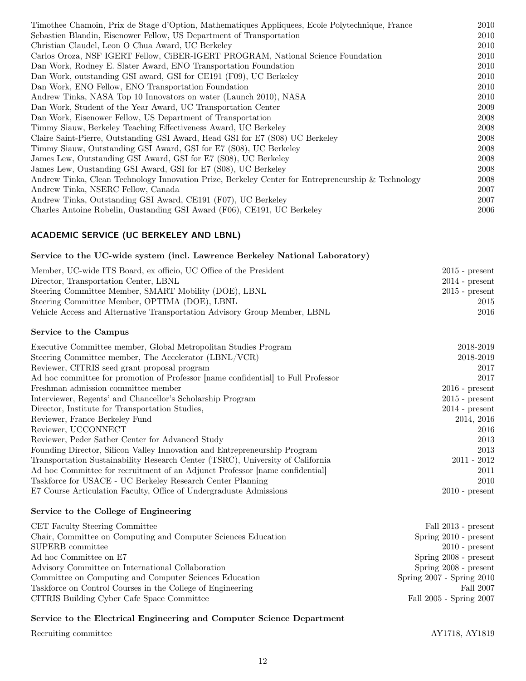| Timothee Chamoin, Prix de Stage d'Option, Mathematiques Appliquees, Ecole Polytechnique, France    | 2010 |
|----------------------------------------------------------------------------------------------------|------|
| Sebastien Blandin, Eisenower Fellow, US Department of Transportation                               | 2010 |
| Christian Claudel, Leon O Chua Award, UC Berkeley                                                  | 2010 |
| Carlos Oroza, NSF IGERT Fellow, CiBER-IGERT PROGRAM, National Science Foundation                   | 2010 |
| Dan Work, Rodney E. Slater Award, ENO Transportation Foundation                                    | 2010 |
| Dan Work, outstanding GSI award, GSI for CE191 (F09), UC Berkeley                                  | 2010 |
| Dan Work, ENO Fellow, ENO Transportation Foundation                                                | 2010 |
| Andrew Tinka, NASA Top 10 Innovators on water (Launch 2010), NASA                                  | 2010 |
| Dan Work, Student of the Year Award, UC Transportation Center                                      | 2009 |
| Dan Work, Eisenower Fellow, US Department of Transportation                                        | 2008 |
| Timmy Siauw, Berkeley Teaching Effectiveness Award, UC Berkeley                                    | 2008 |
| Claire Saint-Pierre, Outstanding GSI Award, Head GSI for E7 (S08) UC Berkeley                      | 2008 |
| Timmy Siauw, Outstanding GSI Award, GSI for E7 (S08), UC Berkeley                                  | 2008 |
| James Lew, Outstanding GSI Award, GSI for E7 (S08), UC Berkeley                                    | 2008 |
| James Lew, Oustanding GSI Award, GSI for E7 (S08), UC Berkeley                                     | 2008 |
| Andrew Tinka, Clean Technology Innovation Prize, Berkeley Center for Entrepreneurship & Technology | 2008 |
| Andrew Tinka, NSERC Fellow, Canada                                                                 | 2007 |
| Andrew Tinka, Outstanding GSI Award, CE191 (F07), UC Berkeley                                      | 2007 |
| Charles Antoine Robelin, Oustanding GSI Award (F06), CE191, UC Berkeley                            | 2006 |
|                                                                                                    |      |

# ACADEMIC SERVICE (UC BERKELEY AND LBNL)

## Service to the UC-wide system (incl. Lawrence Berkeley National Laboratory)

| Member, UC-wide ITS Board, ex officio, UC Office of the President         | $2015$ - present |
|---------------------------------------------------------------------------|------------------|
| Director, Transportation Center, LBNL                                     | $2014$ - present |
| Steering Committee Member, SMART Mobility (DOE), LBNL                     | $2015$ - present |
| Steering Committee Member, OPTIMA (DOE), LBNL                             | 2015             |
| Vehicle Access and Alternative Transportation Advisory Group Member, LBNL | 2016             |
|                                                                           |                  |

## Service to the Campus

| Executive Committee member, Global Metropolitan Studies Program                   | 2018-2019        |
|-----------------------------------------------------------------------------------|------------------|
| Steering Committee member, The Accelerator (LBNL/VCR)                             | 2018-2019        |
| Reviewer, CITRIS seed grant proposal program                                      | 2017             |
| Ad hoc committee for promotion of Professor [name confidential] to Full Professor | 2017             |
| Freshman admission committee member                                               | $2016$ - present |
| Interviewer, Regents' and Chancellor's Scholarship Program                        | $2015$ - present |
| Director, Institute for Transportation Studies,                                   | $2014$ - present |
| Reviewer, France Berkeley Fund                                                    | 2014, 2016       |
| Reviewer, UCCONNECT                                                               | 2016             |
| Reviewer, Peder Sather Center for Advanced Study                                  | 2013             |
| Founding Director, Silicon Valley Innovation and Entrepreneurship Program         | 2013             |
| Transportation Sustainability Research Center (TSRC), University of California    | $2011 - 2012$    |
| Ad hoc Committee for recruitment of an Adjunct Professor [name confidential]      | 2011             |
| Taskforce for USACE - UC Berkeley Research Center Planning                        | 2010             |
| E7 Course Articulation Faculty, Office of Undergraduate Admissions                | $2010$ - present |

## Service to the College of Engineering

| CET Faculty Steering Committee                                | Fall 2013 - present           |
|---------------------------------------------------------------|-------------------------------|
| Chair, Committee on Computing and Computer Sciences Education | Spring $2010$ - present       |
| SUPERB committee                                              | $2010$ - present              |
| Ad hoc Committee on E7                                        | Spring 2008 - present         |
| Advisory Committee on International Collaboration             | Spring $2008$ - present       |
| Committee on Computing and Computer Sciences Education        | Spring $2007$ - Spring $2010$ |
| Taskforce on Control Courses in the College of Engineering    | Fall 2007                     |
| CITRIS Building Cyber Cafe Space Committee                    | Fall 2005 - Spring 2007       |

### Service to the Electrical Engineering and Computer Science Department

Recruiting committee AY1718, AY1819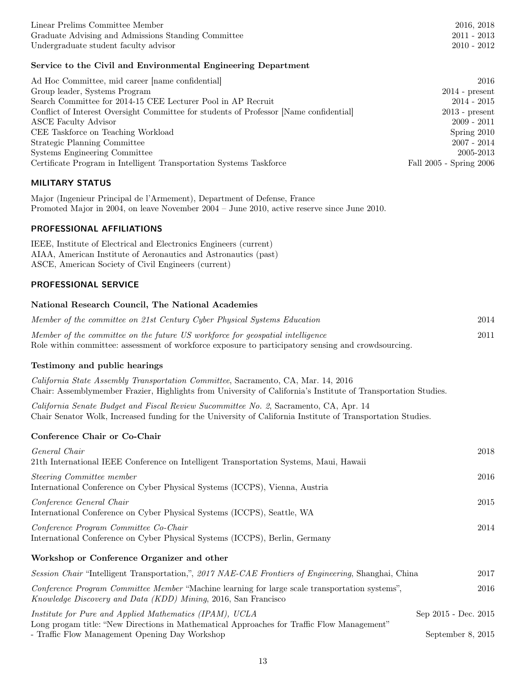| Linear Prelims Committee Member                     | 2016, 2018    |
|-----------------------------------------------------|---------------|
| Graduate Advising and Admissions Standing Committee | $2011 - 2013$ |
| Undergraduate student faculty advisor               | $2010 - 2012$ |

## Service to the Civil and Environmental Engineering Department

| Ad Hoc Committee, mid career [name confidential]                                       | 2016                    |
|----------------------------------------------------------------------------------------|-------------------------|
| Group leader, Systems Program                                                          | $2014$ - present        |
| Search Committee for 2014-15 CEE Lecturer Pool in AP Recruit                           | $2014 - 2015$           |
| Conflict of Interest Oversight Committee for students of Professor [Name confidential] | $2013$ - present        |
| <b>ASCE</b> Faculty Advisor                                                            | $2009 - 2011$           |
| CEE Taskforce on Teaching Workload                                                     | Spring 2010             |
| Strategic Planning Committee                                                           | $2007 - 2014$           |
| Systems Engineering Committee                                                          | 2005-2013               |
| Certificate Program in Intelligent Transportation Systems Taskforce                    | Fall 2005 - Spring 2006 |

## MILITARY STATUS

Major (Ingenieur Principal de l'Armement), Department of Defense, France Promoted Major in 2004, on leave November 2004 – June 2010, active reserve since June 2010.

### PROFESSIONAL AFFILIATIONS

IEEE, Institute of Electrical and Electronics Engineers (current) AIAA, American Institute of Aeronautics and Astronautics (past) ASCE, American Society of Civil Engineers (current)

## PROFESSIONAL SERVICE

### National Research Council, The National Academies

| Member of the committee on 21st Century Cyber Physical Systems Education                            | 2014 |
|-----------------------------------------------------------------------------------------------------|------|
| Member of the committee on the future US workforce for geospatial intelligence                      | 2011 |
| Role within committee: assessment of workforce exposure to participatory sensing and crowdsourcing. |      |

### Testimony and public hearings

California State Assembly Transportation Committee, Sacramento, CA, Mar. 14, 2016 Chair: Assemblymember Frazier, Highlights from University of California's Institute of Transportation Studies.

California Senate Budget and Fiscal Review Sucommittee No. 2, Sacramento, CA, Apr. 14 Chair Senator Wolk, Increased funding for the University of California Institute of Transportation Studies.

#### Conference Chair or Co-Chair

| General Chair<br>21th International IEEE Conference on Intelligent Transportation Systems, Maui, Hawaii                                                          | 2018                 |
|------------------------------------------------------------------------------------------------------------------------------------------------------------------|----------------------|
| Steering Committee member<br>International Conference on Cyber Physical Systems (ICCPS), Vienna, Austria                                                         | 2016                 |
| Conference General Chair<br>International Conference on Cyber Physical Systems (ICCPS), Seattle, WA                                                              | 2015                 |
| Conference Program Committee Co-Chair<br>International Conference on Cyber Physical Systems (ICCPS), Berlin, Germany                                             | 2014                 |
| Workshop or Conference Organizer and other                                                                                                                       |                      |
| Session Chair "Intelligent Transportation,", 2017 NAE-CAE Frontiers of Engineering, Shanghai, China                                                              | 2017                 |
| Conference Program Committee Member "Machine learning for large scale transportation systems",<br>Knowledge Discovery and Data (KDD) Mining, 2016, San Francisco | 2016                 |
| Institute for Pure and Applied Mathematics (IPAM), UCLA<br>Long progam title: "New Directions in Mathematical Approaches for Traffic Flow Management"            | Sep 2015 - Dec. 2015 |
| - Traffic Flow Management Opening Day Workshop                                                                                                                   | September 8, 2015    |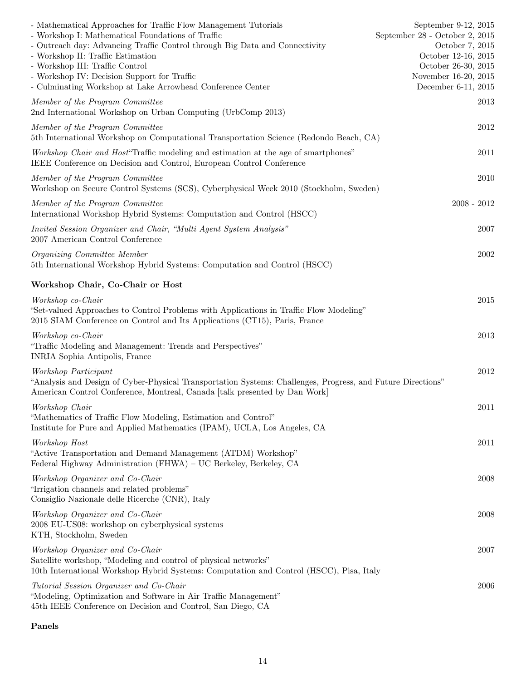| - Mathematical Approaches for Traffic Flow Management Tutorials<br>- Workshop I: Mathematical Foundations of Traffic<br>- Outreach day: Advancing Traffic Control through Big Data and Connectivity<br>- Workshop II: Traffic Estimation<br>- Workshop III: Traffic Control<br>- Workshop IV: Decision Support for Traffic<br>- Culminating Workshop at Lake Arrowhead Conference Center | September 9-12, 2015<br>September 28 - October 2, 2015<br>October 7, 2015<br>October 12-16, 2015<br>October 26-30, 2015<br>November 16-20, 2015<br>December 6-11, 2015 |
|------------------------------------------------------------------------------------------------------------------------------------------------------------------------------------------------------------------------------------------------------------------------------------------------------------------------------------------------------------------------------------------|------------------------------------------------------------------------------------------------------------------------------------------------------------------------|
| Member of the Program Committee<br>2nd International Workshop on Urban Computing (UrbComp 2013)                                                                                                                                                                                                                                                                                          | 2013                                                                                                                                                                   |
| Member of the Program Committee<br>5th International Workshop on Computational Transportation Science (Redondo Beach, CA)                                                                                                                                                                                                                                                                | 2012                                                                                                                                                                   |
| Workshop Chair and Host <sup>"</sup> Traffic modeling and estimation at the age of smartphones"<br>IEEE Conference on Decision and Control, European Control Conference                                                                                                                                                                                                                  | 2011                                                                                                                                                                   |
| Member of the Program Committee<br>Workshop on Secure Control Systems (SCS), Cyberphysical Week 2010 (Stockholm, Sweden)                                                                                                                                                                                                                                                                 | 2010                                                                                                                                                                   |
| Member of the Program Committee<br>International Workshop Hybrid Systems: Computation and Control (HSCC)                                                                                                                                                                                                                                                                                 | $2008 - 2012$                                                                                                                                                          |
| Invited Session Organizer and Chair, "Multi Agent System Analysis"<br>2007 American Control Conference                                                                                                                                                                                                                                                                                   | 2007                                                                                                                                                                   |
| Organizing Committee Member<br>5th International Workshop Hybrid Systems: Computation and Control (HSCC)                                                                                                                                                                                                                                                                                 | 2002                                                                                                                                                                   |
| Workshop Chair, Co-Chair or Host                                                                                                                                                                                                                                                                                                                                                         |                                                                                                                                                                        |
| Workshop co-Chair<br>"Set-valued Approaches to Control Problems with Applications in Traffic Flow Modeling"<br>2015 SIAM Conference on Control and Its Applications (CT15), Paris, France                                                                                                                                                                                                | 2015                                                                                                                                                                   |
| Workshop co-Chair<br>"Traffic Modeling and Management: Trends and Perspectives"<br>INRIA Sophia Antipolis, France                                                                                                                                                                                                                                                                        | 2013                                                                                                                                                                   |
| Workshop Participant<br>"Analysis and Design of Cyber-Physical Transportation Systems: Challenges, Progress, and Future Directions"<br>American Control Conference, Montreal, Canada [talk presented by Dan Work]                                                                                                                                                                        | 2012                                                                                                                                                                   |
| Workshop Chair<br>"Mathematics of Traffic Flow Modeling, Estimation and Control"<br>Institute for Pure and Applied Mathematics (IPAM), UCLA, Los Angeles, CA                                                                                                                                                                                                                             | $2011\,$                                                                                                                                                               |
| Workshop Host<br>"Active Transportation and Demand Management (ATDM) Workshop"<br>Federal Highway Administration (FHWA) – UC Berkeley, Berkeley, CA                                                                                                                                                                                                                                      | 2011                                                                                                                                                                   |
| Workshop Organizer and Co-Chair<br>"Irrigation channels and related problems"<br>Consiglio Nazionale delle Ricerche (CNR), Italy                                                                                                                                                                                                                                                         | 2008                                                                                                                                                                   |
| Workshop Organizer and Co-Chair<br>2008 EU-US08: workshop on cyberphysical systems<br>KTH, Stockholm, Sweden                                                                                                                                                                                                                                                                             | 2008                                                                                                                                                                   |
| Workshop Organizer and Co-Chair<br>Satellite workshop, "Modeling and control of physical networks"<br>10th International Workshop Hybrid Systems: Computation and Control (HSCC), Pisa, Italy                                                                                                                                                                                            | 2007                                                                                                                                                                   |
| Tutorial Session Organizer and Co-Chair<br>"Modeling, Optimization and Software in Air Traffic Management"<br>45th IEEE Conference on Decision and Control, San Diego, CA                                                                                                                                                                                                                | 2006                                                                                                                                                                   |

## Panels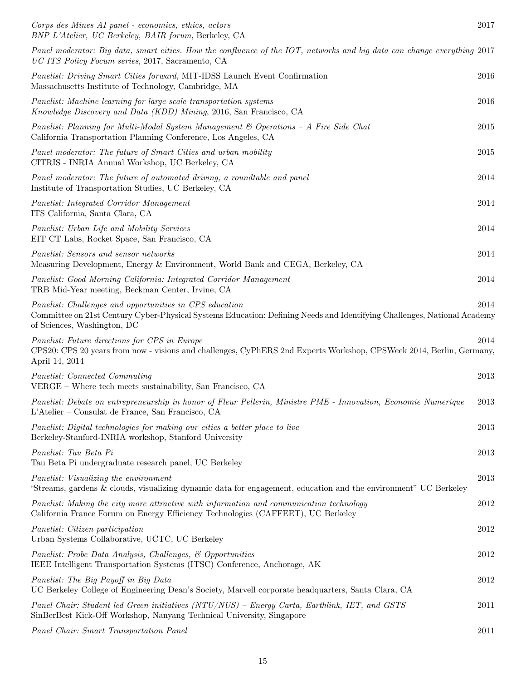| Corps des Mines AI panel - economics, ethics, actors<br>BNP L'Atelier, UC Berkeley, BAIR forum, Berkeley, CA                                                                                                      | 2017     |
|-------------------------------------------------------------------------------------------------------------------------------------------------------------------------------------------------------------------|----------|
| Panel moderator: Big data, smart cities. How the confluence of the IOT, networks and big data can change everything 2017<br>UC ITS Policy Focum series, 2017, Sacramento, CA                                      |          |
| Panelist: Driving Smart Cities forward, MIT-IDSS Launch Event Confirmation<br>Massachusetts Institute of Technology, Cambridge, MA                                                                                | 2016     |
| Panelist: Machine learning for large scale transportation systems<br>Knowledge Discovery and Data (KDD) Mining, 2016, San Francisco, CA                                                                           | 2016     |
| Panelist: Planning for Multi-Modal System Management & Operations - A Fire Side Chat<br>California Transportation Planning Conference, Los Angeles, CA                                                            | 2015     |
| Panel moderator: The future of Smart Cities and urban mobility<br>CITRIS - INRIA Annual Workshop, UC Berkeley, CA                                                                                                 | 2015     |
| Panel moderator: The future of automated driving, a roundtable and panel<br>Institute of Transportation Studies, UC Berkeley, CA                                                                                  | 2014     |
| Panelist: Integrated Corridor Management<br>ITS California, Santa Clara, CA                                                                                                                                       | 2014     |
| Panelist: Urban Life and Mobility Services<br>EIT CT Labs, Rocket Space, San Francisco, CA                                                                                                                        | 2014     |
| Panelist: Sensors and sensor networks<br>Measuring Development, Energy & Environment, World Bank and CEGA, Berkeley, CA                                                                                           | 2014     |
| Panelist: Good Morning California: Integrated Corridor Management<br>TRB Mid-Year meeting, Beckman Center, Irvine, CA                                                                                             | 2014     |
| Panelist: Challenges and opportunities in CPS education<br>Committee on 21st Century Cyber-Physical Systems Education: Defining Needs and Identifying Challenges, National Academy<br>of Sciences, Washington, DC | 2014     |
| Panelist: Future directions for CPS in Europe<br>CPS20: CPS 20 years from now - visions and challenges, CyPhERS 2nd Experts Workshop, CPSWeek 2014, Berlin, Germany,<br>April 14, 2014                            | 2014     |
| Panelist: Connected Commuting<br>VERGE – Where tech meets sustainability, San Francisco, CA                                                                                                                       | 2013     |
| Panelist: Debate on entrepreneurship in honor of Fleur Pellerin, Ministre PME - Innovation, Economie Numerique<br>L'Atelier – Consulat de France, San Francisco, CA                                               | 2013     |
| Panelist: Digital technologies for making our cities a better place to live<br>Berkeley-Stanford-INRIA workshop, Stanford University                                                                              | 2013     |
| Panelist: Tau Beta Pi<br>Tau Beta Pi undergraduate research panel, UC Berkeley                                                                                                                                    | 2013     |
| Panelist: Visualizing the environment<br>"Streams, gardens & clouds, visualizing dynamic data for engagement, education and the environment" UC Berkeley                                                          | 2013     |
| Panelist: Making the city more attractive with information and communication technology<br>California France Forum on Energy Efficiency Technologies (CAFFEET), UC Berkeley                                       | 2012     |
| Panelist: Citizen participation<br>Urban Systems Collaborative, UCTC, UC Berkeley                                                                                                                                 | 2012     |
| Panelist: Probe Data Analysis, Challenges, & Opportunities<br>IEEE Intelligent Transportation Systems (ITSC) Conference, Anchorage, AK                                                                            | $2012\,$ |
| Panelist: The Big Payoff in Big Data<br>UC Berkeley College of Engineering Dean's Society, Marvell corporate headquarters, Santa Clara, CA                                                                        | 2012     |
| Panel Chair: Student led Green initiatives (NTU/NUS) – Energy Carta, Earthlink, IET, and GSTS<br>SinBerBest Kick-Off Workshop, Nanyang Technical University, Singapore                                            | 2011     |
| Panel Chair: Smart Transportation Panel                                                                                                                                                                           | 2011     |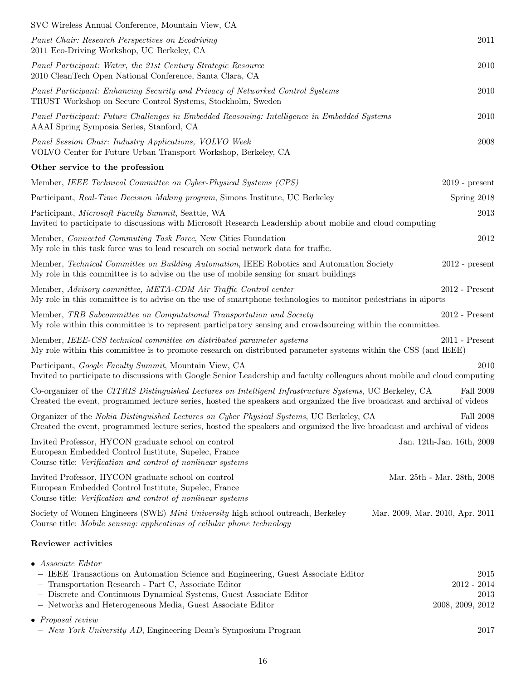| SVC Wireless Annual Conference, Mountain View, CA                                                                                                                                                                                                                                                            |                                                   |
|--------------------------------------------------------------------------------------------------------------------------------------------------------------------------------------------------------------------------------------------------------------------------------------------------------------|---------------------------------------------------|
| Panel Chair: Research Perspectives on Ecodriving<br>2011 Eco-Driving Workshop, UC Berkeley, CA                                                                                                                                                                                                               | 2011                                              |
| Panel Participant: Water, the 21st Century Strategic Resource<br>2010 CleanTech Open National Conference, Santa Clara, CA                                                                                                                                                                                    | 2010                                              |
| Panel Participant: Enhancing Security and Privacy of Networked Control Systems<br>TRUST Workshop on Secure Control Systems, Stockholm, Sweden                                                                                                                                                                | $2010\,$                                          |
| Panel Participant: Future Challenges in Embedded Reasoning: Intelligence in Embedded Systems<br>AAAI Spring Symposia Series, Stanford, CA                                                                                                                                                                    | 2010                                              |
| Panel Session Chair: Industry Applications, VOLVO Week<br>VOLVO Center for Future Urban Transport Workshop, Berkeley, CA                                                                                                                                                                                     | 2008                                              |
| Other service to the profession                                                                                                                                                                                                                                                                              |                                                   |
| Member, IEEE Technical Committee on Cyber-Physical Systems (CPS)                                                                                                                                                                                                                                             | $2019$ - present                                  |
| Participant, Real-Time Decision Making program, Simons Institute, UC Berkeley                                                                                                                                                                                                                                | Spring 2018                                       |
| Participant, Microsoft Faculty Summit, Seattle, WA<br>Invited to participate to discussions with Microsoft Research Leadership about mobile and cloud computing                                                                                                                                              | 2013                                              |
| Member, Connected Commuting Task Force, New Cities Foundation<br>My role in this task force was to lead research on social network data for traffic.                                                                                                                                                         | 2012                                              |
| Member, Technical Committee on Building Automation, IEEE Robotics and Automation Society<br>My role in this committee is to advise on the use of mobile sensing for smart buildings                                                                                                                          | $2012$ - present                                  |
| Member, Advisory committee, META-CDM Air Traffic Control center<br>My role in this committee is to advise on the use of smartphone technologies to monitor pedestrians in aiports                                                                                                                            | $2012$ - Present                                  |
| Member, TRB Subcommittee on Computational Transportation and Society<br>My role within this committee is to represent participatory sensing and crowdsourcing within the committee.                                                                                                                          | $2012$ - Present                                  |
| Member, IEEE-CSS technical committee on distributed parameter systems<br>My role within this committee is to promote research on distributed parameter systems within the CSS (and IEEE)                                                                                                                     | $2011$ - Present                                  |
| Participant, Google Faculty Summit, Mountain View, CA<br>Invited to participate to discussions with Google Senior Leadership and faculty colleagues about mobile and cloud computing                                                                                                                         | 2010                                              |
| Co-organizer of the CITRIS Distinguished Lectures on Intelligent Infrastructure Systems, UC Berkeley, CA<br>Created the event, programmed lecture series, hosted the speakers and organized the live broadcast and archival of videos                                                                        | Fall 2009                                         |
| Organizer of the Nokia Distinguished Lectures on Cyber Physical Systems, UC Berkeley, CA<br>Created the event, programmed lecture series, hosted the speakers and organized the live broadcast and archival of videos                                                                                        | Fall 2008                                         |
| Invited Professor, HYCON graduate school on control<br>European Embedded Control Institute, Supelec, France<br>Course title: Verification and control of nonlinear systems                                                                                                                                   | Jan. 12th-Jan. 16th, 2009                         |
| Invited Professor, HYCON graduate school on control<br>European Embedded Control Institute, Supelec, France<br>Course title: Verification and control of nonlinear systems                                                                                                                                   | Mar. 25th - Mar. 28th, 2008                       |
| Society of Women Engineers (SWE) Mini University high school outreach, Berkeley<br>Course title: Mobile sensing: applications of cellular phone technology                                                                                                                                                   | Mar. 2009, Mar. 2010, Apr. 2011                   |
| Reviewer activities                                                                                                                                                                                                                                                                                          |                                                   |
| $\bullet$ Associate Editor<br>- IEEE Transactions on Automation Science and Engineering, Guest Associate Editor<br>- Transportation Research - Part C, Associate Editor<br>- Discrete and Continuous Dynamical Systems, Guest Associate Editor<br>- Networks and Heterogeneous Media, Guest Associate Editor | 2015<br>$2012 - 2014$<br>2013<br>2008, 2009, 2012 |
| $\bullet$ Proposal review<br>- New York University AD, Engineering Dean's Symposium Program                                                                                                                                                                                                                  | $2017\,$                                          |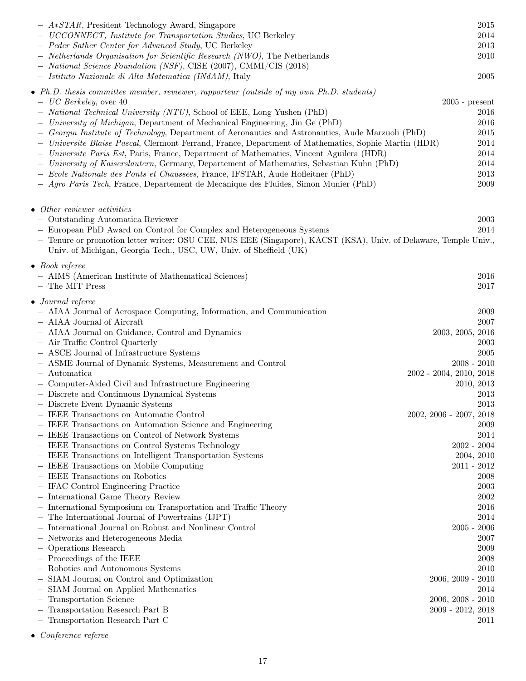| $- A*STAR$ , President Technology Award, Singapore                                                                                                                                     | 2015                      |
|----------------------------------------------------------------------------------------------------------------------------------------------------------------------------------------|---------------------------|
| - UCCONNECT, Institute for Transportation Studies, UC Berkeley                                                                                                                         | 2014                      |
| - Peder Sather Center for Advanced Study, UC Berkeley                                                                                                                                  | 2013                      |
| - Netherlands Organisation for Scientific Research (NWO), The Netherlands                                                                                                              | 2010                      |
| - National Science Foundation (NSF), CISE (2007), CMMI/CIS (2018)                                                                                                                      |                           |
| - Istituto Nazionale di Alta Matematica (INdAM), Italy                                                                                                                                 | 2005                      |
| • Ph.D. thesis committee member, reviewer, rapporteur (outside of my own Ph.D. students)                                                                                               |                           |
| $-UC$ Berkeley, over 40                                                                                                                                                                | $2005$ - present          |
| - National Technical University (NTU), School of EEE, Long Yushen (PhD)                                                                                                                | 2016                      |
| - University of Michigan, Department of Mechanical Engineering, Jin Ge (PhD)                                                                                                           | 2016                      |
| - Georgia Institute of Technology, Department of Aeronautics and Astronautics, Aude Marzuoli (PhD)                                                                                     | 2015                      |
| - Universite Blaise Pascal, Clermont Ferrand, France, Department of Mathematics, Sophie Martin (HDR)                                                                                   | 2014                      |
| - Universite Paris Est, Paris, France, Department of Mathematics, Vincent Aguilera (HDR)                                                                                               | 2014                      |
| - University of Kaiserslautern, Germany, Departement of Mathematics, Sebastian Kuhn (PhD)                                                                                              | 2014                      |
| - Ecole Nationale des Ponts et Chaussees, France, IFSTAR, Aude Hofleitner (PhD)                                                                                                        | 2013                      |
| - Agro Paris Tech, France, Departement de Mecanique des Fluides, Simon Munier (PhD)                                                                                                    | 2009                      |
|                                                                                                                                                                                        |                           |
| $\bullet$ Other reviewer activities                                                                                                                                                    |                           |
| - Outstanding Automatica Reviewer                                                                                                                                                      | 2003                      |
| - European PhD Award on Control for Complex and Heterogeneous Systems                                                                                                                  | 2014                      |
| - Tenure or promotion letter writer: OSU CEE, NUS EEE (Singapore), KACST (KSA), Univ. of Delaware, Temple Univ.,<br>Univ. of Michigan, Georgia Tech., USC, UW, Univ. of Sheffield (UK) |                           |
| $\bullet$ Book referee                                                                                                                                                                 |                           |
| - AIMS (American Institute of Mathematical Sciences)                                                                                                                                   | 2016                      |
| - The MIT Press                                                                                                                                                                        | 2017                      |
| $\bullet$ Journal referee                                                                                                                                                              |                           |
| - AIAA Journal of Aerospace Computing, Information, and Communication                                                                                                                  | 2009                      |
| - AIAA Journal of Aircraft                                                                                                                                                             | 2007                      |
| - AIAA Journal on Guidance, Control and Dynamics                                                                                                                                       | 2003, 2005, 2016          |
| - Air Traffic Control Quarterly                                                                                                                                                        | 2003                      |
| - ASCE Journal of Infrastructure Systems                                                                                                                                               | 2005                      |
| - ASME Journal of Dynamic Systems, Measurement and Control                                                                                                                             | $2008 - 2010$             |
| - Automatica                                                                                                                                                                           | 2002 - 2004, 2010, 2018   |
| - Computer-Aided Civil and Infrastructure Engineering                                                                                                                                  | 2010, 2013                |
| - Discrete and Continuous Dynamical Systems                                                                                                                                            | 2013                      |
| - Discrete Event Dynamic Systems                                                                                                                                                       | 2013                      |
| - IEEE Transactions on Automatic Control                                                                                                                                               | $2002, 2006 - 2007, 2018$ |
| - IEEE Transactions on Automation Science and Engineering                                                                                                                              | 2009                      |
| - IEEE Transactions on Control of Network Systems                                                                                                                                      | 2014                      |
| - IEEE Transactions on Control Systems Technology                                                                                                                                      | $2002 - 2004$             |
| - IEEE Transactions on Intelligent Transportation Systems                                                                                                                              | 2004, 2010                |
| - IEEE Transactions on Mobile Computing                                                                                                                                                | $2011 - 2012$             |
| - IEEE Transactions on Robotics                                                                                                                                                        | 2008                      |
| - IFAC Control Engineering Practice                                                                                                                                                    | 2003                      |
| - International Game Theory Review                                                                                                                                                     | 2002                      |
| - International Symposium on Transportation and Traffic Theory                                                                                                                         | 2016                      |
| - The International Journal of Powertrains (IJPT)                                                                                                                                      | 2014                      |
| - International Journal on Robust and Nonlinear Control                                                                                                                                | 2006<br>$2005\,$ -        |
| - Networks and Heterogeneous Media                                                                                                                                                     | 2007                      |
| - Operations Research                                                                                                                                                                  | 2009                      |
| - Proceedings of the IEEE                                                                                                                                                              | 2008                      |
| - Robotics and Autonomous Systems                                                                                                                                                      | 2010                      |
| - SIAM Journal on Control and Optimization                                                                                                                                             | 2010<br>$2006, 2009$ -    |
| - SIAM Journal on Applied Mathematics                                                                                                                                                  | 2014                      |
| - Transportation Science                                                                                                                                                               | $2006, 2008 - 2010$       |
| - Transportation Research Part B                                                                                                                                                       | $2009 - 2012, 2018$       |
| - Transportation Research Part C                                                                                                                                                       | 2011                      |

 $\bullet$   $\emph{Conference reference}$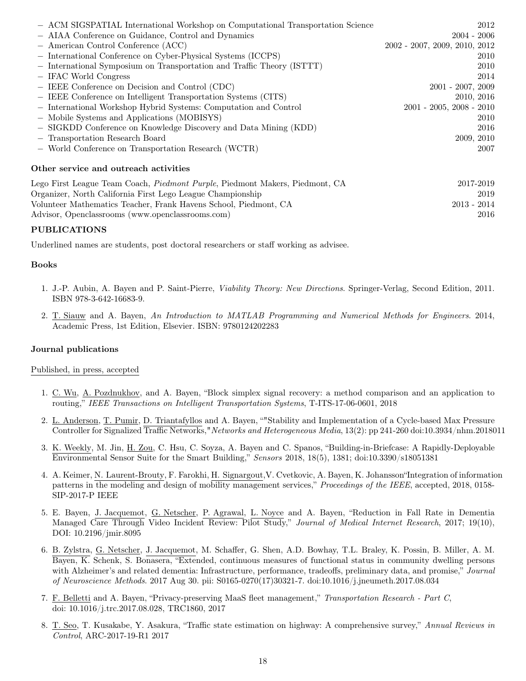| - ACM SIGSPATIAL International Workshop on Computational Transportation Science      | 2012                                     |
|--------------------------------------------------------------------------------------|------------------------------------------|
| - AIAA Conference on Guidance, Control and Dynamics                                  | $2004 - 2006$                            |
| - American Control Conference (ACC)                                                  | $2002 - 2007$ , $2009$ , $2010$ , $2012$ |
| - International Conference on Cyber-Physical Systems (ICCPS)                         | 2010                                     |
| - International Symposium on Transportation and Traffic Theory (ISTTT)               | 2010                                     |
| - IFAC World Congress                                                                | 2014                                     |
| - IEEE Conference on Decision and Control (CDC)                                      | $2001 - 2007, 2009$                      |
| - IEEE Conference on Intelligent Transportation Systems (CITS)                       | 2010, 2016                               |
| - International Workshop Hybrid Systems: Computation and Control                     | $2001 - 2005$ , $2008 - 2010$            |
| - Mobile Systems and Applications (MOBISYS)                                          | 2010                                     |
| - SIGKDD Conference on Knowledge Discovery and Data Mining (KDD)                     | 2016                                     |
| - Transportation Research Board                                                      | 2009, 2010                               |
| - World Conference on Transportation Research (WCTR)                                 | 2007                                     |
| Other service and outreach activities                                                |                                          |
| Lego First League Team Coach, <i>Piedmont Purple</i> , Piedmont Makers, Piedmont, CA | 2017-2019                                |
| Organizer, North California First Lego League Championship                           | 2019                                     |
| Volunteer Mathematics Teacher, Frank Havens School, Piedmont, CA                     | $2013 - 2014$                            |

Advisor, Openclassrooms (www.openclassrooms.com) 2016

## PUBLICATIONS

Underlined names are students, post doctoral researchers or staff working as advisee.

### Books

- 1. J.-P. Aubin, A. Bayen and P. Saint-Pierre, Viability Theory: New Directions. Springer-Verlag, Second Edition, 2011. ISBN 978-3-642-16683-9.
- 2. T. Siauw and A. Bayen, An Introduction to MATLAB Programming and Numerical Methods for Engineers. 2014, Academic Press, 1st Edition, Elsevier. ISBN: 9780124202283

### Journal publications

### Published, in press, accepted

- 1. C. Wu, A. Pozdnukhov, and A. Bayen, "Block simplex signal recovery: a method comparison and an application to routing," IEEE Transactions on Intelligent Transportation Systems, T-ITS-17-06-0601, 2018
- 2. L. Anderson, T. Pumir, D. Triantafyllos and A. Bayen, ""Stability and Implementation of a Cycle-based Max Pressure Controller for Signalized Traffic Networks," Networks and Heterogeneous Media, 13(2): pp 241-260 doi:10.3934/nhm.2018011
- 3. K. Weekly, M. Jin, H. Zou, C. Hsu, C. Soyza, A. Bayen and C. Spanos, "Building-in-Briefcase: A Rapidly-Deployable Environmental Sensor Suite for the Smart Building," Sensors 2018, 18(5), 1381; doi:10.3390/s18051381
- 4. A. Keimer, N. Laurent-Brouty, F. Farokhi, H. Signargout,V. Cvetkovic, A. Bayen, K. Johansson"Integration of information patterns in the modeling and design of mobility management services," Proceedings of the IEEE, accepted, 2018, 0158- SIP-2017-P IEEE
- 5. E. Bayen, J. Jacquemot, G. Netscher, P. Agrawal, L. Noyce and A. Bayen, "Reduction in Fall Rate in Dementia Managed Care Through Video Incident Review: Pilot Study," Journal of Medical Internet Research, 2017; 19(10), DOI: 10.2196/jmir.8095
- 6. B. Zylstra, G. Netscher, J. Jacquemot, M. Schaffer, G. Shen, A.D. Bowhay, T.L. Braley, K. Possin, B. Miller, A. M. Bayen, K. Schenk, S. Bonasera, "Extended, continuous measures of functional status in community dwelling persons with Alzheimer's and related dementia: Infrastructure, performance, tradeoffs, preliminary data, and promise," Journal of Neuroscience Methods. 2017 Aug 30. pii: S0165-0270(17)30321-7. doi:10.1016/j.jneumeth.2017.08.034
- 7. F. Belletti and A. Bayen, "Privacy-preserving MaaS fleet management," Transportation Research Part C, doi: 10.1016/j.trc.2017.08.028, TRC1860, 2017
- 8. T. Seo, T. Kusakabe, Y. Asakura, "Traffic state estimation on highway: A comprehensive survey," Annual Reviews in Control, ARC-2017-19-R1 2017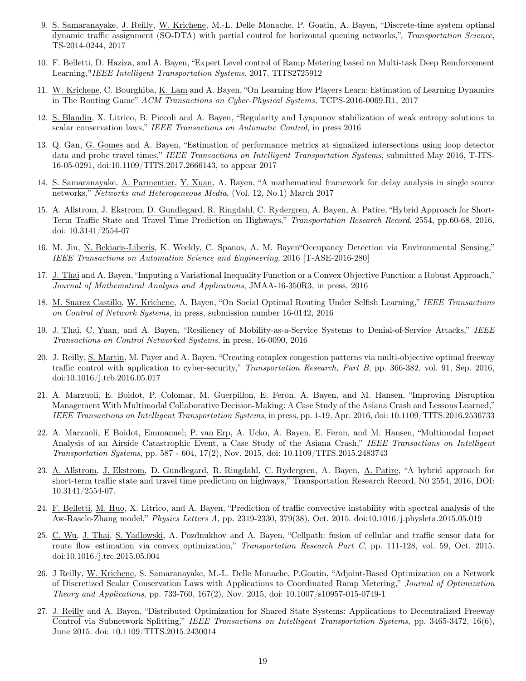- 9. S. Samaranayake, J. Reilly, W. Krichene, M.-L. Delle Monache, P. Goatin, A. Bayen, "Discrete-time system optimal dynamic traffic assignment (SO-DTA) with partial control for horizontal queuing networks,", Transportation Science, TS-2014-0244, 2017
- 10. F. Belletti, D. Haziza, and A. Bayen, "Expert Level control of Ramp Metering based on Multi-task Deep Reinforcement Learning,"IEEE Intelligent Transportation Systems, 2017, TITS2725912
- 11. W. Krichene, C. Bourghiba, K. Lam and A. Bayen, "On Learning How Players Learn: Estimation of Learning Dynamics in The Routing Game" ACM Transactions on Cyber-Physical Systems, TCPS-2016-0069.R1, 2017
- 12. S. Blandin, X. Litrico, B. Piccoli and A. Bayen, "Regularity and Lyapunov stabilization of weak entropy solutions to scalar conservation laws," IEEE Transactions on Automatic Control, in press 2016
- 13. Q. Gan, G. Gomes and A. Bayen, "Estimation of performance metrics at signalized intersections using loop detector data and probe travel times," IEEE Transactions on Intelligent Transportation Systems, submitted May 2016, T-ITS-16-05-0291, doi:10.1109/TITS.2017.2666143, to appear 2017
- 14. S. Samaranayake, A. Parmentier, Y. Xuan, A. Bayen, "A mathematical framework for delay analysis in single source networks," Networks and Heterogeneous Media, (Vol. 12, No.1) March 2017
- 15. A. Allstrom, J. Ekstrom, D. Gundlegard, R. Ringdahl, C. Rydergren, A. Bayen, A. Patire, "Hybrid Approach for Short-Term Traffic State and Travel Time Prediction on Highways," Transportation Research Record, 2554, pp.60-68, 2016, doi: 10.3141/2554-07
- 16. M. Jin, N. Bekiaris-Liberis, K. Weekly, C. Spanos, A. M. Bayen"Occupancy Detection via Environmental Sensing," IEEE Transactions on Automation Science and Engineering, 2016 [T-ASE-2016-280]
- 17. J. Thai and A. Bayen, "Imputing a Variational Inequality Function or a Convex Objective Function: a Robust Approach," Journal of Mathematical Analysis and Applications, JMAA-16-350R3, in press, 2016
- 18. M. Suarez Castillo, W. Krichene, A. Bayen, "On Social Optimal Routing Under Selfish Learning," IEEE Transactions on Control of Network Systems, in press, submission number 16-0142, 2016
- 19. J. Thai, C. Yuan, and A. Bayen, "Resiliency of Mobility-as-a-Service Systems to Denial-of-Service Attacks," IEEE Transactions on Control Networked Systems, in press, 16-0090, 2016
- 20. J. Reilly, S. Martin, M. Payer and A. Bayen, "Creating complex congestion patterns via multi-objective optimal freeway traffic control with application to cyber-security," Transportation Research, Part B, pp. 366-382, vol. 91, Sep. 2016, doi:10.1016/j.trb.2016.05.017
- 21. A. Marzuoli, E. Boidot, P. Colomar, M. Guerpillon, E. Feron, A. Bayen, and M. Hansen, "Improving Disruption Management With Multimodal Collaborative Decision-Making: A Case Study of the Asiana Crash and Lessons Learned," IEEE Transactions on Intelligent Transportation Systems, in press, pp. 1-19, Apr. 2016, doi: 10.1109/TITS.2016.2536733
- 22. A. Marzuoli, E Boidot, Emmanuel; P. van Erp, A. Ucko, A. Bayen, E. Feron, and M. Hansen, "Multimodal Impact Analysis of an Airside Catastrophic Event, a Case Study of the Asiana Crash," IEEE Transactions on Intelligent Transportation Systems, pp. 587 - 604, 17(2), Nov. 2015, doi: 10.1109/TITS.2015.2483743
- 23. A. Allstrom, J. Ekstrom, D. Gundlegard, R. Ringdahl, C. Rydergren, A. Bayen, A. Patire, "A hybrid approach for short-term traffic state and travel time prediction on highways," Transportation Research Record, N0 2554, 2016, DOI: 10.3141/2554-07.
- 24. F. Belletti, M. Huo, X. Litrico, and A. Bayen, "Prediction of traffic convective instability with spectral analysis of the Aw-Rascle-Zhang model," Physics Letters A, pp. 2319-2330, 379(38), Oct. 2015. doi:10.1016/j.physleta.2015.05.019
- 25. C. Wu, J. Thai, S. Yadlowski, A. Pozdnukhov and A. Bayen, "Cellpath: fusion of cellular and traffic sensor data for route flow estimation via convex optimization," Transportation Research Part C, pp. 111-128, vol. 59, Oct. 2015. doi:10.1016/j.trc.2015.05.004
- 26. J Reilly, W. Krichene, S. Samaranayake, M.-L. Delle Monache, P.Goatin, "Adjoint-Based Optimization on a Network of Discretized Scalar Conservation Laws with Applications to Coordinated Ramp Metering," Journal of Optimization Theory and Applications, pp. 733-760, 167(2), Nov. 2015, doi: 10.1007/s10957-015-0749-1
- 27. J. Reilly and A. Bayen, "Distributed Optimization for Shared State Systems: Applications to Decentralized Freeway Control via Subnetwork Splitting," IEEE Transactions on Intelligent Transportation Systems, pp. 3465-3472, 16(6), June 2015. doi: 10.1109/TITS.2015.2430014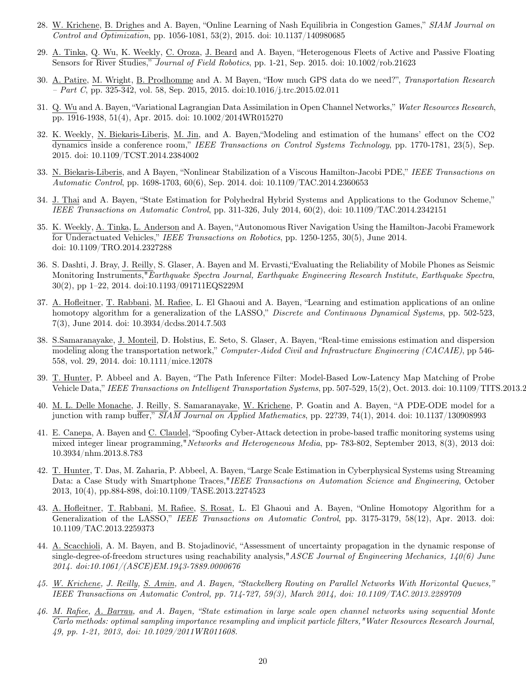- 28. W. Krichene, B. Drighes and A. Bayen, "Online Learning of Nash Equilibria in Congestion Games," SIAM Journal on Control and Optimization, pp. 1056-1081, 53(2), 2015. doi: 10.1137/140980685
- 29. A. Tinka, Q. Wu, K. Weekly, C. Oroza, J. Beard and A. Bayen, "Heterogenous Fleets of Active and Passive Floating Sensors for River Studies," Journal of Field Robotics, pp. 1-21, Sep. 2015. doi: 10.1002/rob.21623
- 30. A. Patire, M. Wright, B. Prodhomme and A. M Bayen, "How much GPS data do we need?", Transportation Research  $- Part C$ , pp. 325-342, vol. 58, Sep. 2015, 2015. doi:10.1016/j.trc.2015.02.011
- 31. Q. Wu and A. Bayen, "Variational Lagrangian Data Assimilation in Open Channel Networks," Water Resources Research, pp. 1916-1938, 51(4), Apr. 2015. doi: 10.1002/2014WR015270
- 32. K. Weekly, N. Biekaris-Liberis, M. Jin, and A. Bayen,"Modeling and estimation of the humans' effect on the CO2 dynamics inside a conference room," IEEE Transactions on Control Systems Technology, pp. 1770-1781, 23(5), Sep. 2015. doi: 10.1109/TCST.2014.2384002
- 33. N. Biekaris-Liberis, and A Bayen, "Nonlinear Stabilization of a Viscous Hamilton-Jacobi PDE," IEEE Transactions on Automatic Control, pp. 1698-1703, 60(6), Sep. 2014. doi: 10.1109/TAC.2014.2360653
- 34. J. Thai and A. Bayen, "State Estimation for Polyhedral Hybrid Systems and Applications to the Godunov Scheme," IEEE Transactions on Automatic Control, pp. 311-326, July 2014, 60(2), doi: 10.1109/TAC.2014.2342151
- 35. K. Weekly, A. Tinka, L. Anderson and A. Bayen, "Autonomous River Navigation Using the Hamilton-Jacobi Framework for Underactuated Vehicles," IEEE Transactions on Robotics, pp. 1250-1255, 30(5), June 2014. doi: 10.1109/TRO.2014.2327288
- 36. S. Dashti, J. Bray, J. Reilly, S. Glaser, A. Bayen and M. Ervasti,"Evaluating the Reliability of Mobile Phones as Seismic Monitoring Instruments,"Earthquake Spectra Journal, Earthquake Engineering Research Institute, Earthquake Spectra, 30(2), pp 1–22, 2014. doi:10.1193/091711EQS229M
- 37. A. Hofleitner, T. Rabbani, M. Rafiee, L. El Ghaoui and A. Bayen, "Learning and estimation applications of an online homotopy algorithm for a generalization of the LASSO," Discrete and Continuous Dynamical Systems, pp. 502-523, 7(3), June 2014. doi: 10.3934/dcdss.2014.7.503
- 38. S.Samaranayake, J. Monteil, D. Holstius, E. Seto, S. Glaser, A. Bayen, "Real-time emissions estimation and dispersion modeling along the transportation network," Computer-Aided Civil and Infrastructure Engineering (CACAIE), pp 546-558, vol. 29, 2014. doi: 10.1111/mice.12078
- 39. T. Hunter, P. Abbeel and A. Bayen, "The Path Inference Filter: Model-Based Low-Latency Map Matching of Probe Vehicle Data," IEEE Transactions on Intelligent Transportation Systems, pp. 507-529, 15(2), Oct. 2013. doi: 10.1109/TITS.2013.2
- 40. M. L. Delle Monache, J. Reilly, S. Samaranayake, W. Krichene, P. Goatin and A. Bayen, "A PDE-ODE model for a junction with ramp buffer,"  $\overline{SIAM\ Journal\ on\ Applied\ Mathematics}$ , pp. 22?39, 74(1), 2014. doi: 10.1137/130908993
- 41. E. Canepa, A. Bayen and C. Claudel, "Spoofing Cyber-Attack detection in probe-based traffic monitoring systems using mixed integer linear programming," Networks and Heterogeneous Media, pp- 783-802, September 2013, 8(3), 2013 doi: 10.3934/nhm.2013.8.783
- 42. T. Hunter, T. Das, M. Zaharia, P. Abbeel, A. Bayen, "Large Scale Estimation in Cyberphysical Systems using Streaming Data: a Case Study with Smartphone Traces,"IEEE Transactions on Automation Science and Engineering, October 2013, 10(4), pp.884-898, doi:10.1109/TASE.2013.2274523
- 43. A. Hofleitner, T. Rabbani, M. Rafiee, S. Rosat, L. El Ghaoui and A. Bayen, "Online Homotopy Algorithm for a Generalization of the LASSO," IEEE Transactions on Automatic Control, pp. 3175-3179, 58(12), Apr. 2013. doi: 10.1109/TAC.2013.2259373
- 44. A. Scacchioli, A. M. Bayen, and B. Stojadinović, "Assessment of uncertainty propagation in the dynamic response of single-degree-of-freedom structures using reachability analysis,"ASCE Journal of Engineering Mechanics,  $140(6)$  June 2014. doi:10.1061/(ASCE)EM.1943-7889.0000676
- 45. W. Krichene, J. Reilly, S. Amin, and A. Bayen, "Stackelberg Routing on Parallel Networks With Horizontal Queues," IEEE Transactions on Automatic Control, pp. 714-727, 59(3), March 2014, doi: 10.1109/TAC.2013.2289709
- 46. M. Rafiee, A. Barrau, and A. Bayen, "State estimation in large scale open channel networks using sequential Monte Carlo methods: optimal sampling importance resampling and implicit particle filters,"Water Resources Research Journal, 49, pp. 1-21, 2013, doi: 10.1029/2011WR011608.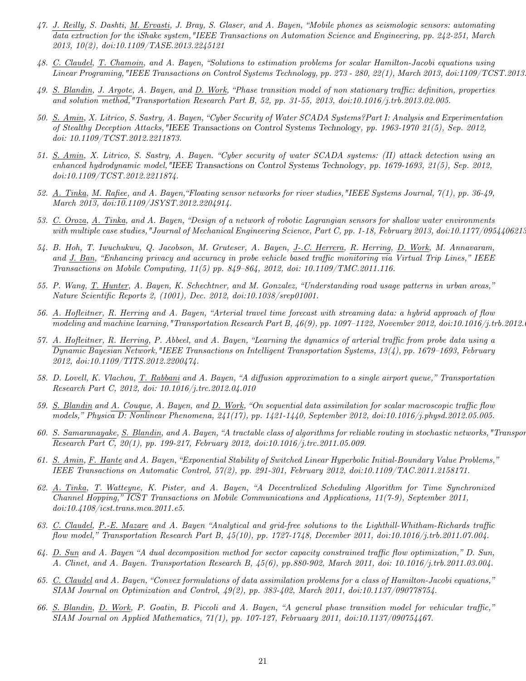- 47. J. Reilly, S. Dashti, M. Ervasti, J. Bray, S. Glaser, and A. Bayen, "Mobile phones as seismologic sensors: automating data extraction for the iShake system,"IEEE Transactions on Automation Science and Engineering, pp. 242-251, March 2013, 10(2), doi:10.1109/TASE.2013.2245121
- 48. C. Claudel, T. Chamoin, and A. Bayen, "Solutions to estimation problems for scalar Hamilton-Jacobi equations using Linear Programing,"IEEE Transactions on Control Systems Technology, pp. 273 - 280, 22(1), March 2013, doi:1109/TCST.2013.2238940
- 49. S. Blandin, J. Argote, A. Bayen, and D. Work, "Phase transition model of non stationary traffic: definition, properties and solution method,"Transportation Research Part B, 52, pp. 31-55, 2013, doi:10.1016/j.trb.2013.02.005.
- 50. S. Amin, X. Litrico, S. Sastry, A. Bayen, "Cyber Security of Water SCADA Systems?Part I: Analysis and Experimentation of Stealthy Deception Attacks,"IEEE Transactions on Control Systems Technology, pp. 1963-1970 21(5), Sep. 2012, doi: 10.1109/TCST.2012.2211873.
- 51. S. Amin, X. Litrico, S. Sastry, A. Bayen. "Cyber security of water SCADA systems: (II) attack detection using an enhanced hydrodynamic model,"IEEE Transactions on Control Systems Technology, pp. 1679-1693, 21(5), Sep. 2012, doi:10.1109/TCST.2012.2211874.
- 52.  $\underline{A.}$  Tinka, M. Rafiee, and A. Bayen, "Floating sensor networks for river studies, "IEEE Systems Journal,  $\gamma(1)$ , pp. 36-49, March 2013, doi:10.1109/JSYST.2012.2204914.
- 53. C. Oroza, A. Tinka, and A. Bayen, "Design of a network of robotic Lagrangian sensors for shallow water environments with multiple case studies, "Journal of Mechanical Engineering Science, Part C, pp. 1-18, February 2013, doi:10.1177/0954406213
- 54. B. Hoh, T. Iwuchukwu, Q. Jacobson, M. Gruteser, A. Bayen, J-.C. Herrera, R. Herring, D. Work, M. Annavaram, and J. Ban, "Enhancing privacy and accuracy in probe vehicle based traffic monitoring via Virtual Trip Lines," IEEE Transactions on Mobile Computing, 11(5) pp. 849–864, 2012, doi: 10.1109/TMC.2011.116.
- 55. P. Wang, T. Hunter, A. Bayen, K. Schechtner, and M. Gonzalez, "Understanding road usage patterns in urban areas," Nature Scientific Reports 2, (1001), Dec. 2012, doi:10.1038/srep01001.
- 56. A. Hofleitner, R. Herring and A. Bayen, "Arterial travel time forecast with streaming data: a hybrid approach of flow modeling and machine learning,"Transportation Research Part B,  $46(9)$ , pp. 1097–1122, November 2012, doi:10.1016/j.trb.2012.
- 57. A. Hofleitner, R. Herring, P. Abbeel, and A. Bayen, "Learning the dynamics of arterial traffic from probe data using a Dynamic Bayesian Network,"IEEE Transactions on Intelligent Transportation Systems, 13(4), pp. 1679–1693, February 2012, doi:10.1109/TITS.2012.2200474.
- 58. D. Lovell, K. Vlachou, <u>T. Rabbani</u> and A. Bayen, "A diffusion approximation to a single airport queue," Transportation Research Part C, 2012, doi: 10.1016/j.trc.2012.04.010
- 59. S. Blandin and A. Couque, A. Bayen, and D. Work, "On sequential data assimilation for scalar macroscopic traffic flow models," Physica D: Nonlinear Phenomena, 241(17), pp. 1421-1440, September 2012, doi:10.1016/j.physd.2012.05.005.
- 60. S. Samaranayake, S. Blandin, and A. Bayen, "A tractable class of algorithms for reliable routing in stochastic networks," Transportation-Research Part C, 20(1), pp. 199-217, February 2012, doi:10.1016/j.trc.2011.05.009.
- 61. S. Amin, F. Hante and A. Bayen, "Exponential Stability of Switched Linear Hyperbolic Initial-Boundary Value Problems," IEEE Transactions on Automatic Control, 57(2), pp. 291-301, February 2012, doi:10.1109/TAC.2011.2158171.
- 62. A. Tinka, T. Watteyne, K. Pister, and A. Bayen, "A Decentralized Scheduling Algorithm for Time Synchronized Channel Hopping," ICST Transactions on Mobile Communications and Applications, 11(7-9), September 2011, doi:10.4108/icst.trans.mca.2011.e5.
- 63. C. Claudel, P.-E. Mazare and A. Bayen "Analytical and grid-free solutions to the Lighthill-Whitham-Richards traffic flow model," Transportation Research Part B,  $45(10)$ , pp. 1727-1748, December 2011, doi:10.1016/j.trb.2011.07.004.
- 64. D. Sun and A. Bayen "A dual decomposition method for sector capacity constrained traffic flow optimization," D. Sun, A. Clinet, and A. Bayen. Transportation Research B, 45(6), pp.880-902, March 2011, doi: 10.1016/j.trb.2011.03.004.
- 65. C. Claudel and A. Bayen, "Convex formulations of data assimilation problems for a class of Hamilton-Jacobi equations," SIAM Journal on Optimization and Control, 49(2), pp. 383-402, March 2011, doi:10.1137/090778754.
- 66. S. Blandin, D. Work, P. Goatin, B. Piccoli and A. Bayen, "A general phase transition model for vehicular traffic," SIAM Journal on Applied Mathematics, 71(1), pp. 107-127, Februaary 2011, doi:10.1137/090754467.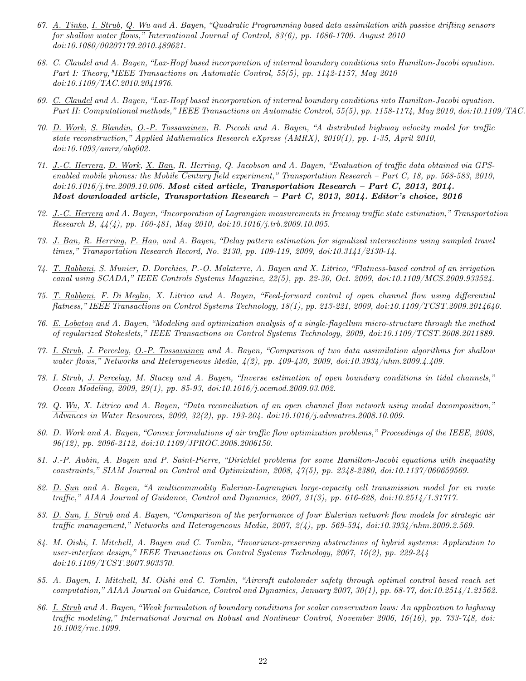- 67. A. Tinka, I. Strub, Q. Wu and A. Bayen, "Quadratic Programming based data assimilation with passive drifting sensors for shallow water flows," International Journal of Control,  $83(6)$ , pp. 1686-1700. August 2010 doi:10.1080/00207179.2010.489621.
- 68. C. Claudel and A. Bayen, "Lax-Hopf based incorporation of internal boundary conditions into Hamilton-Jacobi equation. Part I: Theory,"IEEE Transactions on Automatic Control, 55(5), pp. 1142-1157, May 2010 doi:10.1109/TAC.2010.2041976.
- 69. C. Claudel and A. Bayen, "Lax-Hopf based incorporation of internal boundary conditions into Hamilton-Jacobi equation. Part II: Computational methods," IEEE Transactions on Automatic Control, 55(5), pp. 1158-1174, May 2010, doi:10.1109/TAC.
- 70. D. Work, S. Blandin, O.-P. Tossavainen, B. Piccoli and A. Bayen, "A distributed highway velocity model for traffic state reconstruction," Applied Mathematics Research eXpress (AMRX), 2010(1), pp. 1-35, April 2010, doi:10.1093/amrx/abq002.
- 71. J.-C. Herrera, D. Work, X. Ban, R. Herring, Q. Jacobson and A. Bayen, "Evaluation of traffic data obtained via GPSenabled mobile phones: the Mobile Century field experiment," Transportation Research – Part C, 18, pp. 568-583, 2010,  $doi:10.1016/j.$ trc.2009.10.006. Most cited article, Transportation Research – Part C, 2013, 2014. Most downloaded article, Transportation Research – Part C, 2013, 2014. Editor's choice, 2016
- 72. J.-C. Herrera and A. Bayen, "Incorporation of Lagrangian measurements in freeway traffic state estimation," Transportation Research B, 44(4), pp. 160-481, May 2010, doi:10.1016/j.trb.2009.10.005.
- 73. J. Ban, R. Herring, P. Hao, and A. Bayen, "Delay pattern estimation for signalized intersections using sampled travel times," Transportation Research Record, No. 2130, pp. 109-119, 2009, doi:10.3141/2130-14.
- 74. T. Rabbani, S. Munier, D. Dorchies, P.-O. Malaterre, A. Bayen and X. Litrico, "Flatness-based control of an irrigation canal using SCADA," IEEE Controls Systems Magazine, 22(5), pp. 22-30, Oct. 2009, doi:10.1109/MCS.2009.933524.
- 75. T. Rabbani, F. Di Meglio, X. Litrico and A. Bayen, "Feed-forward control of open channel flow using differential flatness," IEEE Transactions on Control Systems Technology, 18(1), pp. 213-221, 2009, doi:10.1109/TCST.2009.2014640.
- 76. E. Lobaton and A. Bayen, "Modeling and optimization analysis of a single-flagellum micro-structure through the method of regularized Stokeslets," IEEE Transactions on Control Systems Technology, 2009, doi:10.1109/TCST.2008.2011889.
- 77. I. Strub, J. Percelay, O.-P. Tossavainen and A. Bayen, "Comparison of two data assimilation algorithms for shallow water flows," Networks and Heterogeneous Media, 4(2), pp. 409-430, 2009, doi:10.3934/nhm.2009.4.409.
- 78. I. Strub, J. Percelay, M. Stacey and A. Bayen, "Inverse estimation of open boundary conditions in tidal channels," Ocean Modeling, 2009, 29(1), pp. 85-93, doi:10.1016/j.ocemod.2009.03.002.
- 79. Q. Wu, X. Litrico and A. Bayen, "Data reconciliation of an open channel flow network using modal decomposition," Advances in Water Resources, 2009, 32(2), pp. 193-204. doi:10.1016/j.advwatres.2008.10.009.
- 80. D. Work and A. Bayen, "Convex formulations of air traffic flow optimization problems," Proceedings of the IEEE, 2008, 96(12), pp. 2096-2112, doi:10.1109/JPROC.2008.2006150.
- 81. J.-P. Aubin, A. Bayen and P. Saint-Pierre, "Dirichlet problems for some Hamilton-Jacobi equations with inequality constraints," SIAM Journal on Control and Optimization, 2008, 47(5), pp. 2348-2380, doi:10.1137/060659569.
- 82. D. Sun and A. Bayen, "A multicommodity Eulerian-Lagrangian large-capacity cell transmission model for en route traffic," AIAA Journal of Guidance, Control and Dynamics, 2007, 31(3), pp. 616-628, doi:10.2514/1.31717.
- 83. D. Sun, I. Strub and A. Bayen, "Comparison of the performance of four Eulerian network flow models for strategic air traffic management," Networks and Heterogeneous Media, 2007, 2(4), pp. 569-594, doi:10.3934/nhm.2009.2.569.
- 84. M. Oishi, I. Mitchell, A. Bayen and C. Tomlin, "Invariance-preserving abstractions of hybrid systems: Application to user-interface design," IEEE Transactions on Control Systems Technology, 2007, 16(2), pp. 229-244 doi:10.1109/TCST.2007.903370.
- 85. A. Bayen, I. Mitchell, M. Oishi and C. Tomlin, "Aircraft autolander safety through optimal control based reach set computation," AIAA Journal on Guidance, Control and Dynamics, January 2007, 30(1), pp. 68-77, doi:10.2514/1.21562.
- 86. I. Strub and A. Bayen, "Weak formulation of boundary conditions for scalar conservation laws: An application to highway traffic modeling," International Journal on Robust and Nonlinear Control, November 2006, 16(16), pp. 733-748, doi: 10.1002/rnc.1099.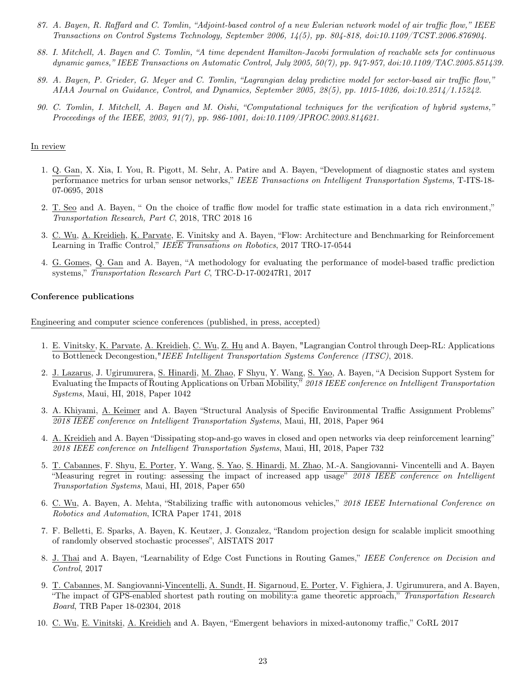- 87. A. Bayen, R. Raffard and C. Tomlin, "Adjoint-based control of a new Eulerian network model of air traffic flow," IEEE Transactions on Control Systems Technology, September 2006, 14(5), pp. 804-818, doi:10.1109/TCST.2006.876904.
- 88. I. Mitchell, A. Bayen and C. Tomlin, "A time dependent Hamilton-Jacobi formulation of reachable sets for continuous dynamic games," IEEE Transactions on Automatic Control, July 2005, 50(7), pp. 947-957, doi:10.1109/TAC.2005.851439.
- 89. A. Bayen, P. Grieder, G. Meyer and C. Tomlin, "Lagrangian delay predictive model for sector-based air traffic flow," AIAA Journal on Guidance, Control, and Dynamics, September 2005, 28(5), pp. 1015-1026, doi:10.2514/1.15242.
- 90. C. Tomlin, I. Mitchell, A. Bayen and M. Oishi, "Computational techniques for the verification of hybrid systems," Proceedings of the IEEE, 2003, 91(7), pp. 986-1001, doi:10.1109/JPROC.2003.814621.

#### In review

- 1. Q. Gan, X. Xia, I. You, R. Pigott, M. Sehr, A. Patire and A. Bayen, "Development of diagnostic states and system performance metrics for urban sensor networks," IEEE Transactions on Intelligent Transportation Systems, T-ITS-18- 07-0695, 2018
- 2. T. Seo and A. Bayen, " On the choice of traffic flow model for traffic state estimation in a data rich environment," Transportation Research, Part C, 2018, TRC 2018 16
- 3. C. Wu, A. Kreidieh, K. Parvate, E. Vinitsky and A. Bayen, "Flow: Architecture and Benchmarking for Reinforcement Learning in Traffic Control," IEEE Transations on Robotics, 2017 TRO-17-0544
- 4. G. Gomes, Q. Gan and A. Bayen, "A methodology for evaluating the performance of model-based traffic prediction systems," Transportation Research Part C, TRC-D-17-00247R1, 2017

#### Conference publications

Engineering and computer science conferences (published, in press, accepted)

- 1. E. Vinitsky, K. Parvate, A. Kreidieh, C. Wu, Z. Hu and A. Bayen, "Lagrangian Control through Deep-RL: Applications to Bottleneck Decongestion,"IEEE Intelligent Transportation Systems Conference (ITSC), 2018.
- 2. J. Lazarus, J. Ugirumurera, S. Hinardi, M. Zhao, F Shyu, Y. Wang, S. Yao, A. Bayen, "A Decision Support System for Evaluating the Impacts of Routing Applications on Urban Mobility," 2018 IEEE conference on Intelligent Transportation Systems, Maui, HI, 2018, Paper 1042
- 3. A. Khiyami, A. Keimer and A. Bayen "Structural Analysis of Specific Environmental Traffic Assignment Problems" 2018 IEEE conference on Intelligent Transportation Systems, Maui, HI, 2018, Paper 964
- 4. A. Kreidieh and A. Bayen "Dissipating stop-and-go waves in closed and open networks via deep reinforcement learning" 2018 IEEE conference on Intelligent Transportation Systems, Maui, HI, 2018, Paper 732
- 5. T. Cabannes, F. Shyu, E. Porter, Y. Wang, S. Yao, S. Hinardi, M. Zhao, M.-A. Sangiovanni- Vincentelli and A. Bayen "Measuring regret in routing: assessing the impact of increased app usage" 2018 IEEE conference on Intelligent Transportation Systems, Maui, HI, 2018, Paper 650
- 6. C. Wu, A. Bayen, A. Mehta, "Stabilizing traffic with autonomous vehicles," 2018 IEEE International Conference on Robotics and Automation, ICRA Paper 1741, 2018
- 7. F. Belletti, E. Sparks, A. Bayen, K. Keutzer, J. Gonzalez, "Random projection design for scalable implicit smoothing of randomly observed stochastic processes", AISTATS 2017
- 8. J. Thai and A. Bayen, "Learnability of Edge Cost Functions in Routing Games," IEEE Conference on Decision and Control, 2017
- 9. T. Cabannes, M. Sangiovanni-Vincentelli, A. Sundt, H. Sigarnoud, E. Porter, V. Fighiera, J. Ugirumurera, and A. Bayen, "The impact of GPS-enabled shortest path routing on mobility:a game theoretic approach," Transportation Research Board, TRB Paper 18-02304, 2018
- 10. C. Wu, E. Vinitski, A. Kreidieh and A. Bayen, "Emergent behaviors in mixed-autonomy traffic," CoRL 2017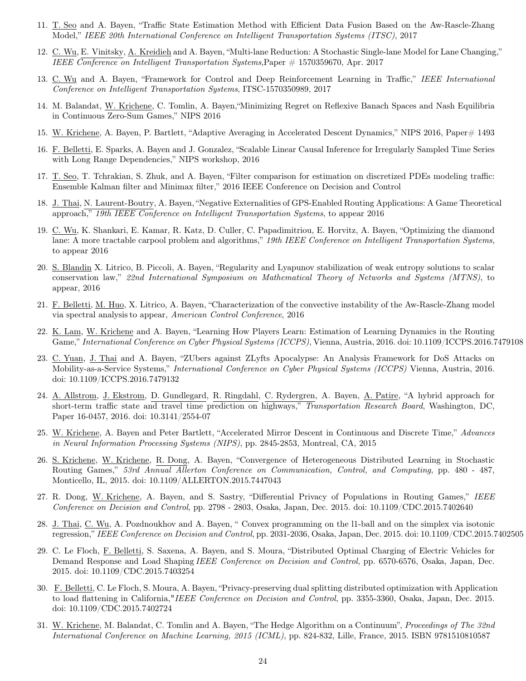- 11. T. Seo and A. Bayen, "Traffic State Estimation Method with Efficient Data Fusion Based on the Aw-Rascle-Zhang Model," IEEE 20th International Conference on Intelligent Transportation Systems (ITSC), 2017
- 12. C. Wu, E. Vinitsky, A. Kreidieh and A. Bayen, "Multi-lane Reduction: A Stochastic Single-lane Model for Lane Changing," IEEE Conference on Intelligent Transportation Systems,Paper # 1570359670, Apr. 2017
- 13. C. Wu and A. Bayen, "Framework for Control and Deep Reinforcement Learning in Traffic," IEEE International Conference on Intelligent Transportation Systems, ITSC-1570350989, 2017
- 14. M. Balandat, W. Krichene, C. Tomlin, A. Bayen,"Minimizing Regret on Reflexive Banach Spaces and Nash Equilibria in Continuous Zero-Sum Games," NIPS 2016
- 15. W. Krichene, A. Bayen, P. Bartlett, "Adaptive Averaging in Accelerated Descent Dynamics," NIPS 2016, Paper# 1493
- 16. F. Belletti, E. Sparks, A. Bayen and J. Gonzalez, "Scalable Linear Causal Inference for Irregularly Sampled Time Series with Long Range Dependencies," NIPS workshop, 2016
- 17. T. Seo, T. Tchrakian, S. Zhuk, and A. Bayen, "Filter comparison for estimation on discretized PDEs modeling traffic: Ensemble Kalman filter and Minimax filter," 2016 IEEE Conference on Decision and Control
- 18. J. Thai, N. Laurent-Boutry, A. Bayen, "Negative Externalities of GPS-Enabled Routing Applications: A Game Theoretical approach," 19th IEEE Conference on Intelligent Transportation Systems, to appear 2016
- 19. C. Wu, K. Shankari, E. Kamar, R. Katz, D. Culler, C. Papadimitriou, E. Horvitz, A. Bayen, "Optimizing the diamond lane: A more tractable carpool problem and algorithms," 19th IEEE Conference on Intelligent Transportation Systems, to appear 2016
- 20. S. Blandin X. Litrico, B. Piccoli, A. Bayen, "Regularity and Lyapunov stabilization of weak entropy solutions to scalar conservation law," 22nd International Symposium on Mathematical Theory of Networks and Systems (MTNS), to appear, 2016
- 21. F. Belletti, M. Huo, X. Litrico, A. Bayen, "Characterization of the convective instability of the Aw-Rascle-Zhang model via spectral analysis to appear, American Control Conference, 2016
- 22. K. Lam, W. Krichene and A. Bayen, "Learning How Players Learn: Estimation of Learning Dynamics in the Routing Game," International Conference on Cyber Physical Systems (ICCPS), Vienna, Austria, 2016. doi: 10.1109/ICCPS.2016.7479108
- 23. C. Yuan, J. Thai and A. Bayen, "ZUbers against ZLyfts Apocalypse: An Analysis Framework for DoS Attacks on Mobility-as-a-Service Systems," International Conference on Cyber Physical Systems (ICCPS) Vienna, Austria, 2016. doi: 10.1109/ICCPS.2016.7479132
- 24. A. Allstrom, J. Ekstrom, D. Gundlegard, R. Ringdahl, C. Rydergren, A. Bayen, A. Patire, "A hybrid approach for short-term traffic state and travel time prediction on highways," Transportation Research Board, Washington, DC, Paper 16-0457, 2016. doi: 10.3141/2554-07
- 25. W. Krichene, A. Bayen and Peter Bartlett, "Accelerated Mirror Descent in Continuous and Discrete Time," Advances in Neural Information Processing Systems (NIPS), pp. 2845-2853, Montreal, CA, 2015
- 26. S. Krichene, W. Krichene, R. Dong, A. Bayen, "Convergence of Heterogeneous Distributed Learning in Stochastic Routing Games," 53rd Annual Allerton Conference on Communication, Control, and Computing, pp. 480 - 487, Monticello, IL, 2015. doi: 10.1109/ALLERTON.2015.7447043
- 27. R. Dong, W. Krichene, A. Bayen, and S. Sastry, "Differential Privacy of Populations in Routing Games," IEEE Conference on Decision and Control, pp. 2798 - 2803, Osaka, Japan, Dec. 2015. doi: 10.1109/CDC.2015.7402640
- 28. J. Thai, C. Wu, A. Pozdnoukhov and A. Bayen, " Convex programming on the l1-ball and on the simplex via isotonic regression," IEEE Conference on Decision and Control, pp. 2031-2036, Osaka, Japan, Dec. 2015. doi: 10.1109/CDC.2015.7402505
- 29. C. Le Floch, F. Belletti, S. Saxena, A. Bayen, and S. Moura, "Distributed Optimal Charging of Electric Vehicles for Demand Response and Load Shaping IEEE Conference on Decision and Control, pp. 6570-6576, Osaka, Japan, Dec. 2015. doi: 10.1109/CDC.2015.7403254
- 30. F. Belletti, C. Le Floch, S. Moura, A. Bayen, "Privacy-preserving dual splitting distributed optimization with Application to load flattening in California,"IEEE Conference on Decision and Control, pp. 3355-3360, Osaka, Japan, Dec. 2015. doi: 10.1109/CDC.2015.7402724
- 31. W. Krichene, M. Balandat, C. Tomlin and A. Bayen, "The Hedge Algorithm on a Continuum", Proceedings of The 32nd International Conference on Machine Learning, 2015 (ICML), pp. 824-832, Lille, France, 2015. ISBN 9781510810587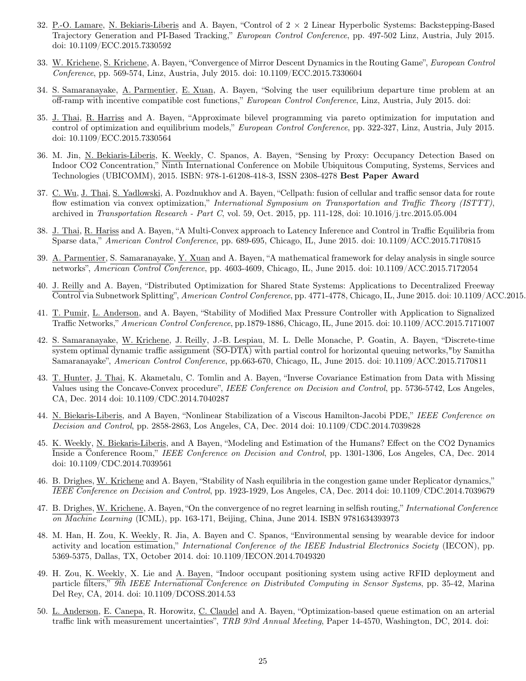- 32. P.-O. Lamare, N. Bekiaris-Liberis and A. Bayen, "Control of 2 × 2 Linear Hyperbolic Systems: Backstepping-Based Trajectory Generation and PI-Based Tracking," European Control Conference, pp. 497-502 Linz, Austria, July 2015. doi: 10.1109/ECC.2015.7330592
- 33. W. Krichene, S. Krichene, A. Bayen, "Convergence of Mirror Descent Dynamics in the Routing Game", *European Control* Conference, pp. 569-574, Linz, Austria, July 2015. doi: 10.1109/ECC.2015.7330604
- 34. S. Samaranayake, A. Parmentier, E. Xuan, A. Bayen, "Solving the user equilibrium departure time problem at an off-ramp with incentive compatible cost functions," European Control Conference, Linz, Austria, July 2015. doi:
- 35. J. Thai, R. Harriss and A. Bayen, "Approximate bilevel programming via pareto optimization for imputation and control of optimization and equilibrium models," European Control Conference, pp. 322-327, Linz, Austria, July 2015. doi: 10.1109/ECC.2015.7330564
- 36. M. Jin, N. Bekiaris-Liberis, K. Weekly, C. Spanos, A. Bayen, "Sensing by Proxy: Occupancy Detection Based on Indoor CO2 Concentration," Ninth International Conference on Mobile Ubiquitous Computing, Systems, Services and Technologies (UBICOMM), 2015. ISBN: 978-1-61208-418-3, ISSN 2308-4278 Best Paper Award
- 37. C. Wu, J. Thai, S. Yadlowski, A. Pozdnukhov and A. Bayen, "Cellpath: fusion of cellular and traffic sensor data for route flow estimation via convex optimization," International Symposium on Transportation and Traffic Theory (ISTTT), archived in Transportation Research - Part C, vol. 59, Oct. 2015, pp. 111-128, doi: 10.1016/j.trc.2015.05.004
- 38. J. Thai, R. Hariss and A. Bayen, "A Multi-Convex approach to Latency Inference and Control in Traffic Equilibria from Sparse data," American Control Conference, pp. 689-695, Chicago, IL, June 2015. doi: 10.1109/ACC.2015.7170815
- 39. A. Parmentier, S. Samaranayake, Y. Xuan and A. Bayen, "A mathematical framework for delay analysis in single source networks", American Control Conference, pp. 4603-4609, Chicago, IL, June 2015. doi: 10.1109/ACC.2015.7172054
- 40. J. Reilly and A. Bayen, "Distributed Optimization for Shared State Systems: Applications to Decentralized Freeway Control via Subnetwork Splitting", American Control Conference, pp. 4771-4778, Chicago, IL, June 2015. doi: 10.1109/ACC.2015.
- 41. T. Pumir, L. Anderson, and A. Bayen, "Stability of Modified Max Pressure Controller with Application to Signalized Traffic Networks," American Control Conference, pp.1879-1886, Chicago, IL, June 2015. doi: 10.1109/ACC.2015.7171007
- 42. S. Samaranayake, W. Krichene, J. Reilly, J.-B. Lespiau, M. L. Delle Monache, P. Goatin, A. Bayen, "Discrete-time system optimal dynamic traffic assignment (SO-DTA) with partial control for horizontal queuing networks,"by Samitha Samaranayake", American Control Conference, pp.663-670, Chicago, IL, June 2015. doi: 10.1109/ACC.2015.7170811
- 43. T. Hunter, J. Thai, K. Akametalu, C. Tomlin and A. Bayen, "Inverse Covariance Estimation from Data with Missing Values using the Concave-Convex procedure", IEEE Conference on Decision and Control, pp. 5736-5742, Los Angeles, CA, Dec. 2014 doi: 10.1109/CDC.2014.7040287
- 44. N. Biekaris-Liberis, and A Bayen, "Nonlinear Stabilization of a Viscous Hamilton-Jacobi PDE," IEEE Conference on Decision and Control, pp. 2858-2863, Los Angeles, CA, Dec. 2014 doi: 10.1109/CDC.2014.7039828
- 45. K. Weekly, N. Biekaris-Liberis, and A Bayen, "Modeling and Estimation of the Humans? Effect on the CO2 Dynamics Inside a Conference Room," IEEE Conference on Decision and Control, pp. 1301-1306, Los Angeles, CA, Dec. 2014 doi: 10.1109/CDC.2014.7039561
- 46. B. Drighes, W. Krichene and A. Bayen, "Stability of Nash equilibria in the congestion game under Replicator dynamics," IEEE Conference on Decision and Control, pp. 1923-1929, Los Angeles, CA, Dec. 2014 doi: 10.1109/CDC.2014.7039679
- 47. B. Drighes, W. Krichene, A. Bayen, "On the convergence of no regret learning in selfish routing," International Conference on Machine Learning (ICML), pp. 163-171, Beijing, China, June 2014. ISBN 9781634393973
- 48. M. Han, H. Zou, K. Weekly, R. Jia, A. Bayen and C. Spanos, "Environmental sensing by wearable device for indoor activity and location estimation," International Conference of the IEEE Industrial Electronics Society (IECON), pp. 5369-5375, Dallas, TX, October 2014. doi: 10.1109/IECON.2014.7049320
- 49. H. Zou, K. Weekly, X. Lie and A. Bayen, "Indoor occupant positioning system using active RFID deployment and particle filters," 9th IEEE International Conference on Distributed Computing in Sensor Systems, pp. 35-42, Marina Del Rey, CA, 2014. doi: 10.1109/DCOSS.2014.53
- 50. L. Anderson, E. Canepa, R. Horowitz, C. Claudel and A. Bayen, "Optimization-based queue estimation on an arterial traffic link with measurement uncertainties", TRB 93rd Annual Meeting, Paper 14-4570, Washington, DC, 2014. doi: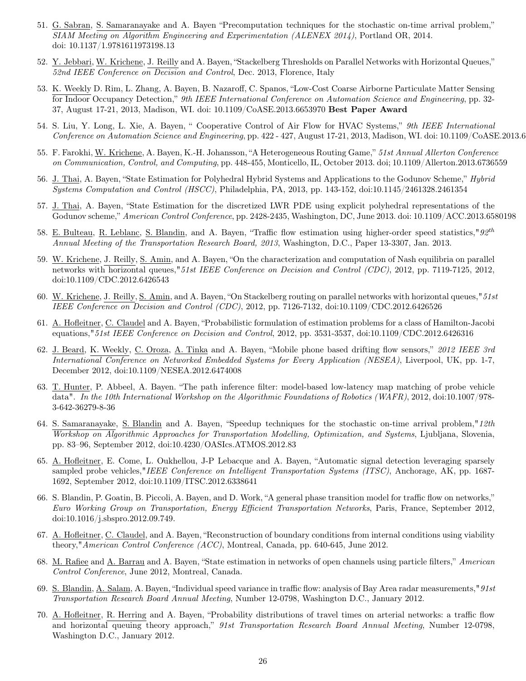- 51. G. Sabran, S. Samaranayake and A. Bayen "Precomputation techniques for the stochastic on-time arrival problem," SIAM Meeting on Algorithm Engineering and Experimentation (ALENEX 2014), Portland OR, 2014. doi: 10.1137/1.9781611973198.13
- 52. Y. Jebbari, W. Krichene, J. Reilly and A. Bayen, "Stackelberg Thresholds on Parallel Networks with Horizontal Queues," 52nd IEEE Conference on Decision and Control, Dec. 2013, Florence, Italy
- 53. K. Weekly D. Rim, L. Zhang, A. Bayen, B. Nazaroff, C. Spanos, "Low-Cost Coarse Airborne Particulate Matter Sensing for Indoor Occupancy Detection," 9th IEEE International Conference on Automation Science and Engineering, pp. 32-37, August 17-21, 2013, Madison, WI. doi: 10.1109/CoASE.2013.6653970 Best Paper Award
- 54. S. Liu, Y. Long, L. Xie, A. Bayen, " Cooperative Control of Air Flow for HVAC Systems," 9th IEEE International Conference on Automation Science and Engineering, pp. 422 - 427, August 17-21, 2013, Madison, WI. doi:  $10.1109$ /CoASE.2013.6
- 55. F. Farokhi, W. Krichene, A. Bayen, K.-H. Johansson, "A Heterogeneous Routing Game," 51st Annual Allerton Conference on Communication, Control, and Computing, pp. 448-455, Monticello, IL, October 2013. doi; 10.1109/Allerton.2013.6736559
- 56. J. Thai, A. Bayen, "State Estimation for Polyhedral Hybrid Systems and Applications to the Godunov Scheme," Hybrid Systems Computation and Control (HSCC), Philadelphia, PA, 2013, pp. 143-152, doi:10.1145/2461328.2461354
- 57. J. Thai, A. Bayen, "State Estimation for the discretized LWR PDE using explicit polyhedral representations of the Godunov scheme," American Control Conference, pp. 2428-2435, Washington, DC, June 2013. doi: 10.1109/ACC.2013.6580198
- 58. E. Bulteau, R. Leblanc, S. Blandin, and A. Bayen, "Traffic flow estimation using higher-order speed statistics," $92^{th}$ Annual Meeting of the Transportation Research Board, 2013, Washington, D.C., Paper 13-3307, Jan. 2013.
- 59. W. Krichene, J. Reilly, <u>S. Amin</u>, and A. Bayen, "On the characterization and computation of Nash equilibria on parallel networks with horizontal queues," 51st IEEE Conference on Decision and Control (CDC), 2012, pp. 7119-7125, 2012, doi:10.1109/CDC.2012.6426543
- 60. W. Krichene, J. Reilly, S. Amin, and A. Bayen, "On Stackelberg routing on parallel networks with horizontal queues,"  $51st$ IEEE Conference on Decision and Control (CDC), 2012, pp. 7126-7132, doi:10.1109/CDC.2012.6426526
- 61. A. Hofleitner, C. Claudel and A. Bayen, "Probabilistic formulation of estimation problems for a class of Hamilton-Jacobi equations,"51st IEEE Conference on Decision and Control, 2012, pp. 3531-3537, doi:10.1109/CDC.2012.6426316
- 62. J. Beard, K. Weekly, C. Oroza, A. Tinka and A. Bayen, "Mobile phone based drifting flow sensors," 2012 IEEE 3rd International Conference on Networked Embedded Systems for Every Application (NESEA), Liverpool, UK, pp. 1-7, December 2012, doi:10.1109/NESEA.2012.6474008
- 63. T. Hunter, P. Abbeel, A. Bayen. "The path inference filter: model-based low-latency map matching of probe vehicle data". In the 10th International Workshop on the Algorithmic Foundations of Robotics (WAFR), 2012, doi:10.1007/978-3-642-36279-8-36
- 64. S. Samaranayake, S. Blandin and A. Bayen, "Speedup techniques for the stochastic on-time arrival problem,"12th Workshop on Algorithmic Approaches for Transportation Modelling, Optimization, and Systems, Ljubljana, Slovenia, pp. 83–96, September 2012, doi:10.4230/OASIcs.ATMOS.2012.83
- 65. A. Hofleitner, E. Come, L. Oukhellou, J-P Lebacque and A. Bayen, "Automatic signal detection leveraging sparsely sampled probe vehicles,"IEEE Conference on Intelligent Transportation Systems (ITSC), Anchorage, AK, pp. 1687-1692, September 2012, doi:10.1109/ITSC.2012.6338641
- 66. S. Blandin, P. Goatin, B. Piccoli, A. Bayen, and D. Work, "A general phase transition model for traffic flow on networks," Euro Working Group on Transportation, Energy Efficient Transportation Networks, Paris, France, September 2012, doi:10.1016/j.sbspro.2012.09.749.
- 67. A. Hofleitner, C. Claudel, and A. Bayen, "Reconstruction of boundary conditions from internal conditions using viability theory,"American Control Conference (ACC), Montreal, Canada, pp. 640-645, June 2012.
- 68. M. Rafiee and A. Barrau and A. Bayen, "State estimation in networks of open channels using particle filters," American Control Conference, June 2012, Montreal, Canada.
- 69. S. Blandin, A. Salam, A. Bayen, "Individual speed variance in traffic flow: analysis of Bay Area radar measurements,"  $91st$ Transportation Research Board Annual Meeting, Number 12-0798, Washington D.C., January 2012.
- 70. A. Hofleitner, R. Herring and A. Bayen, "Probability distributions of travel times on arterial networks: a traffic flow and horizontal queuing theory approach," 91st Transportation Research Board Annual Meeting, Number 12-0798, Washington D.C., January 2012.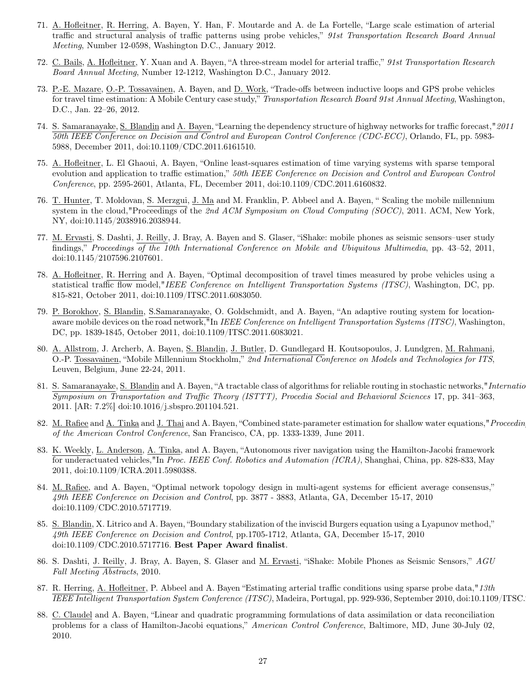- 71. A. Hofleitner, R. Herring, A. Bayen, Y. Han, F. Moutarde and A. de La Fortelle, "Large scale estimation of arterial traffic and structural analysis of traffic patterns using probe vehicles," 91st Transportation Research Board Annual Meeting, Number 12-0598, Washington D.C., January 2012.
- 72. C. Bails, A. Hofleitner, Y. Xuan and A. Bayen, "A three-stream model for arterial traffic," 91st Transportation Research Board Annual Meeting, Number 12-1212, Washington D.C., January 2012.
- 73. P.-E. Mazare, O.-P. Tossavainen, A. Bayen, and D. Work, "Trade-offs between inductive loops and GPS probe vehicles for travel time estimation: A Mobile Century case study," Transportation Research Board 91st Annual Meeting, Washington, D.C., Jan. 22–26, 2012.
- 74. S. Samaranayake, S. Blandin and A. Bayen, "Learning the dependency structure of highway networks for traffic forecast,"2011 50th IEEE Conference on Decision and Control and European Control Conference (CDC-ECC), Orlando, FL, pp. 5983-5988, December 2011, doi:10.1109/CDC.2011.6161510.
- 75. A. Hofleitner, L. El Ghaoui, A. Bayen, "Online least-squares estimation of time varying systems with sparse temporal evolution and application to traffic estimation," 50th IEEE Conference on Decision and Control and European Control Conference, pp. 2595-2601, Atlanta, FL, December 2011, doi:10.1109/CDC.2011.6160832.
- 76. T. Hunter, T. Moldovan, S. Merzgui, J. Ma and M. Franklin, P. Abbeel and A. Bayen, " Scaling the mobile millennium system in the cloud,"Proceedings of the 2nd ACM Symposium on Cloud Computing (SOCC), 2011. ACM, New York, NY, doi:10.1145/2038916.2038944.
- 77. M. Ervasti, S. Dashti, J. Reilly, J. Bray, A. Bayen and S. Glaser, "iShake: mobile phones as seismic sensors–user study findings," Proceedings of the 10th International Conference on Mobile and Ubiquitous Multimedia, pp. 43–52, 2011, doi:10.1145/2107596.2107601.
- 78. A. Hofleitner, R. Herring and A. Bayen, "Optimal decomposition of travel times measured by probe vehicles using a statistical traffic flow model,"IEEE Conference on Intelligent Transportation Systems (ITSC), Washington, DC, pp. 815-821, October 2011, doi:10.1109/ITSC.2011.6083050.
- 79. P. Borokhov, S. Blandin, S.Samaranayake, O. Goldschmidt, and A. Bayen, "An adaptive routing system for locationaware mobile devices on the road network,"In IEEE Conference on Intelligent Transportation Systems (ITSC), Washington, DC, pp. 1839-1845, October 2011, doi:10.1109/ITSC.2011.6083021.
- 80. A. Allstrom, J. Archerb, A. Bayen, S. Blandin, J. Butler, D. Gundlegard H. Koutsopoulos, J. Lundgren, M. Rahmani, O.-P. Tossavainen, "Mobile Millennium Stockholm," 2nd International Conference on Models and Technologies for ITS, Leuven, Belgium, June 22-24, 2011.
- 81. S. Samaranayake, S. Blandin and A. Bayen, "A tractable class of algorithms for reliable routing in stochastic networks," *International* Symposium on Transportation and Traffic Theory (ISTTT), Procedia Social and Behavioral Sciences 17, pp. 341–363, 2011. [AR: 7.2%] doi:10.1016/j.sbspro.201104.521.
- 82. M. Rafiee and A. Tinka and J. Thai and A. Bayen, "Combined state-parameter estimation for shallow water equations," Proceedin of the American Control Conference, San Francisco, CA, pp. 1333-1339, June 2011.
- 83. K. Weekly, L. Anderson, A. Tinka, and A. Bayen, "Autonomous river navigation using the Hamilton-Jacobi framework for underactuated vehicles,"In Proc. IEEE Conf. Robotics and Automation (ICRA), Shanghai, China, pp. 828-833, May 2011, doi:10.1109/ICRA.2011.5980388.
- 84. M. Rafiee, and A. Bayen, "Optimal network topology design in multi-agent systems for efficient average consensus," 49th IEEE Conference on Decision and Control, pp. 3877 - 3883, Atlanta, GA, December 15-17, 2010 doi:10.1109/CDC.2010.5717719.
- 85. S. Blandin, X. Litrico and A. Bayen, "Boundary stabilization of the inviscid Burgers equation using a Lyapunov method," 49th IEEE Conference on Decision and Control, pp.1705-1712, Atlanta, GA, December 15-17, 2010 doi:10.1109/CDC.2010.5717716. Best Paper Award finalist.
- 86. S. Dashti, J. Reilly, J. Bray, A. Bayen, S. Glaser and <u>M. Ervasti</u>, "iShake: Mobile Phones as Seismic Sensors,"  $AGU$ Fall Meeting Abstracts, 2010.
- 87. R. Herring, A. Hofleitner, P. Abbeel and A. Bayen "Estimating arterial traffic conditions using sparse probe data," 13th IEEE Intelligent Transportation System Conference (ITSC), Madeira, Portugal, pp. 929-936, September 2010, doi:10.1109/ITSC.
- 88. C. Claudel and A. Bayen, "Linear and quadratic programming formulations of data assimilation or data reconciliation problems for a class of Hamilton-Jacobi equations," American Control Conference, Baltimore, MD, June 30-July 02, 2010.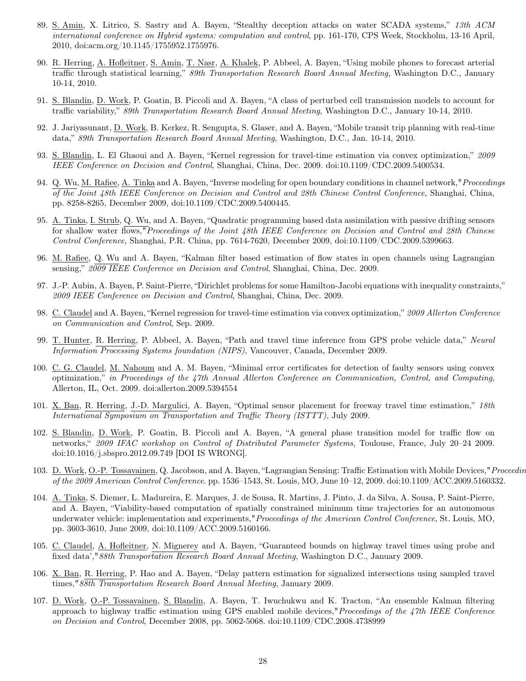- 89. S. Amin, X. Litrico, S. Sastry and A. Bayen, "Stealthy deception attacks on water SCADA systems," 13th ACM international conference on Hybrid systems: computation and control, pp. 161-170, CPS Week, Stockholm, 13-16 April, 2010, doi:acm.org/10.1145/1755952.1755976.
- 90. R. Herring, A. Hofleitner, S. Amin, T. Nasr, A. Khalek, P. Abbeel, A. Bayen, "Using mobile phones to forecast arterial traffic through statistical learning," 89th Transportation Research Board Annual Meeting, Washington D.C., January 10-14, 2010.
- 91. S. Blandin, D. Work, P. Goatin, B. Piccoli and A. Bayen, "A class of perturbed cell transmission models to account for traffic variability," 89th Transportation Research Board Annual Meeting, Washington D.C., January 10-14, 2010.
- 92. J. Jariyasunant, D. Work, B. Kerkez, R. Sengupta, S. Glaser, and A. Bayen, "Mobile transit trip planning with real-time data," 89th Transportation Research Board Annual Meeting, Washington, D.C., Jan. 10-14, 2010.
- 93. S. Blandin, L. El Ghaoui and A. Bayen, "Kernel regression for travel-time estimation via convex optimization," 2009 IEEE Conference on Decision and Control, Shanghai, China, Dec. 2009. doi:10.1109/CDC.2009.5400534.
- 94. Q. Wu, M. Rafiee, A. Tinka and A. Bayen, "Inverse modeling for open boundary conditions in channel network," Proceedings of the Joint 48th IEEE Conference on Decision and Control and 28th Chinese Control Conference, Shanghai, China, pp. 8258-8265, December 2009, doi:10.1109/CDC.2009.5400445.
- 95. A. Tinka, I. Strub, Q. Wu, and A. Bayen, "Quadratic programming based data assimilation with passive drifting sensors for shallow water flows,"Proceedings of the Joint 48th IEEE Conference on Decision and Control and 28th Chinese Control Conference, Shanghai, P.R. China, pp. 7614-7620, December 2009, doi:10.1109/CDC.2009.5399663.
- 96. M. Rafiee, Q. Wu and A. Bayen, "Kalman filter based estimation of flow states in open channels using Lagrangian sensing," 2009 IEEE Conference on Decision and Control, Shanghai, China, Dec. 2009.
- 97. J.-P. Aubin, A. Bayen, P. Saint-Pierre, "Dirichlet problems for some Hamilton-Jacobi equations with inequality constraints," 2009 IEEE Conference on Decision and Control, Shanghai, China, Dec. 2009.
- 98. C. Claudel and A. Bayen, "Kernel regression for travel-time estimation via convex optimization," 2009 Allerton Conference on Communication and Control, Sep. 2009.
- 99. T. Hunter, R. Herring, P. Abbeel, A. Bayen, "Path and travel time inference from GPS probe vehicle data," Neural Information Processing Systems foundation (NIPS), Vancouver, Canada, December 2009.
- 100. C. G. Claudel, M. Nahoum and A. M. Bayen, "Minimal error certificates for detection of faulty sensors using convex optimization," in Proceedings of the 47th Annual Allerton Conference on Communication, Control, and Computing, Allerton, IL, Oct. 2009. doi:allerton.2009.5394554
- 101. X. Ban, R. Herring, J.-D. Margulici, A. Bayen, "Optimal sensor placement for freeway travel time estimation," 18th International Symposium on Transportation and Traffic Theory (ISTTT), July 2009.
- 102. S. Blandin, D. Work, P. Goatin, B. Piccoli and A. Bayen, "A general phase transition model for traffic flow on networks," 2009 IFAC workshop on Control of Distributed Parameter Systems, Toulouse, France, July 20–24 2009. doi:10.1016/j.sbspro.2012.09.749 [DOI IS WRONG].
- 103. D. Work, O.-P. Tossavainen, Q. Jacobson, and A. Bayen, "Lagrangian Sensing: Traffic Estimation with Mobile Devices," Proceedin of the 2009 American Control Conference. pp. 1536–1543, St. Louis, MO, June 10–12, 2009. doi:10.1109/ACC.2009.5160332.
- 104. A. Tinka, S. Diemer, L. Madureira, E. Marques, J. de Sousa, R. Martins, J. Pinto, J. da Silva, A. Sousa, P. Saint-Pierre, and A. Bayen, "Viability-based computation of spatially constrained minimum time trajectories for an autonomous underwater vehicle: implementation and experiments," Proceedings of the American Control Conference, St. Louis, MO, pp. 3603-3610, June 2009, doi:10.1109/ACC.2009.5160166.
- 105. C. Claudel, A. Hofleitner, N. Mignerey and A. Bayen, "Guaranteed bounds on highway travel times using probe and fixed data',"88th Transportation Research Board Annual Meeting, Washington D.C., January 2009.
- 106. X. Ban, R. Herring, P. Hao and A. Bayen, "Delay pattern estimation for signalized intersections using sampled travel times,"88th Transportation Research Board Annual Meeting, January 2009.
- 107. D. Work, O.-P. Tossavainen, S. Blandin, A. Bayen, T. Iwuchukwu and K. Tracton, "An ensemble Kalman filtering approach to highway traffic estimation using GPS enabled mobile devices,"Proceedings of the 47th IEEE Conference on Decision and Control, December 2008, pp. 5062-5068. doi:10.1109/CDC.2008.4738999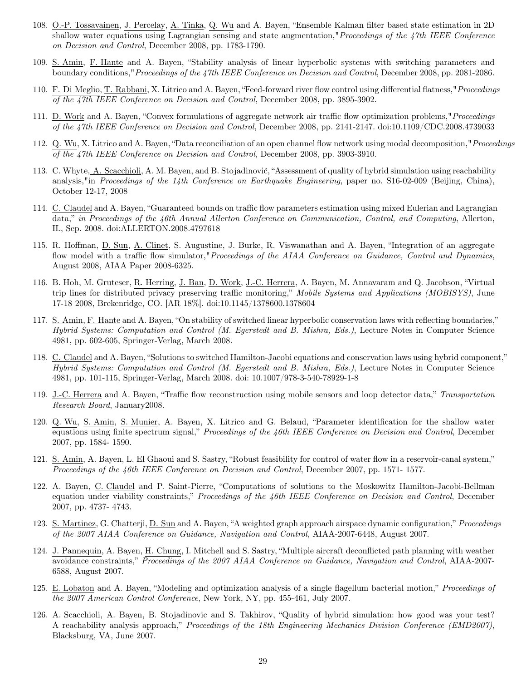- 108. O.-P. Tossavainen, J. Percelay, A. Tinka, Q. Wu and A. Bayen, "Ensemble Kalman filter based state estimation in 2D shallow water equations using Lagrangian sensing and state augmentation," Proceedings of the 47th IEEE Conference on Decision and Control, December 2008, pp. 1783-1790.
- 109. S. Amin, F. Hante and A. Bayen, "Stability analysis of linear hyperbolic systems with switching parameters and boundary conditions,"Proceedings of the 47th IEEE Conference on Decision and Control, December 2008, pp. 2081-2086.
- 110. F. Di Meglio, T. Rabbani, X. Litrico and A. Bayen, "Feed-forward river flow control using differential flatness,"Proceedings of the 47th IEEE Conference on Decision and Control, December 2008, pp. 3895-3902.
- 111. D. Work and A. Bayen, "Convex formulations of aggregate network air traffic flow optimization problems,"Proceedings of the 47th IEEE Conference on Decision and Control, December 2008, pp. 2141-2147. doi:10.1109/CDC.2008.4739033
- 112. Q. Wu, X. Litrico and A. Bayen, "Data reconciliation of an open channel flow network using modal decomposition,"Proceedings of the 47th IEEE Conference on Decision and Control, December 2008, pp. 3903-3910.
- 113. C. Whyte, A. Scacchioli, A. M. Bayen, and B. Stojadinović, "Assessment of quality of hybrid simulation using reachability analysis,"in Proceedings of the 14th Conference on Earthquake Engineering, paper no.  $S16-02-009$  (Beijing, China), October 12-17, 2008
- 114. C. Claudel and A. Bayen, "Guaranteed bounds on traffic flow parameters estimation using mixed Eulerian and Lagrangian data," in Proceedings of the 46th Annual Allerton Conference on Communication, Control, and Computing, Allerton, IL, Sep. 2008. doi:ALLERTON.2008.4797618
- 115. R. Hoffman, D. Sun, A. Clinet, S. Augustine, J. Burke, R. Viswanathan and A. Bayen, "Integration of an aggregate flow model with a traffic flow simulator,"*Proceedings of the AIAA Conference on Guidance, Control and Dynamics*, August 2008, AIAA Paper 2008-6325.
- 116. B. Hoh, M. Gruteser, R. Herring, J. Ban, D. Work, J.-C. Herrera, A. Bayen, M. Annavaram and Q. Jacobson, "Virtual trip lines for distributed privacy preserving traffic monitoring," Mobile Systems and Applications (MOBISYS), June 17-18 2008, Brekenridge, CO. [AR 18%]. doi:10.1145/1378600.1378604
- 117. S. Amin, F. Hante and A. Bayen, "On stability of switched linear hyperbolic conservation laws with reflecting boundaries," Hybrid Systems: Computation and Control (M. Egerstedt and B. Mishra, Eds.), Lecture Notes in Computer Science 4981, pp. 602-605, Springer-Verlag, March 2008.
- 118. C. Claudel and A. Bayen, "Solutions to switched Hamilton-Jacobi equations and conservation laws using hybrid component," Hybrid Systems: Computation and Control (M. Egerstedt and B. Mishra, Eds.), Lecture Notes in Computer Science 4981, pp. 101-115, Springer-Verlag, March 2008. doi: 10.1007/978-3-540-78929-1-8
- 119. J.-C. Herrera and A. Bayen, "Traffic flow reconstruction using mobile sensors and loop detector data," Transportation Research Board, January2008.
- 120. Q. Wu, S. Amin, S. Munier, A. Bayen, X. Litrico and G. Belaud, "Parameter identification for the shallow water equations using finite spectrum signal," Proceedings of the 46th IEEE Conference on Decision and Control, December 2007, pp. 1584- 1590.
- 121. S. Amin, A. Bayen, L. El Ghaoui and S. Sastry, "Robust feasibility for control of water flow in a reservoir-canal system," Proceedings of the 46th IEEE Conference on Decision and Control, December 2007, pp. 1571- 1577.
- 122. A. Bayen, C. Claudel and P. Saint-Pierre, "Computations of solutions to the Moskowitz Hamilton-Jacobi-Bellman equation under viability constraints," Proceedings of the 46th IEEE Conference on Decision and Control, December 2007, pp. 4737- 4743.
- 123. S. Martinez, G. Chatterji, D. Sun and A. Bayen, "A weighted graph approach airspace dynamic configuration," Proceedings of the 2007 AIAA Conference on Guidance, Navigation and Control, AIAA-2007-6448, August 2007.
- 124. J. Pannequin, A. Bayen, H. Chung, I. Mitchell and S. Sastry, "Multiple aircraft deconflicted path planning with weather avoidance constraints," Proceedings of the 2007 AIAA Conference on Guidance, Navigation and Control, AIAA-2007- 6588, August 2007.
- 125. E. Lobaton and A. Bayen, "Modeling and optimization analysis of a single flagellum bacterial motion," Proceedings of the 2007 American Control Conference, New York, NY, pp. 455-461, July 2007.
- 126. A. Scacchioli, A. Bayen, B. Stojadinovic and S. Takhirov, "Quality of hybrid simulation: how good was your test? A reachability analysis approach," Proceedings of the 18th Engineering Mechanics Division Conference (EMD2007), Blacksburg, VA, June 2007.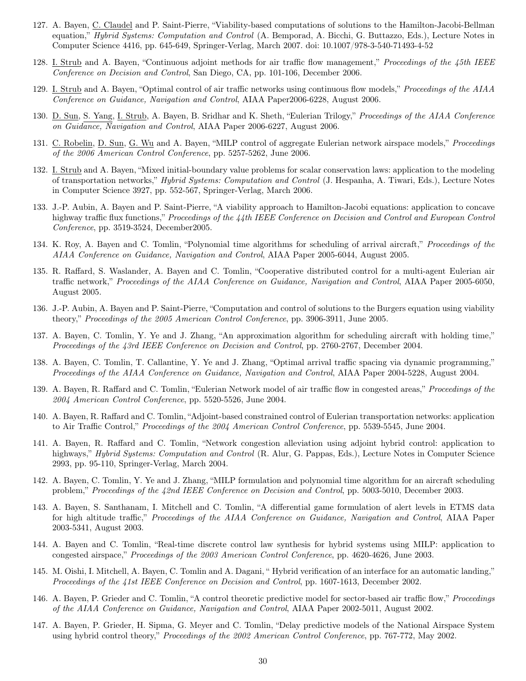- 127. A. Bayen, C. Claudel and P. Saint-Pierre, "Viability-based computations of solutions to the Hamilton-Jacobi-Bellman equation," *Hybrid Systems: Computation and Control* (A. Bemporad, A. Bicchi, G. Buttazzo, Eds.), Lecture Notes in Computer Science 4416, pp. 645-649, Springer-Verlag, March 2007. doi: 10.1007/978-3-540-71493-4-52
- 128. I. Strub and A. Bayen, "Continuous adjoint methods for air traffic flow management," Proceedings of the 45th IEEE Conference on Decision and Control, San Diego, CA, pp. 101-106, December 2006.
- 129. I. Strub and A. Bayen, "Optimal control of air traffic networks using continuous flow models," Proceedings of the AIAA Conference on Guidance, Navigation and Control, AIAA Paper2006-6228, August 2006.
- 130. D. Sun, S. Yang, I. Strub, A. Bayen, B. Sridhar and K. Sheth, "Eulerian Trilogy," Proceedings of the AIAA Conference on Guidance, Navigation and Control, AIAA Paper 2006-6227, August 2006.
- 131. C. Robelin, D. Sun, G. Wu and A. Bayen, "MILP control of aggregate Eulerian network airspace models," Proceedings of the 2006 American Control Conference, pp. 5257-5262, June 2006.
- 132. I. Strub and A. Bayen, "Mixed initial-boundary value problems for scalar conservation laws: application to the modeling of transportation networks," Hybrid Systems: Computation and Control (J. Hespanha, A. Tiwari, Eds.), Lecture Notes in Computer Science 3927, pp. 552-567, Springer-Verlag, March 2006.
- 133. J.-P. Aubin, A. Bayen and P. Saint-Pierre, "A viability approach to Hamilton-Jacobi equations: application to concave highway traffic flux functions," Proceedings of the 44th IEEE Conference on Decision and Control and European Control Conference, pp. 3519-3524, December2005.
- 134. K. Roy, A. Bayen and C. Tomlin, "Polynomial time algorithms for scheduling of arrival aircraft," Proceedings of the AIAA Conference on Guidance, Navigation and Control, AIAA Paper 2005-6044, August 2005.
- 135. R. Raffard, S. Waslander, A. Bayen and C. Tomlin, "Cooperative distributed control for a multi-agent Eulerian air traffic network," Proceedings of the AIAA Conference on Guidance, Navigation and Control, AIAA Paper 2005-6050, August 2005.
- 136. J.-P. Aubin, A. Bayen and P. Saint-Pierre, "Computation and control of solutions to the Burgers equation using viability theory," Proceedings of the 2005 American Control Conference, pp. 3906-3911, June 2005.
- 137. A. Bayen, C. Tomlin, Y. Ye and J. Zhang, "An approximation algorithm for scheduling aircraft with holding time," Proceedings of the 43rd IEEE Conference on Decision and Control, pp. 2760-2767, December 2004.
- 138. A. Bayen, C. Tomlin, T. Callantine, Y. Ye and J. Zhang, "Optimal arrival traffic spacing via dynamic programming," Proceedings of the AIAA Conference on Guidance, Navigation and Control, AIAA Paper 2004-5228, August 2004.
- 139. A. Bayen, R. Raffard and C. Tomlin, "Eulerian Network model of air traffic flow in congested areas," Proceedings of the 2004 American Control Conference, pp. 5520-5526, June 2004.
- 140. A. Bayen, R. Raffard and C. Tomlin, "Adjoint-based constrained control of Eulerian transportation networks: application to Air Traffic Control," Proceedings of the 2004 American Control Conference, pp. 5539-5545, June 2004.
- 141. A. Bayen, R. Raffard and C. Tomlin, "Network congestion alleviation using adjoint hybrid control: application to highways," Hybrid Systems: Computation and Control (R. Alur, G. Pappas, Eds.), Lecture Notes in Computer Science 2993, pp. 95-110, Springer-Verlag, March 2004.
- 142. A. Bayen, C. Tomlin, Y. Ye and J. Zhang, "MILP formulation and polynomial time algorithm for an aircraft scheduling problem," Proceedings of the 42nd IEEE Conference on Decision and Control, pp. 5003-5010, December 2003.
- 143. A. Bayen, S. Santhanam, I. Mitchell and C. Tomlin, "A differential game formulation of alert levels in ETMS data for high altitude traffic," Proceedings of the AIAA Conference on Guidance, Navigation and Control, AIAA Paper 2003-5341, August 2003.
- 144. A. Bayen and C. Tomlin, "Real-time discrete control law synthesis for hybrid systems using MILP: application to congested airspace," Proceedings of the 2003 American Control Conference, pp. 4620-4626, June 2003.
- 145. M. Oishi, I. Mitchell, A. Bayen, C. Tomlin and A. Dagani, " Hybrid verification of an interface for an automatic landing," Proceedings of the 41st IEEE Conference on Decision and Control, pp. 1607-1613, December 2002.
- 146. A. Bayen, P. Grieder and C. Tomlin, "A control theoretic predictive model for sector-based air traffic flow," Proceedings of the AIAA Conference on Guidance, Navigation and Control, AIAA Paper 2002-5011, August 2002.
- 147. A. Bayen, P. Grieder, H. Sipma, G. Meyer and C. Tomlin, "Delay predictive models of the National Airspace System using hybrid control theory," Proceedings of the 2002 American Control Conference, pp. 767-772, May 2002.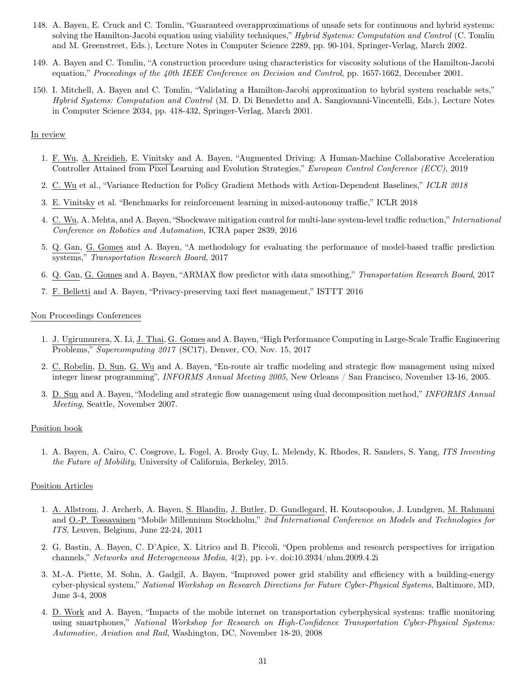- 148. A. Bayen, E. Cruck and C. Tomlin, "Guaranteed overapproximations of unsafe sets for continuous and hybrid systems: solving the Hamilton-Jacobi equation using viability techniques," Hybrid Systems: Computation and Control (C. Tomlin and M. Greenstreet, Eds.), Lecture Notes in Computer Science 2289, pp. 90-104, Springer-Verlag, March 2002.
- 149. A. Bayen and C. Tomlin, "A construction procedure using characteristics for viscosity solutions of the Hamilton-Jacobi equation," Proceedings of the 40th IEEE Conference on Decision and Control, pp. 1657-1662, December 2001.
- 150. I. Mitchell, A. Bayen and C. Tomlin, "Validating a Hamilton-Jacobi approximation to hybrid system reachable sets," Hybrid Systems: Computation and Control (M. D. Di Benedetto and A. Sangiovanni-Vincentelli, Eds.), Lecture Notes in Computer Science 2034, pp. 418-432, Springer-Verlag, March 2001.

#### In review

- 1. F. Wu, A. Kreidieh, E. Vinitsky and A. Bayen, "Augmented Driving: A Human-Machine Collaborative Acceleration Controller Attained from Pixel Learning and Evolution Strategies," European Control Conference (ECC), 2019
- 2. C. Wu et al., "Variance Reduction for Policy Gradient Methods with Action-Dependent Baselines," ICLR 2018
- 3. E. Vinitsky et al. "Benchmarks for reinforcement learning in mixed-autonomy traffic," ICLR 2018
- 4. C. Wu, A. Mehta, and A. Bayen, "Shockwave mitigation control for multi-lane system-level traffic reduction," International Conference on Robotics and Automation, ICRA paper 2839, 2016
- 5. Q. Gan, G. Gomes and A. Bayen, "A methodology for evaluating the performance of model-based traffic prediction systems," Transportation Research Board, 2017
- 6. Q. Gan, G. Gomes and A. Bayen, "ARMAX flow predictor with data smoothing," Transportation Research Board, 2017
- 7. F. Belletti and A. Bayen, "Privacy-preserving taxi fleet management," ISTTT 2016

#### Non Proceedings Conferences

- 1. J. Ugirumurera, X. Li, J. Thai, G. Gomes and A. Bayen, "High Performance Computing in Large-Scale Traffic Engineering Problems," Supercomputing 2017 (SC17), Denver, CO, Nov. 15, 2017
- 2. C. Robelin, D. Sun, G. Wu and A. Bayen, "En-route air traffic modeling and strategic flow management using mixed integer linear programming", INFORMS Annual Meeting 2005, New Orleans / San Francisco, November 13-16, 2005.
- 3. D. Sun and A. Bayen, "Modeling and strategic flow management using dual decomposition method," INFORMS Annual Meeting, Seattle, November 2007.

#### Position book

1. A. Bayen, A. Cairo, C. Cosgrove, L. Fogel, A. Brody Guy, L. Melendy, K. Rhodes, R. Sanders, S. Yang, ITS Inventing the Future of Mobility, University of California, Berkeley, 2015.

### Position Articles

- 1. A. Allstrom, J. Archerb, A. Bayen, S. Blandin, J. Butler, D. Gundlegard, H. Koutsopoulos, J. Lundgren, M. Rahmani and O.-P. Tossavainen "Mobile Millennium Stockholm," 2nd International Conference on Models and Technologies for ITS, Leuven, Belgium, June 22-24, 2011
- 2. G. Bastin, A. Bayen, C. D'Apice, X. Litrico and B. Piccoli, "Open problems and research perspectives for irrigation channels," Networks and Heterogeneous Media, 4(2), pp. i-v. doi:10.3934/nhm.2009.4.2i
- 3. M.-A. Piette, M. Sohn, A. Gadgil, A. Bayen, "Improved power grid stability and efficiency with a building-energy cyber-physical system," National Workshop on Research Directions for Future Cyber-Physical Systems, Baltimore, MD, June 3-4, 2008
- 4. D. Work and A. Bayen, "Impacts of the mobile internet on transportation cyberphysical systems: traffic monitoring using smartphones," National Workshop for Research on High-Confidence Transportation Cyber-Physical Systems: Automotive, Aviation and Rail, Washington, DC, November 18-20, 2008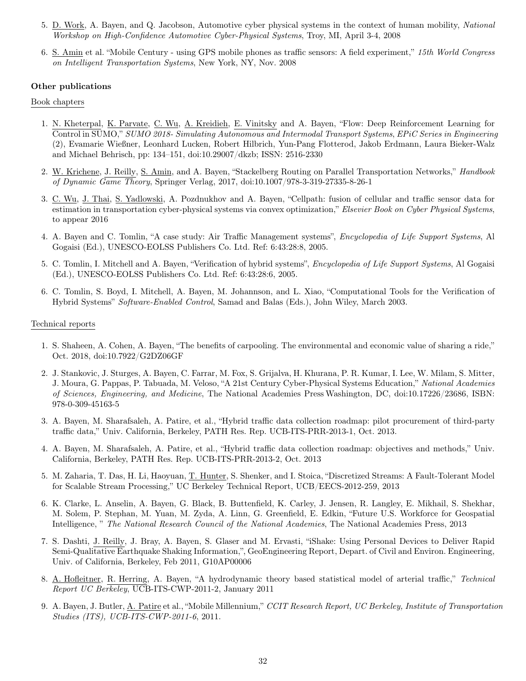- 5. D. Work, A. Bayen, and Q. Jacobson, Automotive cyber physical systems in the context of human mobility, National Workshop on High-Confidence Automotive Cyber-Physical Systems, Troy, MI, April 3-4, 2008
- 6. S. Amin et al. "Mobile Century using GPS mobile phones as traffic sensors: A field experiment," 15th World Congress on Intelligent Transportation Systems, New York, NY, Nov. 2008

### Other publications

#### Book chapters

- 1. N. Kheterpal, K. Parvate, C. Wu, A. Kreidieh, E. Vinitsky and A. Bayen, "Flow: Deep Reinforcement Learning for Control in SUMO," SUMO 2018- Simulating Autonomous and Intermodal Transport Systems, EPiC Series in Engineering (2), Evamarie Wießner, Leonhard Lucken, Robert Hilbrich, Yun-Pang Flotterod, Jakob Erdmann, Laura Bieker-Walz and Michael Behrisch, pp: 134–151, doi:10.29007/dkzb; ISSN: 2516-2330
- 2. W. Krichene, J. Reilly, S. Amin, and A. Bayen, "Stackelberg Routing on Parallel Transportation Networks," Handbook of Dynamic Game Theory, Springer Verlag, 2017, doi:10.1007/978-3-319-27335-8-26-1
- 3. C. Wu, J. Thai, S. Yadlowski, A. Pozdnukhov and A. Bayen, "Cellpath: fusion of cellular and traffic sensor data for estimation in transportation cyber-physical systems via convex optimization," Elsevier Book on Cyber Physical Systems, to appear 2016
- 4. A. Bayen and C. Tomlin, "A case study: Air Traffic Management systems", Encyclopedia of Life Support Systems, Al Gogaisi (Ed.), UNESCO-EOLSS Publishers Co. Ltd. Ref: 6:43:28:8, 2005.
- 5. C. Tomlin, I. Mitchell and A. Bayen, "Verification of hybrid systems", Encyclopedia of Life Support Systems, Al Gogaisi (Ed.), UNESCO-EOLSS Publishers Co. Ltd. Ref: 6:43:28:6, 2005.
- 6. C. Tomlin, S. Boyd, I. Mitchell, A. Bayen, M. Johannson, and L. Xiao, "Computational Tools for the Verification of Hybrid Systems" Software-Enabled Control, Samad and Balas (Eds.), John Wiley, March 2003.

#### Technical reports

- 1. S. Shaheen, A. Cohen, A. Bayen, "The benefits of carpooling. The environmental and economic value of sharing a ride," Oct. 2018, doi:10.7922/G2DZ06GF
- 2. J. Stankovic, J. Sturges, A. Bayen, C. Farrar, M. Fox, S. Grijalva, H. Khurana, P. R. Kumar, I. Lee, W. Milam, S. Mitter, J. Moura, G. Pappas, P. Tabuada, M. Veloso, "A 21st Century Cyber-Physical Systems Education," National Academies of Sciences, Engineering, and Medicine, The National Academies Press Washington, DC, doi:10.17226/23686, ISBN: 978-0-309-45163-5
- 3. A. Bayen, M. Sharafsaleh, A. Patire, et al., "Hybrid traffic data collection roadmap: pilot procurement of third-party traffic data," Univ. California, Berkeley, PATH Res. Rep. UCB-ITS-PRR-2013-1, Oct. 2013.
- 4. A. Bayen, M. Sharafsaleh, A. Patire, et al., "Hybrid traffic data collection roadmap: objectives and methods," Univ. California, Berkeley, PATH Res. Rep. UCB-ITS-PRR-2013-2, Oct. 2013
- 5. M. Zaharia, T. Das, H. Li, Haoyuan, T. Hunter, S. Shenker, and I. Stoica, "Discretized Streams: A Fault-Tolerant Model for Scalable Stream Processing," UC Berkeley Technical Report, UCB/EECS-2012-259, 2013
- 6. K. Clarke, L. Anselin, A. Bayen, G. Black, B. Buttenfield, K. Carley, J. Jensen, R. Langley, E. Mikhail, S. Shekhar, M. Solem, P. Stephan, M. Yuan, M. Zyda, A. Linn, G. Greenfield, E. Edkin, "Future U.S. Workforce for Geospatial Intelligence, " The National Research Council of the National Academies, The National Academies Press, 2013
- 7. S. Dashti, J. Reilly, J. Bray, A. Bayen, S. Glaser and M. Ervasti, "iShake: Using Personal Devices to Deliver Rapid Semi-Qualitative Earthquake Shaking Information,", GeoEngineering Report, Depart. of Civil and Environ. Engineering, Univ. of California, Berkeley, Feb 2011, G10AP00006
- 8. A. Hofleitner, R. Herring, A. Bayen, "A hydrodynamic theory based statistical model of arterial traffic," Technical Report UC Berkeley, UCB-ITS-CWP-2011-2, January 2011
- 9. A. Bayen, J. Butler, A. Patire et al., "Mobile Millennium," CCIT Research Report, UC Berkeley, Institute of Transportation Studies (ITS), UCB-ITS-CWP-2011-6, 2011.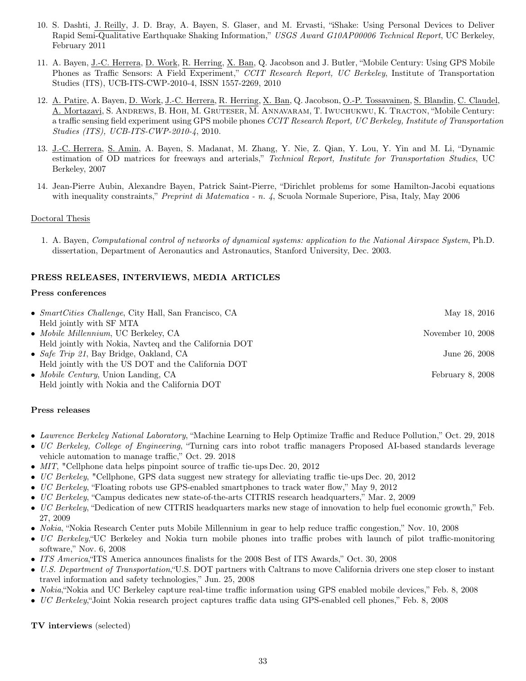- 10. S. Dashti, J. Reilly, J. D. Bray, A. Bayen, S. Glaser, and M. Ervasti, "iShake: Using Personal Devices to Deliver Rapid Semi-Qualitative Earthquake Shaking Information," USGS Award G10AP00006 Technical Report, UC Berkeley, February 2011
- 11. A. Bayen, J.-C. Herrera, D. Work, R. Herring, X. Ban, Q. Jacobson and J. Butler, "Mobile Century: Using GPS Mobile Phones as Traffic Sensors: A Field Experiment," CCIT Research Report, UC Berkeley, Institute of Transportation Studies (ITS), UCB-ITS-CWP-2010-4, ISSN 1557-2269, 2010
- 12. A. Patire, A. Bayen, D. Work, J.-C. Herrera, R. Herring, X. Ban, Q. Jacobson, O.-P. Tossavainen, S. Blandin, C. Claudel, A. Mortazavi, S. Andrews, B. Hoh, M. Gruteser, M. Annavaram, T. Iwuchukwu, K. Tracton, "Mobile Century: a traffic sensing field experiment using GPS mobile phones CCIT Research Report, UC Berkeley, Institute of Transportation Studies (ITS), UCB-ITS-CWP-2010-4, 2010.
- 13. J.-C. Herrera, S. Amin, A. Bayen, S. Madanat, M. Zhang, Y. Nie, Z. Qian, Y. Lou, Y. Yin and M. Li, "Dynamic estimation of OD matrices for freeways and arterials," Technical Report, Institute for Transportation Studies, UC Berkeley, 2007
- 14. Jean-Pierre Aubin, Alexandre Bayen, Patrick Saint-Pierre, "Dirichlet problems for some Hamilton-Jacobi equations with inequality constraints," *Preprint di Matematica - n. 4*, Scuola Normale Superiore, Pisa, Italy, May 2006

## Doctoral Thesis

1. A. Bayen, Computational control of networks of dynamical systems: application to the National Airspace System, Ph.D. dissertation, Department of Aeronautics and Astronautics, Stanford University, Dec. 2003.

## PRESS RELEASES, INTERVIEWS, MEDIA ARTICLES

## Press conferences

| • $SmartCities$ Challenge, City Hall, San Francisco, CA | May 18, 2016      |
|---------------------------------------------------------|-------------------|
| Held jointly with SF MTA                                |                   |
| • Mobile Millennium, UC Berkeley, CA                    | November 10, 2008 |
| Held jointly with Nokia, Navteq and the California DOT  |                   |
| • Safe Trip 21, Bay Bridge, Oakland, CA                 | June 26, 2008     |
| Held jointly with the US DOT and the California DOT     |                   |
| • <i>Mobile Century</i> , Union Landing, CA             | February 8, 2008  |
| Held jointly with Nokia and the California DOT          |                   |

## Press releases

- Lawrence Berkeley National Laboratory, "Machine Learning to Help Optimize Traffic and Reduce Pollution," Oct. 29, 2018
- UC Berkeley, College of Engineering, "Turning cars into robot traffic managers Proposed AI-based standards leverage vehicle automation to manage traffic," Oct. 29. 2018
- MIT, "Cellphone data helps pinpoint source of traffic tie-ups Dec. 20, 2012
- UC Berkeley, "Cellphone, GPS data suggest new strategy for alleviating traffic tie-ups Dec. 20, 2012
- UC Berkeley, "Floating robots use GPS-enabled smartphones to track water flow," May 9, 2012
- UC Berkeley, "Campus dedicates new state-of-the-arts CITRIS research headquarters," Mar. 2, 2009
- UC Berkeley, "Dedication of new CITRIS headquarters marks new stage of innovation to help fuel economic growth," Feb. 27, 2009
- Nokia, "Nokia Research Center puts Mobile Millennium in gear to help reduce traffic congestion," Nov. 10, 2008
- UC Berkeley,"UC Berkeley and Nokia turn mobile phones into traffic probes with launch of pilot traffic-monitoring software," Nov. 6, 2008
- ITS America,"ITS America announces finalists for the 2008 Best of ITS Awards," Oct. 30, 2008
- U.S. Department of Transportation, "U.S. DOT partners with Caltrans to move California drivers one step closer to instant travel information and safety technologies," Jun. 25, 2008
- Nokia,"Nokia and UC Berkeley capture real-time traffic information using GPS enabled mobile devices," Feb. 8, 2008
- UC Berkeley,"Joint Nokia research project captures traffic data using GPS-enabled cell phones," Feb. 8, 2008

TV interviews (selected)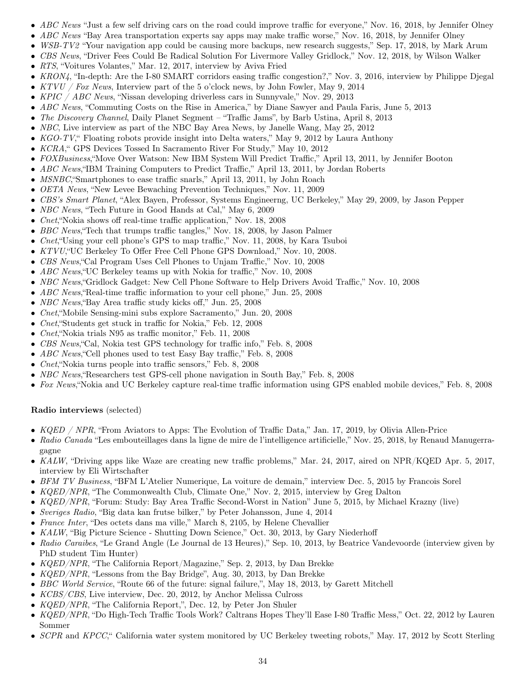- ABC News "Just a few self driving cars on the road could improve traffic for everyone," Nov. 16, 2018, by Jennifer Olney
- ABC News "Bay Area transportation experts say apps may make traffic worse," Nov. 16, 2018, by Jennifer Olney
- WSB-TV2 "Your navigation app could be causing more backups, new research suggests," Sep. 17, 2018, by Mark Arum
- CBS News, "Driver Fees Could Be Radical Solution For Livermore Valley Gridlock," Nov. 12, 2018, by Wilson Walker
- RTS, "Voitures Volantes," Mar. 12, 2017, interview by Aviva Fried
- KRON4, "In-depth: Are the I-80 SMART corridors easing traffic congestion?," Nov. 3, 2016, interview by Philippe Djegal
- $KTVU / For News, Interview part of the 5 o'clock news, by John Fowler, May 9, 2014$
- KPIC / ABC News, "Nissan developing driverless cars in Sunnyvale," Nov. 29, 2013
- ABC News, "Commuting Costs on the Rise in America," by Diane Sawyer and Paula Faris, June 5, 2013
- The Discovery Channel, Daily Planet Segment "Traffic Jams", by Barb Ustina, April 8, 2013
- NBC, Live interview as part of the NBC Bay Area News, by Janelle Wang, May 25, 2012
- KGO-TV, "Floating robots provide insight into Delta waters," May 9, 2012 by Laura Anthony
- KCRA," GPS Devices Tossed In Sacramento River For Study," May 10, 2012
- FOXBusiness, "Move Over Watson: New IBM System Will Predict Traffic," April 13, 2011, by Jennifer Booton
- ABC News,"IBM Training Computers to Predict Traffic," April 13, 2011, by Jordan Roberts
- *MSNBC*, "Smartphones to ease traffic snarls," April 13, 2011, by John Roach
- OETA News, "New Levee Bewaching Prevention Techniques," Nov. 11, 2009
- CBS's Smart Planet, "Alex Bayen, Professor, Systems Engineerng, UC Berkeley," May 29, 2009, by Jason Pepper
- NBC News, "Tech Future in Good Hands at Cal," May 6, 2009
- Cnet, "Nokia shows off real-time traffic application," Nov. 18, 2008
- BBC News,"Tech that trumps traffic tangles," Nov. 18, 2008, by Jason Palmer
- Cnet,"Using your cell phone's GPS to map traffic," Nov. 11, 2008, by Kara Tsuboi
- KTVU,"UC Berkeley To Offer Free Cell Phone GPS Download," Nov. 10, 2008.
- CBS News,"Cal Program Uses Cell Phones to Unjam Traffic," Nov. 10, 2008
- ABC News, "UC Berkeley teams up with Nokia for traffic," Nov. 10, 2008
- NBC News,"Gridlock Gadget: New Cell Phone Software to Help Drivers Avoid Traffic," Nov. 10, 2008
- ABC News, Real-time traffic information to your cell phone," Jun. 25, 2008
- NBC News,"Bay Area traffic study kicks off," Jun. 25, 2008
- Cnet, "Mobile Sensing-mini subs explore Sacramento," Jun. 20, 2008
- Cnet,"Students get stuck in traffic for Nokia," Feb. 12, 2008
- Cnet, "Nokia trials N95 as traffic monitor," Feb. 11, 2008
- CBS News,"Cal, Nokia test GPS technology for traffic info," Feb. 8, 2008
- ABC News, "Cell phones used to test Easy Bay traffic," Feb. 8, 2008
- Cnet,"Nokia turns people into traffic sensors," Feb. 8, 2008
- NBC News, Researchers test GPS-cell phone navigation in South Bay," Feb. 8, 2008
- Fox News, "Nokia and UC Berkeley capture real-time traffic information using GPS enabled mobile devices," Feb. 8, 2008

## Radio interviews (selected)

- KQED / NPR, "From Aviators to Apps: The Evolution of Traffic Data," Jan. 17, 2019, by Olivia Allen-Price
- Radio Canada "Les embouteillages dans la ligne de mire de l'intelligence artificielle," Nov. 25, 2018, by Renaud Manugerragagne
- KALW, "Driving apps like Waze are creating new traffic problems," Mar. 24, 2017, aired on NPR/KQED Apr. 5, 2017, interview by Eli Wirtschafter
- BFM TV Business, "BFM L'Atelier Numerique, La voiture de demain," interview Dec. 5, 2015 by Francois Sorel
- KQED/NPR, "The Commonwealth Club, Climate One," Nov. 2, 2015, interview by Greg Dalton
- KQED/NPR, "Forum: Study: Bay Area Traffic Second-Worst in Nation" June 5, 2015, by Michael Krazny (live)
- Sveriges Radio, "Big data kan frutse bilker," by Peter Johansson, June 4, 2014
- France Inter, "Des octets dans ma ville," March 8, 2105, by Helene Chevallier
- KALW, "Big Picture Science Shutting Down Science," Oct. 30, 2013, by Gary Niederhoff
- Radio Caraibes, "Le Grand Angle (Le Journal de 13 Heures)," Sep. 10, 2013, by Beatrice Vandevoorde (interview given by PhD student Tim Hunter)
- KQED/NPR, "The California Report/Magazine," Sep. 2, 2013, by Dan Brekke
- KQED/NPR, "Lessons from the Bay Bridge", Aug. 30, 2013, by Dan Brekke
- BBC World Service, "Route 66 of the future: signal failure,", May 18, 2013, by Garett Mitchell
- KCBS/CBS, Live interview, Dec. 20, 2012, by Anchor Melissa Culross
- KQED/NPR, "The California Report,", Dec. 12, by Peter Jon Shuler
- KQED/NPR, "Do High-Tech Traffic Tools Work? Caltrans Hopes They'll Ease I-80 Traffic Mess," Oct. 22, 2012 by Lauren Sommer
- SCPR and KPCC," California water system monitored by UC Berkeley tweeting robots," May. 17, 2012 by Scott Sterling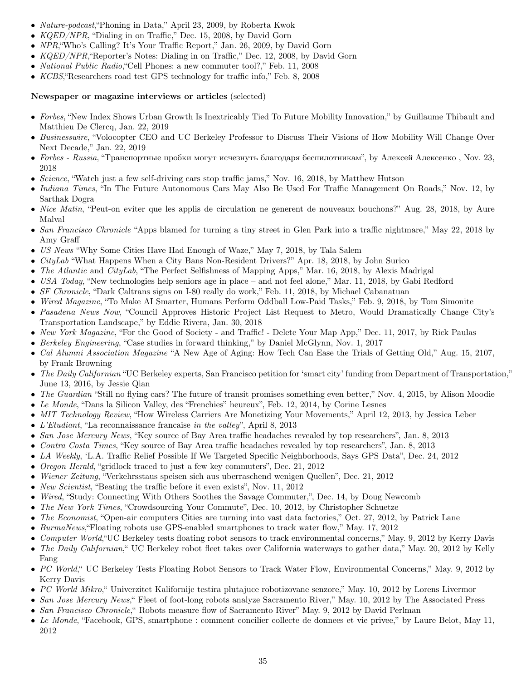- Nature-podcast,"Phoning in Data," April 23, 2009, by Roberta Kwok
- KQED/NPR, "Dialing in on Traffic," Dec. 15, 2008, by David Gorn
- NPR,"Who's Calling? It's Your Traffic Report," Jan. 26, 2009, by David Gorn
- KQED/NPR,"Reporter's Notes: Dialing in on Traffic," Dec. 12, 2008, by David Gorn
- *National Public Radio*, "Cell Phones: a new commuter tool?," Feb. 11, 2008
- KCBS,"Researchers road test GPS technology for traffic info," Feb. 8, 2008

## Newspaper or magazine interviews or articles (selected)

- Forbes, "New Index Shows Urban Growth Is Inextricably Tied To Future Mobility Innovation," by Guillaume Thibault and Matthieu De Clercq, Jan. 22, 2019
- Businesswire, "Volocopter CEO and UC Berkeley Professor to Discuss Their Visions of How Mobility Will Change Over Next Decade," Jan. 22, 2019
- Forbes Russia, "Транспортные пробки могут исчезнуть благодаря беспилотникам", by Алексей Алексенко, Nov. 23, 2018
- Science, "Watch just a few self-driving cars stop traffic jams," Nov. 16, 2018, by Matthew Hutson
- Indiana Times, "In The Future Autonomous Cars May Also Be Used For Traffic Management On Roads," Nov. 12, by Sarthak Dogra
- Nice Matin, "Peut-on eviter que les applis de circulation ne generent de nouveaux bouchons?" Aug. 28, 2018, by Aure Malval
- San Francisco Chronicle "Apps blamed for turning a tiny street in Glen Park into a traffic nightmare," May 22, 2018 by Amy Graff
- US News "Why Some Cities Have Had Enough of Waze," May 7, 2018, by Tala Salem
- *CityLab* "What Happens When a City Bans Non-Resident Drivers?" Apr. 18, 2018, by John Surico
- The Atlantic and CityLab, "The Perfect Selfishness of Mapping Apps," Mar. 16, 2018, by Alexis Madrigal
- USA Today, "New technologies help seniors age in place and not feel alone," Mar. 11, 2018, by Gabi Redford
- SF Chronicle, "Dark Caltrans signs on I-80 really do work," Feb. 11, 2018, by Michael Cabanatuan
- Wired Magazine, "To Make AI Smarter, Humans Perform Oddball Low-Paid Tasks," Feb. 9, 2018, by Tom Simonite
- Pasadena News Now, "Council Approves Historic Project List Request to Metro, Would Dramatically Change City's Transportation Landscape," by Eddie Rivera, Jan. 30, 2018
- New York Magazine, "For the Good of Society and Traffic! Delete Your Map App," Dec. 11, 2017, by Rick Paulas
- Berkeley Engineering, "Case studies in forward thinking," by Daniel McGlynn, Nov. 1, 2017
- Cal Alumni Association Magazine "A New Age of Aging: How Tech Can Ease the Trials of Getting Old," Aug. 15, 2107, by Frank Browning
- The Daily Californian "UC Berkeley experts, San Francisco petition for 'smart city' funding from Department of Transportation," June 13, 2016, by Jessie Qian
- The Guardian "Still no flying cars? The future of transit promises something even better," Nov. 4, 2015, by Alison Moodie
- Le Monde, "Dans la Silicon Valley, des "Frenchies" heureux", Feb. 12, 2014, by Corine Lesnes
- MIT Technology Review, "How Wireless Carriers Are Monetizing Your Movements," April 12, 2013, by Jessica Leber
- L'Etudiant, "La reconnaissance francaise in the valley", April 8, 2013
- San Jose Mercury News, "Key source of Bay Area traffic headaches revealed by top researchers", Jan. 8, 2013
- Contra Costa Times, "Key source of Bay Area traffic headaches revealed by top researchers", Jan. 8, 2013
- LA Weekly, 'L.A. Traffic Relief Possible If We Targeted Specific Neighborhoods, Says GPS Data", Dec. 24, 2012
- Oregon Herald, "gridlock traced to just a few key commuters", Dec. 21, 2012
- Wiener Zeitung, "Verkehrsstaus speisen sich aus uberraschend wenigen Quellen", Dec. 21, 2012
- New Scientist, "Beating the traffic before it even exists", Nov. 11, 2012
- Wired, "Study: Connecting With Others Soothes the Savage Commuter,", Dec. 14, by Doug Newcomb
- The New York Times, "Crowdsourcing Your Commute", Dec. 10, 2012, by Christopher Schuetze
- The Economist, "Open-air computers Cities are turning into vast data factories," Oct. 27, 2012, by Patrick Lane
- BurmaNews, "Floating robots use GPS-enabled smartphones to track water flow," May. 17, 2012
- Computer World, "UC Berkeley tests floating robot sensors to track environmental concerns," May. 9, 2012 by Kerry Davis
- The Daily Californian," UC Berkeley robot fleet takes over California waterways to gather data," May. 20, 2012 by Kelly Fang
- PC World, " UC Berkeley Tests Floating Robot Sensors to Track Water Flow, Environmental Concerns," May. 9, 2012 by Kerry Davis
- PC World Mikro, "Univerzitet Kalifornije testira plutajuce robotizovane senzore," May. 10, 2012 by Lorens Livermor
- San Jose Mercury News," Fleet of foot-long robots analyze Sacramento River," May. 10, 2012 by The Associated Press
- San Francisco Chronicle, "Robots measure flow of Sacramento River" May. 9, 2012 by David Perlman
- Le Monde, "Facebook, GPS, smartphone : comment concilier collecte de donnees et vie privee," by Laure Belot, May 11, 2012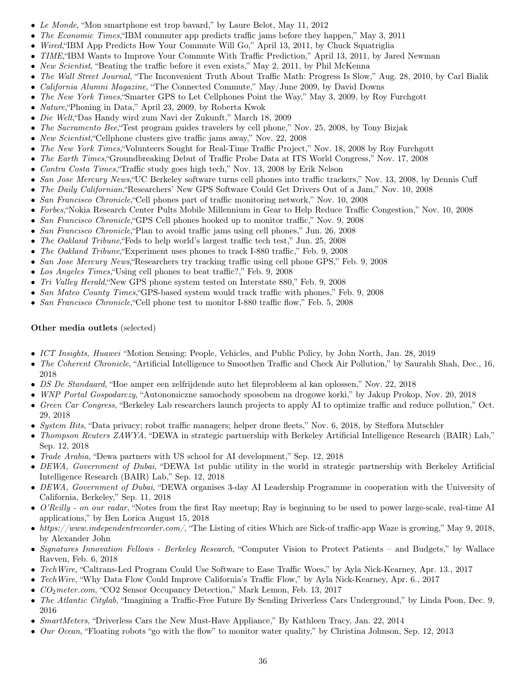- Le Monde, "Mon smartphone est trop bavard," by Laure Belot, May 11, 2012
- The Economic Times, HBM commuter app predicts traffic jams before they happen," May 3, 2011
- Wired, HBM App Predicts How Your Commute Will Go," April 13, 2011, by Chuck Squatriglia
- TIME, TBM Wants to Improve Your Commute With Traffic Prediction," April 13, 2011, by Jared Newman
- New Scientist, "Beating the traffic before it even exists," May 2, 2011, by Phil McKenna
- The Wall Street Journal, "The Inconvenient Truth About Traffic Math: Progress Is Slow," Aug. 28, 2010, by Carl Bialik
- *California Alumni Magazine*, "The Connected Commute," May/June 2009, by David Downs
- The New York Times, Smarter GPS to Let Cellphones Point the Way," May 3, 2009, by Roy Furchgott
- Nature,"Phoning in Data," April 23, 2009, by Roberta Kwok
- Die Welt,"Das Handy wird zum Navi der Zukunft," March 18, 2009
- The Sacramento Bee, Test program guides travelers by cell phone," Nov. 25, 2008, by Tony Bizjak
- New Scientist, "Cellphone clusters give traffic jams away," Nov. 22, 2008
- The New York Times, "Volunteers Sought for Real-Time Traffic Project," Nov. 18, 2008 by Roy Furchgott
- The Earth Times, "Groundbreaking Debut of Traffic Probe Data at ITS World Congress," Nov. 17, 2008
- Contra Costa Times,"Traffic study goes high tech," Nov. 13, 2008 by Erik Nelson
- San Jose Mercury News, "UC Berkeley software turns cell phones into traffic trackers," Nov. 13, 2008, by Dennis Cuff
- The Daily Californian, Researchers' New GPS Software Could Get Drivers Out of a Jam," Nov. 10, 2008
- San Francisco Chronicle, Cell phones part of traffic monitoring network," Nov. 10, 2008
- Forbes,"Nokia Research Center Pults Mobile Millennium in Gear to Help Reduce Traffic Congestion," Nov. 10, 2008
- San Francisco Chronicle, "GPS Cell phones hooked up to monitor traffic," Nov. 9, 2008
- San Francisco Chronicle, "Plan to avoid traffic jams using cell phones," Jun. 26, 2008
- The Oakland Tribune,"Feds to help world's largest traffic tech test," Jun. 25, 2008
- The Oakland Tribune, Experiment uses phones to track I-880 traffic," Feb. 9, 2008
- San Jose Mercury News, Researchers try tracking traffic using cell phone GPS," Feb. 9, 2008
- Los Angeles Times, "Using cell phones to beat traffic?," Feb. 9, 2008
- Tri Valley Herald, "New GPS phone system tested on Interstate 880," Feb. 9, 2008
- San Mateo County Times, "GPS-based system would track traffic with phones," Feb. 9, 2008
- San Francisco Chronicle, "Cell phone test to monitor I-880 traffic flow," Feb. 5, 2008

## Other media outlets (selected)

- ICT Insights, Huawei "Motion Sensing: People, Vehicles, and Public Policy, by John North, Jan. 28, 2019
- The Coherent Chronicle, "Artificial Intelligence to Smoothen Traffic and Check Air Pollution," by Saurabh Shah, Dec., 16, 2018
- DS De Standaard, "Hoe amper een zelfrijdende auto het fileprobleem al kan oplossen," Nov. 22, 2018
- WNP Portal Gospodarczy, "Autonomiczne samochody sposobem na drogowe korki," by Jakup Prokop, Nov. 20, 2018
- Green Car Congress, "Berkeley Lab researchers launch projects to apply AI to optimize traffic and reduce pollution," Oct. 29, 2018
- System Bits, "Data privacy; robot traffic managers; helper drone fleets," Nov. 6, 2018, by Steffora Mutschler
- Thompson Reuters ZAWYA, "DEWA in strategic partnership with Berkeley Artificial Intelligence Research (BAIR) Lab," Sep. 12, 2018
- Trade Arabia, "Dewa partners with US school for AI development," Sep. 12, 2018
- DEWA, Government of Dubai, "DEWA 1st public utility in the world in strategic partnership with Berkeley Artificial Intelligence Research (BAIR) Lab," Sep. 12, 2018
- DEWA, Government of Dubai, "DEWA organises 3-day AI Leadership Programme in cooperation with the University of California, Berkeley," Sep. 11, 2018
- O'Reilly on our radar, "Notes from the first Ray meetup; Ray is beginning to be used to power large-scale, real-time AI applications," by Ben Lorica August 15, 2018
- https://www.independentrecorder.com/, "The Listing of cities Which are Sick-of traffic-app Waze is growing," May 9, 2018, by Alexander John
- Signatures Innovation Fellows Berkeley Research, "Computer Vision to Protect Patients and Budgets," by Wallace Ravven, Feb. 6, 2018
- Tech Wire, "Caltrans-Led Program Could Use Software to Ease Traffic Woes," by Ayla Nick-Kearney, Apr. 13., 2017
- TechWire, "Why Data Flow Could Improve California's Traffic Flow," by Ayla Nick-Kearney, Apr. 6., 2017
- CO2meter.com, "CO2 Sensor Occupancy Detection," Mark Lemon, Feb. 13, 2017
- The Atlantic Citylab, "Imagining a Traffic-Free Future By Sending Driverless Cars Underground," by Linda Poon, Dec. 9, 2016
- SmartMeters, "Driverless Cars the New Must-Have Appliance," By Kathleen Tracy, Jan. 22, 2014
- Our Ocean, "Floating robots "go with the flow" to monitor water quality," by Christina Johnson, Sep. 12, 2013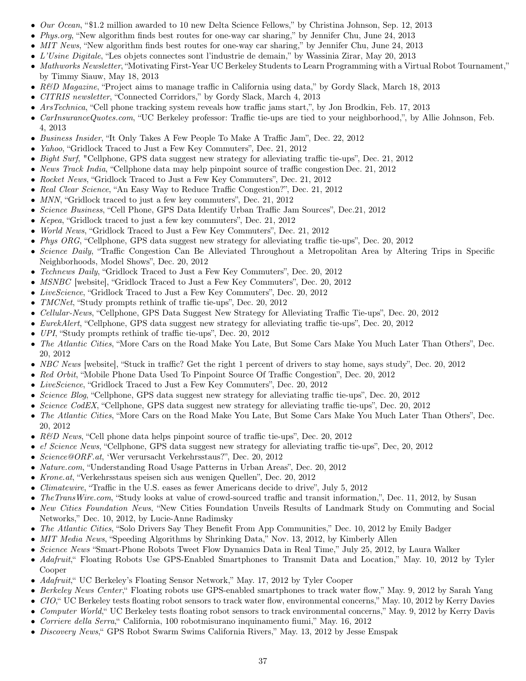- Our Ocean, "\$1.2 million awarded to 10 new Delta Science Fellows," by Christina Johnson, Sep. 12, 2013
- Phys.org, "New algorithm finds best routes for one-way car sharing," by Jennifer Chu, June 24, 2013
- MIT News, "New algorithm finds best routes for one-way car sharing," by Jennifer Chu, June 24, 2013
- L'Usine Digitale, "Les objets connectes sont l'industrie de demain," by Wassinia Zirar, May 20, 2013
- Mathworks Newsletter, "Motivating First-Year UC Berkeley Students to Learn Programming with a Virtual Robot Tournament," by Timmy Siauw, May 18, 2013
- R&D Magazine, "Project aims to manage traffic in California using data," by Gordy Slack, March 18, 2013
- CITRIS newsletter, "Connected Corridors," by Gordy Slack, March 4, 2013
- ArsTechnica, "Cell phone tracking system reveals how traffic jams start,", by Jon Brodkin, Feb. 17, 2013
- *CarInsuranceQuotes.com*, "UC Berkeley professor: Traffic tie-ups are tied to your neighborhood,", by Allie Johnson, Feb. 4, 2013
- Business Insider, "It Only Takes A Few People To Make A Traffic Jam", Dec. 22, 2012
- Yahoo, "Gridlock Traced to Just a Few Key Commuters", Dec. 21, 2012
- Bight Surf, "Cellphone, GPS data suggest new strategy for alleviating traffic tie-ups", Dec. 21, 2012
- News Track India, "Cellphone data may help pinpoint source of traffic congestion Dec. 21, 2012
- Rocket News, "Gridlock Traced to Just a Few Key Commuters", Dec. 21, 2012
- Real Clear Science, "An Easy Way to Reduce Traffic Congestion?", Dec. 21, 2012
- MNN, "Gridlock traced to just a few key commuters", Dec. 21, 2012
- Science Business, "Cell Phone, GPS Data Identify Urban Traffic Jam Sources", Dec.21, 2012
- Kepea, "Gridlock traced to just a few key commuters", Dec. 21, 2012
- World News, "Gridlock Traced to Just a Few Key Commuters", Dec. 21, 2012
- Phys ORG, "Cellphone, GPS data suggest new strategy for alleviating traffic tie-ups", Dec. 20, 2012
- Science Daily, "Traffic Congestion Can Be Alleviated Throughout a Metropolitan Area by Altering Trips in Specific Neighborhoods, Model Shows", Dec. 20, 2012
- Technews Daily, "Gridlock Traced to Just a Few Key Commuters", Dec. 20, 2012
- *MSNBC* [website], "Gridlock Traced to Just a Few Key Commuters", Dec. 20, 2012
- LiveScience, "Gridlock Traced to Just a Few Key Commuters", Dec. 20, 2012
- TMCNet, "Study prompts rethink of traffic tie-ups", Dec. 20, 2012
- Cellular-News, "Cellphone, GPS Data Suggest New Strategy for Alleviating Traffic Tie-ups", Dec. 20, 2012
- EurekAlert, "Cellphone, GPS data suggest new strategy for alleviating traffic tie-ups", Dec. 20, 2012
- *UPI*, "Study prompts rethink of traffic tie-ups", Dec. 20, 2012
- The Atlantic Cities, "More Cars on the Road Make You Late, But Some Cars Make You Much Later Than Others", Dec. 20, 2012
- NBC News [website], "Stuck in traffic? Get the right 1 percent of drivers to stay home, says study", Dec. 20, 2012
- Red Orbit, "Mobile Phone Data Used To Pinpoint Source Of Traffic Congestion", Dec. 20, 2012
- LiveScience, "Gridlock Traced to Just a Few Key Commuters", Dec. 20, 2012
- Science Blog, "Cellphone, GPS data suggest new strategy for alleviating traffic tie-ups", Dec. 20, 2012
- Science CodEX, "Cellphone, GPS data suggest new strategy for alleviating traffic tie-ups", Dec. 20, 2012
- The Atlantic Cities, "More Cars on the Road Make You Late, But Some Cars Make You Much Later Than Others", Dec. 20, 2012
- R&D News, "Cell phone data helps pinpoint source of traffic tie-ups", Dec. 20, 2012
- e! Science News, "Cellphone, GPS data suggest new strategy for alleviating traffic tie-ups", Dec, 20, 2012
- Science@ORF.at, 'Wer verursacht Verkehrsstaus?", Dec. 20, 2012
- *Nature.com*, "Understanding Road Usage Patterns in Urban Areas", Dec. 20, 2012
- Krone.at, "Verkehrsstaus speisen sich aus wenigen Quellen", Dec. 20, 2012
- *Climatewire*, "Traffic in the U.S. eases as fewer Americans decide to drive", July 5, 2012
- The TransWire.com, "Study looks at value of crowd-sourced traffic and transit information,", Dec. 11, 2012, by Susan
- New Cities Foundation News, "New Cities Foundation Unveils Results of Landmark Study on Commuting and Social Networks," Dec. 10, 2012, by Lucie-Anne Radimsky
- The Atlantic Cities, "Solo Drivers Say They Benefit From App Communities," Dec. 10, 2012 by Emily Badger
- MIT Media News, "Speeding Algorithms by Shrinking Data," Nov. 13, 2012, by Kimberly Allen
- Science News "Smart-Phone Robots Tweet Flow Dynamics Data in Real Time," July 25, 2012, by Laura Walker
- Adafruit," Floating Robots Use GPS-Enabled Smartphones to Transmit Data and Location," May. 10, 2012 by Tyler Cooper
- Adafruit," UC Berkeley's Floating Sensor Network," May. 17, 2012 by Tyler Cooper
- Berkeley News Center," Floating robots use GPS-enabled smartphones to track water flow," May. 9, 2012 by Sarah Yang
- CIO," UC Berkeley tests floating robot sensors to track water flow, environmental concerns," May. 10, 2012 by Kerry Davies
- Computer World," UC Berkeley tests floating robot sensors to track environmental concerns," May. 9, 2012 by Kerry Davis
- Corriere della Serra, California, 100 robotmisurano inquinamento fiumi," May. 16, 2012
- Discovery News," GPS Robot Swarm Swims California Rivers," May. 13, 2012 by Jesse Emspak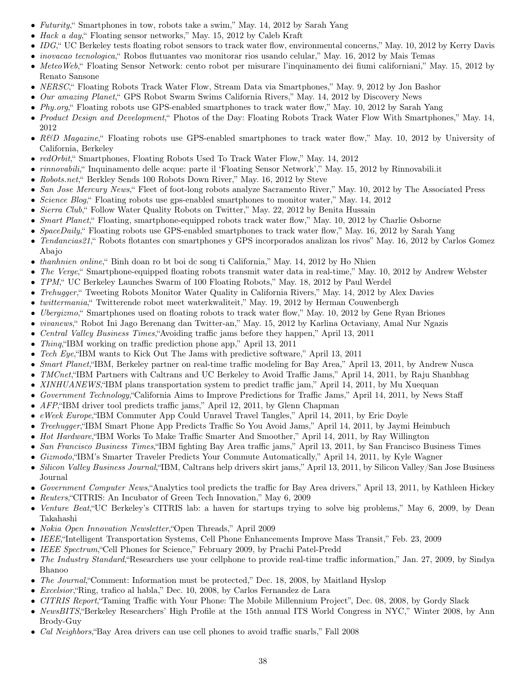- Futurity," Smartphones in tow, robots take a swim," May. 14, 2012 by Sarah Yang
- Hack a day," Floating sensor networks," May. 15, 2012 by Caleb Kraft
- IDG," UC Berkeley tests floating robot sensors to track water flow, environmental concerns," May. 10, 2012 by Kerry Davis
- inovacao tecnologica," Robos flutuantes vao monitorar rios usando celular," May. 16, 2012 by Mais Temas
- MeteoWeb," Floating Sensor Network: cento robot per misurare l'inquinamento dei fiumi californiani," May. 15, 2012 by Renato Sansone
- NERSC," Floating Robots Track Water Flow, Stream Data via Smartphones," May. 9, 2012 by Jon Bashor
- Our amazing Planet, "GPS Robot Swarm Swims California Rivers," May. 14, 2012 by Discovery News
- Phy.org," Floating robots use GPS-enabled smartphones to track water flow," May. 10, 2012 by Sarah Yang
- Product Design and Development," Photos of the Day: Floating Robots Track Water Flow With Smartphones," May. 14, 2012
- R&D Magazine, "Floating robots use GPS-enabled smartphones to track water flow," May. 10, 2012 by University of California, Berkeley
- redOrbit," Smartphones, Floating Robots Used To Track Water Flow," May. 14, 2012
- rinnovabili," Inquinamento delle acque: parte il 'Floating Sensor Network'," May. 15, 2012 by Rinnovabili.it
- Robots.net," Berkley Sends 100 Robots Down River," May. 16, 2012 by Steve
- San Jose Mercury News," Fleet of foot-long robots analyze Sacramento River," May. 10, 2012 by The Associated Press
- Science Blog, "Floating robots use gps-enabled smartphones to monitor water," May. 14, 2012
- Sierra Club," Follow Water Quality Robots on Twitter," May. 22, 2012 by Benita Hussain
- Smart Planet, "Floating, smartphone-equipped robots track water flow," May. 10, 2012 by Charlie Osborne
- SpaceDaily," Floating robots use GPS-enabled smartphones to track water flow," May. 16, 2012 by Sarah Yang
- Tendancias21," Robots flotantes con smartphones y GPS incorporados analizan los rivos" May. 16, 2012 by Carlos Gomez Abajo
- *thanhnien online*, "Binh doan ro bt boi dc song ti California," May. 14, 2012 by Ho Nhien
- The Verge, Smartphone-equipped floating robots transmit water data in real-time," May. 10, 2012 by Andrew Webster
- TPM," UC Berkeley Launches Swarm of 100 Floating Robots," May. 18, 2012 by Paul Werdel
- Trehugger," Tweeting Robots Monitor Water Quality in California Rivers," May. 14, 2012 by Alex Davies
- twittermania," Twitterende robot meet waterkwaliteit," May. 19, 2012 by Herman Couwenbergh
- *Ubergizmo*, "Smartphones used on floating robots to track water flow," May. 10, 2012 by Gene Ryan Briones
- vivanews," Robot Ini Jago Berenang dan Twitter-an," May. 15, 2012 by Karlina Octaviany, Amal Nur Ngazis
- Central Valley Business Times, "Avoiding traffic jams before they happen," April 13, 2011
- *Thing*, "IBM working on traffic prediction phone app," April 13, 2011
- Tech Eye,"IBM wants to Kick Out The Jams with predictive software," April 13, 2011
- Smart Planet, "IBM, Berkeley partner on real-time traffic modeling for Bay Area," April 13, 2011, by Andrew Nusca
- *TMCnet*, "IBM Partners with Caltrans and UC Berkeley to Avoid Traffic Jams," April 14, 2011, by Raju Shanbhag
- XINHUANEWS, "IBM plans transportation system to predict traffic jam," April 14, 2011, by Mu Xuequan
- Government Technology,"California Aims to Improve Predictions for Traffic Jams," April 14, 2011, by News Staff
- AFP,"IBM driver tool predicts traffic jams," April 12, 2011, by Glenn Chapman
- eWeek Europe,"IBM Commuter App Could Unravel Travel Tangles," April 14, 2011, by Eric Doyle
- Treehugger, "IBM Smart Phone App Predicts Traffic So You Avoid Jams," April 14, 2011, by Jaymi Heimbuch
- Hot Hardware,"IBM Works To Make Traffic Smarter And Smoother," April 14, 2011, by Ray Willington
- San Francisco Business Times, "IBM fighting Bay Area traffic jams," April 13, 2011, by San Francisco Business Times
- Gizmodo,"IBM's Smarter Traveler Predicts Your Commute Automatically," April 14, 2011, by Kyle Wagner
- Silicon Valley Business Journal,"IBM, Caltrans help drivers skirt jams," April 13, 2011, by Silicon Valley/San Jose Business Journal
- Government Computer News, Analytics tool predicts the traffic for Bay Area drivers," April 13, 2011, by Kathleen Hickey
- Reuters, "CITRIS: An Incubator of Green Tech Innovation," May 6, 2009
- Venture Beat,"UC Berkeley's CITRIS lab: a haven for startups trying to solve big problems," May 6, 2009, by Dean Takahashi
- *Nokia Open Innovation Newsletter*, "Open Threads," April 2009
- IEEE,"Intelligent Transportation Systems, Cell Phone Enhancements Improve Mass Transit," Feb. 23, 2009
- IEEE Spectrum,"Cell Phones for Science," February 2009, by Prachi Patel-Predd
- The Industry Standard, Researchers use your cellphone to provide real-time traffic information," Jan. 27, 2009, by Sindya Bhanoo
- The Journal, Comment: Information must be protected," Dec. 18, 2008, by Maitland Hyslop
- Excelsior,"Ring, trafico al habla," Dec. 10, 2008, by Carlos Fernandez de Lara
- CITRIS Report,"Taming Traffic with Your Phone: The Mobile Millennium Project", Dec. 08, 2008, by Gordy Slack
- NewsBITS, "Berkeley Researchers' High Profile at the 15th annual ITS World Congress in NYC," Winter 2008, by Ann Brody-Guy
- Cal Neighbors,"Bay Area drivers can use cell phones to avoid traffic snarls," Fall 2008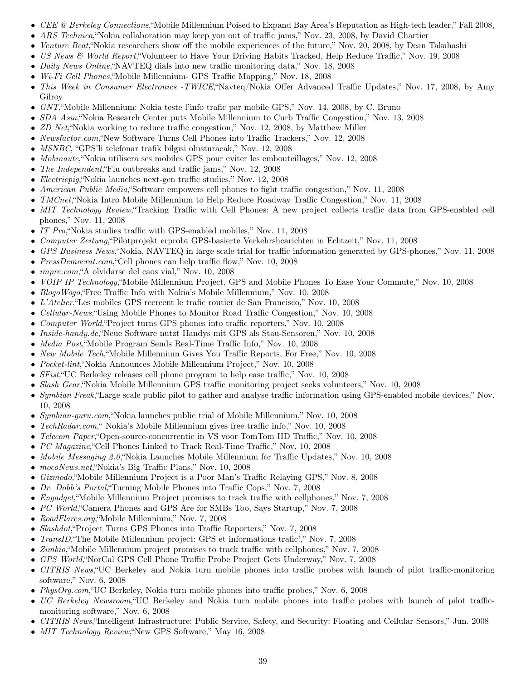- CEE @ Berkeley Connections,"Mobile Millennium Poised to Expand Bay Area's Reputation as High-tech leader," Fall 2008,
- ARS Technica, "Nokia collaboration may keep you out of traffic jams," Nov. 23, 2008, by David Chartier
- Venture Beat, "Nokia researchers show off the mobile experiences of the future," Nov. 20, 2008, by Dean Takahashi
- US News & World Report,"Volunteer to Have Your Driving Habits Tracked, Help Reduce Traffic," Nov. 19, 2008
- Daily News Online, "NAVTEQ dials into new traffic monitoring data," Nov. 18, 2008
- *Wi-Fi Cell Phones*, "Mobile Millennium- GPS Traffic Mapping," Nov. 18, 2008
- This Week in Consumer Electronics -TWICE, "Navteq/Nokia Offer Advanced Traffic Updates," Nov. 17, 2008, by Amy Gilroy
- GNT,"Mobile Millennium: Nokia teste l'info trafic par mobile GPS," Nov. 14, 2008, by C. Bruno
- SDA Asia, "Nokia Research Center puts Mobile Millennium to Curb Traffic Congestion," Nov. 13, 2008
- ZD Net, "Nokia working to reduce traffic congestion," Nov. 12, 2008, by Matthew Miller
- Newsfactor.com,"New Software Turns Cell Phones into Traffic Trackers," Nov. 12, 2008
- MSNBC, "GPS'li telefonar trafik bilgisi olusturacak," Nov. 12, 2008
- Mobinaute,"Nokia utilisera ses mobiles GPS pour eviter les embouteillages," Nov. 12, 2008
- The Independent,"Flu outbreaks and traffic jams," Nov. 12, 2008
- Electricpig,"Nokia launches next-gen traffic studies," Nov. 12, 2008
- American Public Media,"Software empowers cell phones to fight traffic congestion," Nov. 11, 2008
- *TMCnet*, "Nokia Intro Mobile Millennium to Help Reduce Roadway Traffic Congestion," Nov. 11, 2008
- MIT Technology Review, Tracking Traffic with Cell Phones: A new project collects traffic data from GPS-enabled cell phones," Nov. 11, 2008
- IT Pro, "Nokia studies traffic with GPS-enabled mobiles," Nov. 11, 2008
- Computer Zeitung,"Pilotprojekt erprobt GPS-basierte Verkehrshcarichten in Echtzeit," Nov. 11, 2008
- GPS Business News,"Nokia, NAVTEQ in large scale trial for traffic information generated by GPS-phones," Nov. 11, 2008
- *PressDemocrat.com*, "Cell phones can help traffic flow," Nov. 10, 2008
- *impre.com*, "A olvidarse del caos vial," Nov. 10, 2008
- *VOIP IP Technology*, "Mobile Millennium Project, GPS and Mobile Phones To Ease Your Commute," Nov. 10, 2008
- Blogo Wogo, "Free Traffic Info with Nokia's Mobile Millennium," Nov. 10, 2008
- L'Atelier,"Les mobiles GPS recreent le trafic routier de San Francisco," Nov. 10, 2008
- Cellular-News,"Using Mobile Phones to Monitor Road Traffic Congestion," Nov. 10, 2008
- Computer World,"Project turns GPS phones into traffic reporters," Nov. 10, 2008
- Inside-handy.de,"Neue Software nutzt Handys mit GPS als Stau-Sensoren," Nov. 10, 2008
- Media Post,"Mobile Program Sends Real-Time Traffic Info," Nov. 10, 2008
- New Mobile Tech,"Mobile Millennium Gives You Traffic Reports, For Free," Nov. 10, 2008
- Pocket-lint,"Nokia Announces Mobile Millennium Project," Nov. 10, 2008
- SFist,"UC Berkeley releases cell phone program to help ease traffic," Nov. 10, 2008
- Slash Gear, "Nokia Mobile Millennium GPS traffic monitoring project seeks volunteers," Nov. 10, 2008
- Symbian Freak, Large scale public pilot to gather and analyse traffic information using GPS-enabled mobile devices," Nov. 10, 2008
- Symbian-guru.com,"Nokia launches public trial of Mobile Millennium," Nov. 10, 2008
- TechRadar.com," Nokia's Mobile Millennium gives free traffic info," Nov. 10, 2008
- Telecom Paper,"Open-source-concurrentie in VS voor TomTom HD Traffic," Nov. 10, 2008
- PC Magazine, "Cell Phones Linked to Track Real-Time Traffic," Nov. 10, 2008
- *Mobile Messaging 2.0*, "Nokia Launches Mobile Millennium for Traffic Updates," Nov. 10, 2008
- mocoNews.net, "Nokia's Big Traffic Plans," Nov. 10, 2008
- Gizmodo,"Mobile Millennium Project is a Poor Man's Traffic Relaying GPS," Nov. 8, 2008
- Dr. Dobb's Portal,"Turning Mobile Phones into Traffic Cops," Nov. 7, 2008
- Engadget,"Mobile Millennium Project promises to track traffic with cellphones," Nov. 7, 2008
- PC World, "Camera Phones and GPS Are for SMBs Too, Says Startup," Nov. 7, 2008
- RoadFlares.org, "Mobile Millennium," Nov. 7, 2008
- Slashdot, "Project Turns GPS Phones into Traffic Reporters," Nov. 7, 2008
- TransID,"The Mobile Millennium project: GPS et informations trafic!," Nov. 7, 2008
- Zimbio,"Mobile Millennium project promises to track traffic with cellphones," Nov. 7, 2008
- GPS World,"NorCal GPS Cell Phone Traffic Probe Project Gets Underway," Nov. 7, 2008
- CITRIS News,"UC Berkeley and Nokia turn mobile phones into traffic probes with launch of pilot traffic-monitoring software," Nov. 6, 2008
- PhysOrg.com,"UC Berkeley, Nokia turn mobile phones into traffic probes," Nov. 6, 2008
- UC Berkeley Newsroom, "UC Berkeley and Nokia turn mobile phones into traffic probes with launch of pilot trafficmonitoring software," Nov. 6, 2008
- CITRIS News,"Intelligent Infrastructure: Public Service, Safety, and Security: Floating and Cellular Sensors," Jun. 2008
- MIT Technology Review,"New GPS Software," May 16, 2008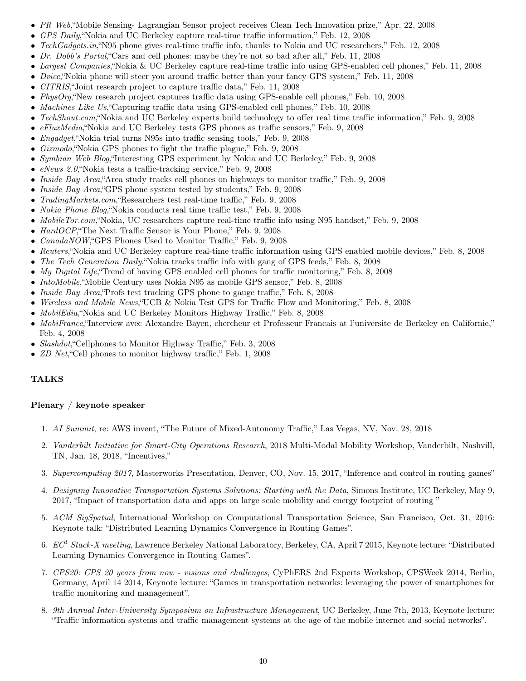- PR Web,"Mobile Sensing- Lagrangian Sensor project receives Clean Tech Innovation prize," Apr. 22, 2008
- GPS Daily,"Nokia and UC Berkeley capture real-time traffic information," Feb. 12, 2008
- TechGadgets.in, "N95 phone gives real-time traffic info, thanks to Nokia and UC researchers," Feb. 12, 2008
- Dr. Dobb's Portal, "Cars and cell phones: maybe they're not so bad after all," Feb. 11, 2008
- Largest Companies,"Nokia & UC Berkeley capture real-time traffic info using GPS-enabled cell phones," Feb. 11, 2008
- *Dvice*, "Nokia phone will steer you around traffic better than your fancy GPS system," Feb. 11, 2008
- CITRIS,"Joint research project to capture traffic data," Feb. 11, 2008
- PhysOrg, "New research project captures traffic data using GPS-enable cell phones," Feb. 10, 2008
- Machines Like Us,"Capturing traffic data using GPS-enabled cell phones," Feb. 10, 2008
- TechShout.com, "Nokia and UC Berkeley experts build technology to offer real time traffic information," Feb. 9, 2008
- eFluxMedia,"Nokia and UC Berkeley tests GPS phones as traffic sensors," Feb. 9, 2008
- Engadget,"Nokia trial turns N95s into traffic sensing tools," Feb. 9, 2008
- Gizmodo, "Nokia GPS phones to fight the traffic plague," Feb. 9, 2008
- Symbian Web Blog, Theresting GPS experiment by Nokia and UC Berkeley," Feb. 9, 2008
- eNews 2.0,"Nokia tests a traffic-tracking service," Feb. 9, 2008
- Inside Bay Area, "Area study tracks cell phones on highways to monitor traffic," Feb. 9, 2008
- *Inside Bay Area*, "GPS phone system tested by students," Feb. 9, 2008
- TradingMarkets.com,"Researchers test real-time traffic," Feb. 9, 2008
- Nokia Phone Blog,"Nokia conducts real time traffic test," Feb. 9, 2008
- MobileTor.com, "Nokia, UC researchers capture real-time traffic info using N95 handset," Feb. 9, 2008
- HardOCP,"The Next Traffic Sensor is Your Phone," Feb. 9, 2008
- CanadaNOW,"GPS Phones Used to Monitor Traffic," Feb. 9, 2008
- Reuters,"Nokia and UC Berkeley capture real-time traffic information using GPS enabled mobile devices," Feb. 8, 2008
- The Tech Generation Daily, "Nokia tracks traffic info with gang of GPS feeds," Feb. 8, 2008
- My Digital Life, Trend of having GPS enabled cell phones for traffic monitoring," Feb. 8, 2008
- IntoMobile,"Mobile Century uses Nokia N95 as mobile GPS sensor," Feb. 8, 2008
- Inside Bay Area, Profs test tracking GPS phone to gauge traffic," Feb. 8, 2008
- Wireless and Mobile News,"UCB & Nokia Test GPS for Traffic Flow and Monitoring," Feb. 8, 2008
- MobilEdia, "Nokia and UC Berkeley Monitors Highway Traffic," Feb. 8, 2008
- MobiFrance,"Interview avec Alexandre Bayen, chercheur et Professeur Francais at l'universite de Berkeley en Californie," Feb. 4, 2008
- *Slashdot*, "Cellphones to Monitor Highway Traffic," Feb. 3, 2008
- *ZD Net*, "Cell phones to monitor highway traffic," Feb. 1, 2008

## TALKS

### Plenary / keynote speaker

- 1. AI Summit, re: AWS invent, "The Future of Mixed-Autonomy Traffic," Las Vegas, NV, Nov. 28, 2018
- 2. Vanderbilt Initiative for Smart-City Operations Research, 2018 Multi-Modal Mobility Workshop, Vanderbilt, Nashvill, TN, Jan. 18, 2018, "Incentives,"
- 3. Supercomputing 2017, Masterworks Presentation, Denver, CO, Nov. 15, 2017, "Inference and control in routing games"
- 4. Designing Innovative Transportation Systems Solutions: Starting with the Data, Simons Institute, UC Berkeley, May 9, 2017, "Impact of transportation data and apps on large scale mobility and energy footprint of routing "
- 5. ACM SigSpatial, International Workshop on Computational Transportation Science, San Francisco, Oct. 31, 2016: Keynote talk: "Distributed Learning Dynamics Convergence in Routing Games".
- 6. EC<sup>8</sup> Stack-X meeting, Lawrence Berkeley National Laboratory, Berkeley, CA, April 7 2015, Keynote lecture: "Distributed Learning Dynamics Convergence in Routing Games".
- 7. CPS20: CPS 20 years from now visions and challenges, CyPhERS 2nd Experts Workshop, CPSWeek 2014, Berlin, Germany, April 14 2014, Keynote lecture: "Games in transportation networks: leveraging the power of smartphones for traffic monitoring and management".
- 8. 9th Annual Inter-University Symposium on Infrastructure Management, UC Berkeley, June 7th, 2013, Keynote lecture: "Traffic information systems and traffic management systems at the age of the mobile internet and social networks".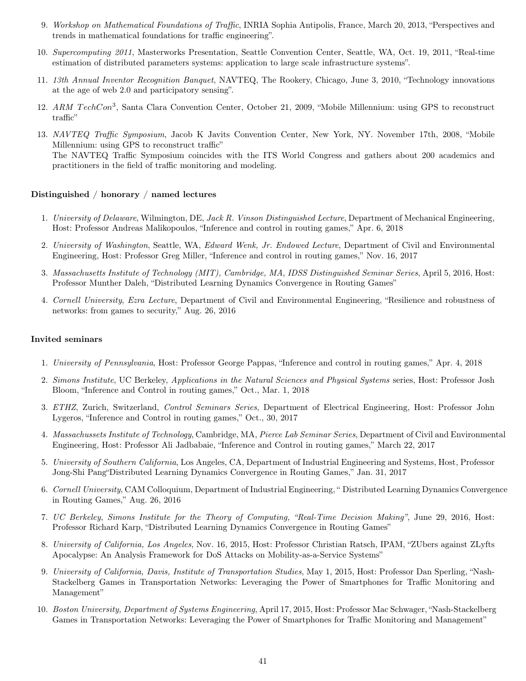- 9. Workshop on Mathematical Foundations of Traffic, INRIA Sophia Antipolis, France, March 20, 2013, "Perspectives and trends in mathematical foundations for traffic engineering".
- 10. Supercomputing 2011, Masterworks Presentation, Seattle Convention Center, Seattle, WA, Oct. 19, 2011, "Real-time estimation of distributed parameters systems: application to large scale infrastructure systems".
- 11. 13th Annual Inventor Recognition Banquet, NAVTEQ, The Rookery, Chicago, June 3, 2010, "Technology innovations at the age of web 2.0 and participatory sensing".
- 12. ARM TechCon<sup>3</sup>, Santa Clara Convention Center, October 21, 2009, "Mobile Millennium: using GPS to reconstruct traffic"
- 13. NAVTEQ Traffic Symposium, Jacob K Javits Convention Center, New York, NY. November 17th, 2008, "Mobile Millennium: using GPS to reconstruct traffic" The NAVTEQ Traffic Symposium coincides with the ITS World Congress and gathers about 200 academics and practitioners in the field of traffic monitoring and modeling.

### Distinguished / honorary / named lectures

- 1. University of Delaware, Wilmington, DE, Jack R. Vinson Distinguished Lecture, Department of Mechanical Engineering, Host: Professor Andreas Malikopoulos, "Inference and control in routing games," Apr. 6, 2018
- 2. University of Washington, Seattle, WA, Edward Wenk, Jr. Endowed Lecture, Department of Civil and Environmental Engineering, Host: Professor Greg Miller, "Inference and control in routing games," Nov. 16, 2017
- 3. Massachusetts Institute of Technology (MIT), Cambridge, MA, IDSS Distinguished Seminar Series, April 5, 2016, Host: Professor Munther Daleh, "Distributed Learning Dynamics Convergence in Routing Games"
- 4. Cornell University, Ezra Lecture, Department of Civil and Environmental Engineering, "Resilience and robustness of networks: from games to security," Aug. 26, 2016

#### Invited seminars

- 1. University of Pennsylvania, Host: Professor George Pappas, "Inference and control in routing games," Apr. 4, 2018
- 2. Simons Institute, UC Berkeley, Applications in the Natural Sciences and Physical Systems series, Host: Professor Josh Bloom, "Inference and Control in routing games," Oct., Mar. 1, 2018
- 3. ETHZ, Zurich, Switzerland, Control Seminars Series, Department of Electrical Engineering, Host: Professor John Lygeros, "Inference and Control in routing games," Oct., 30, 2017
- 4. Massachussets Institute of Technology, Cambridge, MA, Pierce Lab Seminar Series, Department of Civil and Environmental Engineering, Host: Professor Ali Jadbabaie, "Inference and Control in routing games," March 22, 2017
- 5. University of Southern California, Los Angeles, CA, Department of Industrial Engineering and Systems, Host, Professor Jong-Shi Pang"Distributed Learning Dynamics Convergence in Routing Games," Jan. 31, 2017
- 6. Cornell University, CAM Colloquium, Department of Industrial Engineering, " Distributed Learning Dynamics Convergence in Routing Games," Aug. 26, 2016
- 7. UC Berkeley, Simons Institute for the Theory of Computing, "Real-Time Decision Making", June 29, 2016, Host: Professor Richard Karp, "Distributed Learning Dynamics Convergence in Routing Games"
- 8. University of California, Los Angeles, Nov. 16, 2015, Host: Professor Christian Ratsch, IPAM, "ZUbers against ZLyfts Apocalypse: An Analysis Framework for DoS Attacks on Mobility-as-a-Service Systems"
- 9. University of California, Davis, Institute of Transportation Studies, May 1, 2015, Host: Professor Dan Sperling, "Nash-Stackelberg Games in Transportation Networks: Leveraging the Power of Smartphones for Traffic Monitoring and Management"
- 10. Boston University, Department of Systems Engineering, April 17, 2015, Host: Professor Mac Schwager, "Nash-Stackelberg Games in Transportation Networks: Leveraging the Power of Smartphones for Traffic Monitoring and Management"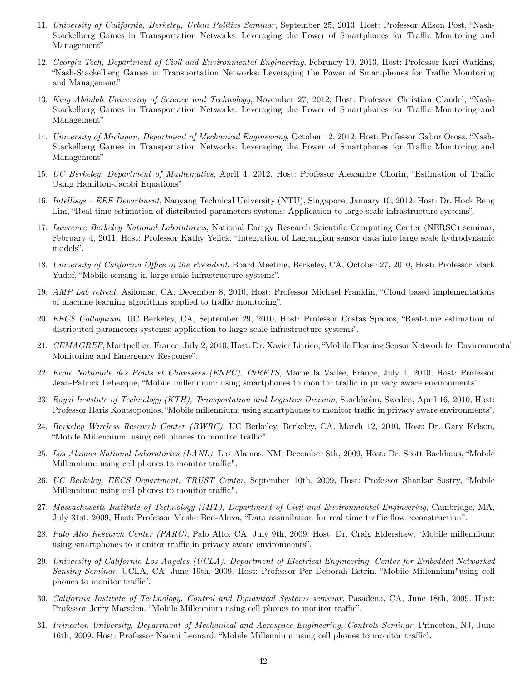- 11. University of California, Berkeley, Urban Politics Seminar, September 25, 2013, Host: Professor Alison Post, "Nash-Stackelberg Games in Transportation Networks: Leveraging the Power of Smartphones for Traffic Monitoring and Management"
- 12. Georgia Tech, Department of Civil and Environmental Engineering, February 19, 2013, Host: Professor Kari Watkins, "Nash-Stackelberg Games in Transportation Networks: Leveraging the Power of Smartphones for Traffic Monitoring and Management"
- 13. King Abdulah University of Science and Technology, November 27, 2012, Host: Professor Christian Claudel, "Nash-Stackelberg Games in Transportation Networks: Leveraging the Power of Smartphones for Traffic Monitoring and Management"
- 14. University of Michigan, Department of Mechanical Engineering, October 12, 2012, Host: Professor Gabor Orosz, "Nash-Stackelberg Games in Transportation Networks: Leveraging the Power of Smartphones for Traffic Monitoring and Management"
- 15. UC Berkeley, Department of Mathematics, April 4, 2012, Host: Professor Alexandre Chorin, "Estimation of Traffic Using Hamilton-Jacobi Equations"
- 16. Intellisys EEE Department, Nanyang Technical University (NTU), Singapore, January 10, 2012, Host: Dr. Hock Beng Lim, "Real-time estimation of distributed parameters systems: Application to large scale infrastructure systems".
- 17. Lawrence Berkeley National Laboratories, National Energy Research Scientific Computing Center (NERSC) seminar, February 4, 2011, Host: Professor Kathy Yelick, "Integration of Lagrangian sensor data into large scale hydrodynamic models".
- 18. University of California Office of the President, Board Meeting, Berkeley, CA, October 27, 2010, Host: Professor Mark Yudof, "Mobile sensing in large scale infrastructure systems".
- 19. AMP Lab retreat, Asilomar, CA, December 8, 2010, Host: Professor Michael Franklin, "Cloud based implementations of machine learning algorithms applied to traffic monitoring".
- 20. EECS Colloquium, UC Berkeley, CA, September 29, 2010, Host: Professor Costas Spanos, "Real-time estimation of distributed parameters systems: application to large scale infrastructure systems".
- 21. CEMAGREF, Montpellier, France, July 2, 2010, Host: Dr. Xavier Litrico, "Mobile Floating Sensor Network for Environmental Monitoring and Emergency Response".
- 22. Ecole Nationale des Ponts et Chaussees (ENPC), INRETS, Marne la Vallee, France, July 1, 2010, Host: Professor Jean-Patrick Lebacque, "Mobile millennium: using smartphones to monitor traffic in privacy aware environments".
- 23. Royal Institute of Technology (KTH), Transportation and Logistics Division, Stockholm, Sweden, April 16, 2010, Host: Professor Haris Koutsopoulos, "Mobile millennium: using smartphones to monitor traffic in privacy aware environments".
- 24. Berkeley Wireless Research Center (BWRC), UC Berkeley, Berkeley, CA, March 12, 2010, Host: Dr. Gary Kelson, "Mobile Millennium: using cell phones to monitor traffic".
- 25. Los Alamos National Laboratories (LANL), Los Alamos, NM, December 8th, 2009, Host: Dr. Scott Backhaus, "Mobile Millennium: using cell phones to monitor traffic".
- 26. UC Berkeley, EECS Department, TRUST Center, September 10th, 2009, Host: Professor Shankar Sastry, "Mobile Millennium: using cell phones to monitor traffic".
- 27. Massachusetts Institute of Technology (MIT), Department of Civil and Environmental Engineering, Cambridge, MA, July 31st, 2009, Host: Professor Moshe Ben-Akiva, "Data assimilation for real time traffic flow reconstruction".
- 28. Palo Alto Research Center (PARC), Palo Alto, CA, July 9th, 2009. Host: Dr. Craig Eldershaw. "Mobile millennium: using smartphones to monitor traffic in privacy aware environments".
- 29. University of California Los Angeles (UCLA), Department of Electrical Engineering, Center for Embedded Networked Sensing Seminar, UCLA, CA, June 19th, 2009. Host: Professor Per Deborah Estrin. "Mobile Millennium"using cell phones to monitor traffic".
- 30. California Institute of Technology, Control and Dynamical Systems seminar, Pasadena, CA, June 18th, 2009. Host: Professor Jerry Marsden. "Mobile Millennium using cell phones to monitor traffic".
- 31. Princeton University, Department of Mechanical and Aerospace Engineering, Controls Seminar, Princeton, NJ, June 16th, 2009. Host: Professor Naomi Leonard. "Mobile Millennium using cell phones to monitor traffic".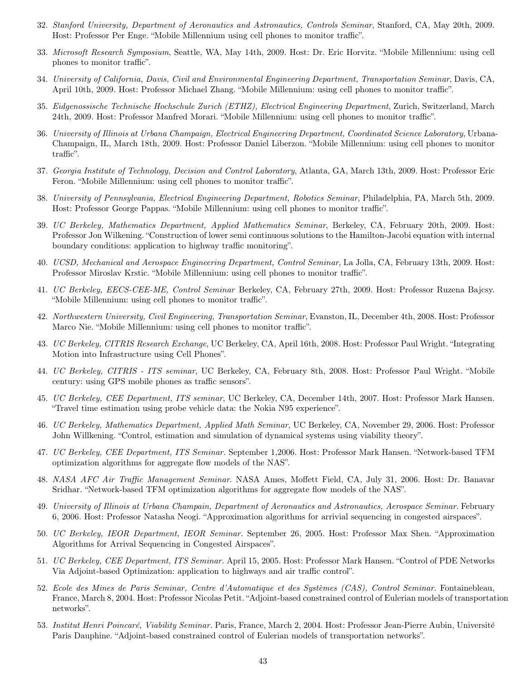- 32. Stanford University, Department of Aeronautics and Astronautics, Controls Seminar, Stanford, CA, May 20th, 2009. Host: Professor Per Enge. "Mobile Millennium using cell phones to monitor traffic".
- 33. Microsoft Research Symposium, Seattle, WA, May 14th, 2009. Host: Dr. Eric Horvitz. "Mobile Millennium: using cell phones to monitor traffic".
- 34. University of California, Davis, Civil and Environmental Engineering Department, Transportation Seminar, Davis, CA, April 10th, 2009. Host: Professor Michael Zhang. "Mobile Millennium: using cell phones to monitor traffic".
- 35. Eidgenossische Technische Hochschule Zurich (ETHZ), Electrical Engineering Department, Zurich, Switzerland, March 24th, 2009. Host: Professor Manfred Morari. "Mobile Millennium: using cell phones to monitor traffic".
- 36. University of Illinois at Urbana Champaign, Electrical Engineering Department, Coordinated Science Laboratory, Urbana-Champaign, IL, March 18th, 2009. Host: Professor Daniel Liberzon. "Mobile Millennium: using cell phones to monitor traffic".
- 37. Georgia Institute of Technology, Decision and Control Laboratory, Atlanta, GA, March 13th, 2009. Host: Professor Eric Feron. "Mobile Millennium: using cell phones to monitor traffic".
- 38. University of Pennsylvania, Electrical Engineering Department, Robotics Seminar, Philadelphia, PA, March 5th, 2009. Host: Professor George Pappas. "Mobile Millennium: using cell phones to monitor traffic".
- 39. UC Berkeley, Mathematics Department, Applied Mathematics Seminar, Berkeley, CA, February 20th, 2009. Host: Professor Jon Wilkening. "Construction of lower semi continuous solutions to the Hamilton-Jacobi equation with internal boundary conditions: application to highway traffic monitoring".
- 40. UCSD, Mechanical and Aerospace Engineering Department, Control Seminar, La Jolla, CA, February 13th, 2009. Host: Professor Miroslav Krstic. "Mobile Millennium: using cell phones to monitor traffic".
- 41. UC Berkeley, EECS-CEE-ME, Control Seminar Berkeley, CA, February 27th, 2009. Host: Professor Ruzena Bajcsy. "Mobile Millennium: using cell phones to monitor traffic".
- 42. Northwestern University, Civil Engineering, Transportation Seminar, Evanston, IL, December 4th, 2008. Host: Professor Marco Nie. "Mobile Millennium: using cell phones to monitor traffic".
- 43. UC Berkeley, CITRIS Research Exchange, UC Berkeley, CA, April 16th, 2008. Host: Professor Paul Wright. "Integrating Motion into Infrastructure using Cell Phones".
- 44. UC Berkeley, CITRIS ITS seminar, UC Berkeley, CA, February 8th, 2008. Host: Professor Paul Wright. "Mobile century: using GPS mobile phones as traffic sensors".
- 45. UC Berkeley, CEE Department, ITS seminar, UC Berkeley, CA, December 14th, 2007. Host: Professor Mark Hansen. "Travel time estimation using probe vehicle data: the Nokia N95 experience".
- 46. UC Berkeley, Mathematics Department, Applied Math Seminar, UC Berkeley, CA, November 29, 2006. Host: Professor John Willkening. "Control, estimation and simulation of dynamical systems using viability theory".
- 47. UC Berkeley, CEE Department, ITS Seminar. September 1,2006. Host: Professor Mark Hansen. "Network-based TFM optimization algorithms for aggregate flow models of the NAS".
- 48. NASA AFC Air Traffic Management Seminar. NASA Ames, Moffett Field, CA, July 31, 2006. Host: Dr. Banavar Sridhar. "Network-based TFM optimization algorithms for aggregate flow models of the NAS".
- 49. University of Illinois at Urbana Champain, Department of Aeronautics and Astronautics, Aerospace Seminar. February 6, 2006. Host: Professor Natasha Neogi. "Approximation algorithms for arrivial sequencing in congested airspaces".
- 50. UC Berkeley, IEOR Department, IEOR Seminar. September 26, 2005. Host: Professor Max Shen. "Approximation Algorithms for Arrival Sequencing in Congested Airspaces".
- 51. UC Berkeley, CEE Department, ITS Seminar. April 15, 2005. Host: Professor Mark Hansen. "Control of PDE Networks Via Adjoint-based Optimization: application to highways and air traffic control".
- 52. Ecole des Mines de Paris Seminar, Centre d'Automatique et des Systèmes (CAS), Control Seminar. Fontainebleau, France, March 8, 2004. Host: Professor Nicolas Petit. "Adjoint-based constrained control of Eulerian models of transportation networks".
- 53. Institut Henri Poincaré, Viability Seminar. Paris, France, March 2, 2004. Host: Professor Jean-Pierre Aubin, Université Paris Dauphine. "Adjoint-based constrained control of Eulerian models of transportation networks".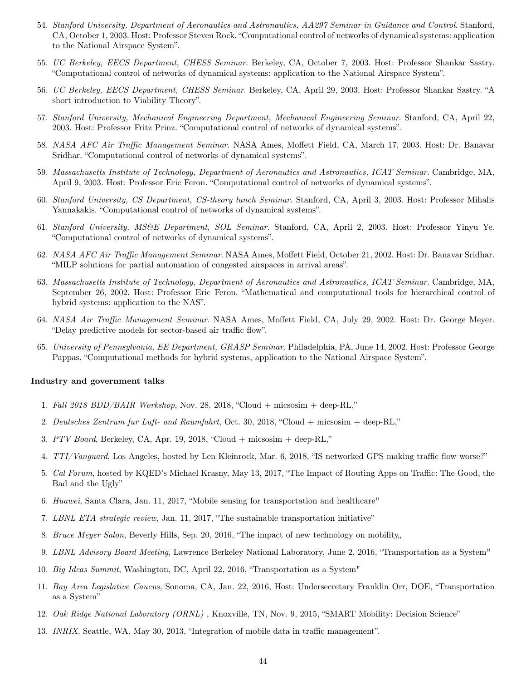- 54. Stanford University, Department of Aeronautics and Astronautics, AA297 Seminar in Guidance and Control. Stanford, CA, October 1, 2003. Host: Professor Steven Rock. "Computational control of networks of dynamical systems: application to the National Airspace System".
- 55. UC Berkeley, EECS Department, CHESS Seminar. Berkeley, CA, October 7, 2003. Host: Professor Shankar Sastry. "Computational control of networks of dynamical systems: application to the National Airspace System".
- 56. UC Berkeley, EECS Department, CHESS Seminar. Berkeley, CA, April 29, 2003. Host: Professor Shankar Sastry. "A short introduction to Viability Theory".
- 57. Stanford University, Mechanical Engineering Department, Mechanical Engineering Seminar. Stanford, CA, April 22, 2003. Host: Professor Fritz Prinz. "Computational control of networks of dynamical systems".
- 58. NASA AFC Air Traffic Management Seminar. NASA Ames, Moffett Field, CA, March 17, 2003. Host: Dr. Banavar Sridhar. "Computational control of networks of dynamical systems".
- 59. Massachusetts Institute of Technology, Department of Aeronautics and Astronautics, ICAT Seminar. Cambridge, MA, April 9, 2003. Host: Professor Eric Feron. "Computational control of networks of dynamical systems".
- 60. Stanford University, CS Department, CS-theory lunch Seminar. Stanford, CA, April 3, 2003. Host: Professor Mihalis Yannakakis. "Computational control of networks of dynamical systems".
- 61. Stanford University, MS&E Department, SOL Seminar. Stanford, CA, April 2, 2003. Host: Professor Yinyu Ye. "Computational control of networks of dynamical systems".
- 62. NASA AFC Air Traffic Management Seminar. NASA Ames, Moffett Field, October 21, 2002. Host: Dr. Banavar Sridhar. "MILP solutions for partial automation of congested airspaces in arrival areas".
- 63. Massachusetts Institute of Technology, Department of Aeronautics and Astronautics, ICAT Seminar. Cambridge, MA, September 26, 2002. Host: Professor Eric Feron. "Mathematical and computational tools for hierarchical control of hybrid systems: application to the NAS".
- 64. NASA Air Traffic Management Seminar. NASA Ames, Moffett Field, CA, July 29, 2002. Host: Dr. George Meyer. "Delay predictive models for sector-based air traffic flow".
- 65. University of Pennsylvania, EE Department, GRASP Seminar. Philadelphia, PA, June 14, 2002. Host: Professor George Pappas. "Computational methods for hybrid systems, application to the National Airspace System".

#### Industry and government talks

- 1. Fall 2018 BDD/BAIR Workshop, Nov. 28, 2018, "Cloud + micsosim + deep-RL,"
- 2. Deutsches Zentrum fur Luft- and Raumfahrt, Oct. 30, 2018, "Cloud + micsosim + deep-RL,"
- 3. PTV Board, Berkeley, CA, Apr. 19, 2018, "Cloud + micsosim + deep-RL,"
- 4. TTI/Vanguard, Los Angeles, hosted by Len Kleinrock, Mar. 6, 2018, "IS networked GPS making traffic flow worse?"
- 5. Cal Forum, hosted by KQED's Michael Krasny, May 13, 2017, "The Impact of Routing Apps on Traffic: The Good, the Bad and the Ugly"
- 6. Huawei, Santa Clara, Jan. 11, 2017, "Mobile sensing for transportation and healthcare"
- 7. LBNL ETA strategic review, Jan. 11, 2017, "The sustainable transportation initiative"
- 8. Bruce Meyer Salon, Beverly Hills, Sep. 20, 2016, "The impact of new technology on mobility,
- 9. LBNL Advisory Board Meeting, Lawrence Berkeley National Laboratory, June 2, 2016, "Transportation as a System"
- 10. Big Ideas Summit, Washington, DC, April 22, 2016, "Transportation as a System"
- 11. Bay Area Legislative Caucus, Sonoma, CA, Jan. 22, 2016, Host: Undersecretary Franklin Orr, DOE, "Transportation as a System"
- 12. Oak Ridge National Laboratory (ORNL), Knoxville, TN, Nov. 9, 2015, "SMART Mobility: Decision Science"
- 13. INRIX, Seattle, WA, May 30, 2013, "Integration of mobile data in traffic management".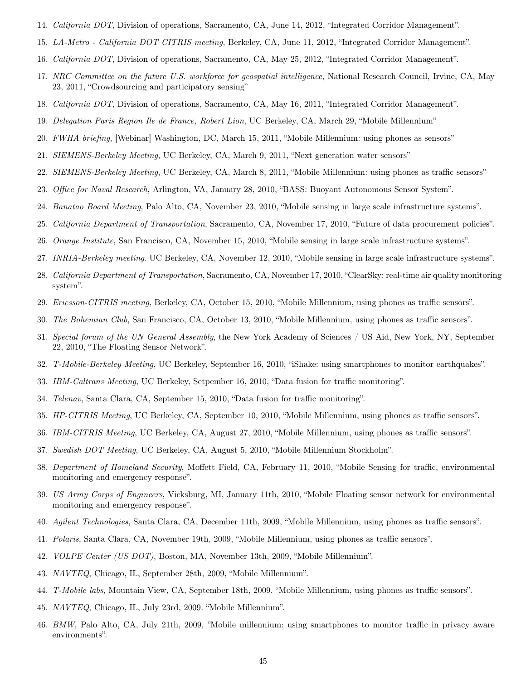- 14. California DOT, Division of operations, Sacramento, CA, June 14, 2012, "Integrated Corridor Management".
- 15. LA-Metro California DOT CITRIS meeting, Berkeley, CA, June 11, 2012, "Integrated Corridor Management".
- 16. California DOT, Division of operations, Sacramento, CA, May 25, 2012, "Integrated Corridor Management".
- 17. NRC Committee on the future U.S. workforce for geospatial intelligence, National Research Council, Irvine, CA, May 23, 2011, "Crowdsourcing and participatory sensing"
- 18. California DOT, Division of operations, Sacramento, CA, May 16, 2011, "Integrated Corridor Management".
- 19. Delegation Paris Region Ile de France, Robert Lion, UC Berkeley, CA, March 29, "Mobile Millennium"
- 20. FWHA briefing, [Webinar] Washington, DC, March 15, 2011, "Mobile Millennium: using phones as sensors"
- 21. SIEMENS-Berkeley Meeting, UC Berkeley, CA, March 9, 2011, "Next generation water sensors"
- 22. SIEMENS-Berkeley Meeting, UC Berkeley, CA, March 8, 2011, "Mobile Millennium: using phones as traffic sensors"
- 23. Office for Naval Research, Arlington, VA, January 28, 2010, "BASS: Buoyant Autonomous Sensor System".
- 24. Banatao Board Meeting, Palo Alto, CA, November 23, 2010, "Mobile sensing in large scale infrastructure systems".
- 25. California Department of Transportation, Sacramento, CA, November 17, 2010, "Future of data procurement policies".
- 26. Orange Institute, San Francisco, CA, November 15, 2010, "Mobile sensing in large scale infrastructure systems".
- 27. INRIA-Berkeley meeting. UC Berkeley, CA, November 12, 2010, "Mobile sensing in large scale infrastructure systems".
- 28. California Department of Transportation, Sacramento, CA, November 17, 2010, "ClearSky: real-time air quality monitoring system".
- 29. Ericsson-CITRIS meeting, Berkeley, CA, October 15, 2010, "Mobile Millennium, using phones as traffic sensors".
- 30. The Bohemian Club, San Francisco, CA, October 13, 2010, "Mobile Millennium, using phones as traffic sensors".
- 31. Special forum of the UN General Assembly, the New York Academy of Sciences / US Aid, New York, NY, September 22, 2010, "The Floating Sensor Network".
- 32. T-Mobile-Berkeley Meeting, UC Berkeley, September 16, 2010, "iShake: using smartphones to monitor earthquakes".
- 33. IBM-Caltrans Meeting, UC Berkeley, Setpember 16, 2010, "Data fusion for traffic monitoring".
- 34. Telenav, Santa Clara, CA, September 15, 2010, "Data fusion for traffic monitoring".
- 35. HP-CITRIS Meeting, UC Berkeley, CA, September 10, 2010, "Mobile Millennium, using phones as traffic sensors".
- 36. IBM-CITRIS Meeting, UC Berkeley, CA, August 27, 2010, "Mobile Millennium, using phones as traffic sensors".
- 37. Swedish DOT Meeting, UC Berkeley, CA, August 5, 2010, "Mobile Millennium Stockholm".
- 38. Department of Homeland Security, Moffett Field, CA, February 11, 2010, "Mobile Sensing for traffic, environmental monitoring and emergency response".
- 39. US Army Corps of Engineers, Vicksburg, MI, January 11th, 2010, "Mobile Floating sensor network for environmental monitoring and emergency response".
- 40. Agilent Technologies, Santa Clara, CA, December 11th, 2009, "Mobile Millennium, using phones as traffic sensors".
- 41. Polaris, Santa Clara, CA, November 19th, 2009, "Mobile Millennium, using phones as traffic sensors".
- 42. VOLPE Center (US DOT), Boston, MA, November 13th, 2009, "Mobile Millennium".
- 43. NAVTEQ, Chicago, IL, September 28th, 2009, "Mobile Millennium".
- 44. T-Mobile labs, Mountain View, CA, September 18th, 2009. "Mobile Millennium, using phones as traffic sensors".
- 45. NAVTEQ, Chicago, IL, July 23rd, 2009. "Mobile Millennium".
- 46. BMW, Palo Alto, CA, July 21th, 2009, "Mobile millennium: using smartphones to monitor traffic in privacy aware environments".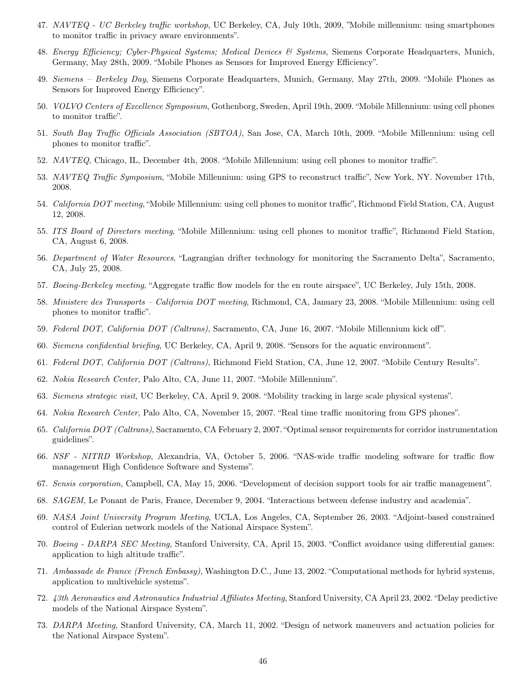- 47. NAVTEQ UC Berkeley traffic workshop, UC Berkeley, CA, July 10th, 2009, "Mobile millennium: using smartphones to monitor traffic in privacy aware environments".
- 48. Energy Efficiency; Cyber-Physical Systems; Medical Devices & Systems, Siemens Corporate Headquarters, Munich, Germany, May 28th, 2009. "Mobile Phones as Sensors for Improved Energy Efficiency".
- 49. Siemens Berkeley Day, Siemens Corporate Headquarters, Munich, Germany, May 27th, 2009. "Mobile Phones as Sensors for Improved Energy Efficiency".
- 50. VOLVO Centers of Excellence Symposium, Gothenborg, Sweden, April 19th, 2009. "Mobile Millennium: using cell phones to monitor traffic".
- 51. South Bay Traffic Officials Association (SBTOA), San Jose, CA, March 10th, 2009. "Mobile Millennium: using cell phones to monitor traffic".
- 52. NAVTEQ, Chicago, IL, December 4th, 2008. "Mobile Millennium: using cell phones to monitor traffic".
- 53. NAVTEQ Traffic Symposium, "Mobile Millennium: using GPS to reconstruct traffic", New York, NY. November 17th, 2008.
- 54. California DOT meeting, "Mobile Millennium: using cell phones to monitor traffic", Richmond Field Station, CA, August 12, 2008.
- 55. ITS Board of Directors meeting, "Mobile Millennium: using cell phones to monitor traffic", Richmond Field Station, CA, August 6, 2008.
- 56. Department of Water Resources, "Lagrangian drifter technology for monitoring the Sacramento Delta", Sacramento, CA, July 25, 2008.
- 57. Boeing-Berkeley meeting, "Aggregate traffic flow models for the en route airspace", UC Berkeley, July 15th, 2008.
- 58. Ministere des Transports California DOT meeting, Richmond, CA, January 23, 2008. "Mobile Millennium: using cell phones to monitor traffic".
- 59. Federal DOT, California DOT (Caltrans), Sacramento, CA, June 16, 2007. "Mobile Millennium kick off".
- 60. Siemens confidential briefing, UC Berkeley, CA, April 9, 2008. "Sensors for the aquatic environment".
- 61. Federal DOT, California DOT (Caltrans), Richmond Field Station, CA, June 12, 2007. "Mobile Century Results".
- 62. Nokia Research Center, Palo Alto, CA, June 11, 2007. "Mobile Millennium".
- 63. Siemens strategic visit, UC Berkeley, CA, April 9, 2008. "Mobility tracking in large scale physical systems".
- 64. Nokia Research Center, Palo Alto, CA, November 15, 2007. "Real time traffic monitoring from GPS phones".
- 65. California DOT (Caltrans), Sacramento, CA February 2, 2007. "Optimal sensor requirements for corridor instrumentation guidelines".
- 66. NSF NITRD Workshop, Alexandria, VA, October 5, 2006. "NAS-wide traffic modeling software for traffic flow management High Confidence Software and Systems".
- 67. Sensis corporation, Campbell, CA, May 15, 2006. "Development of decision support tools for air traffic management".
- 68. SAGEM, Le Ponant de Paris, France, December 9, 2004. "Interactions between defense industry and academia".
- 69. NASA Joint University Program Meeting, UCLA, Los Angeles, CA, September 26, 2003. "Adjoint-based constrained control of Eulerian network models of the National Airspace System".
- 70. Boeing DARPA SEC Meeting, Stanford University, CA, April 15, 2003. "Conflict avoidance using differential games: application to high altitude traffic".
- 71. Ambassade de France (French Embassy), Washington D.C., June 13, 2002. "Computational methods for hybrid systems, application to multivehicle systems".
- 72. 43th Aeronautics and Astronautics Industrial Affiliates Meeting, Stanford University, CA April 23, 2002. "Delay predictive models of the National Airspace System".
- 73. DARPA Meeting, Stanford University, CA, March 11, 2002. "Design of network maneuvers and actuation policies for the National Airspace System".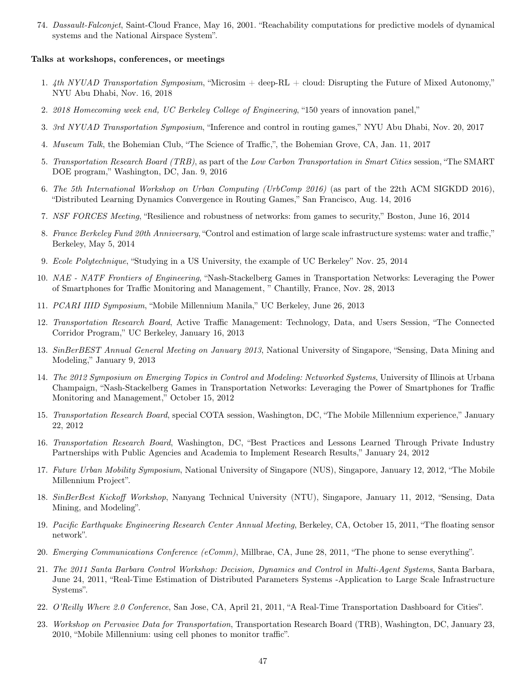74. Dassault-Falconjet, Saint-Cloud France, May 16, 2001. "Reachability computations for predictive models of dynamical systems and the National Airspace System".

#### Talks at workshops, conferences, or meetings

- 1. 4th NYUAD Transportation Symposium, "Microsim  $+$  deep-RL  $+$  cloud: Disrupting the Future of Mixed Autonomy," NYU Abu Dhabi, Nov. 16, 2018
- 2. 2018 Homecoming week end, UC Berkeley College of Engineering, "150 years of innovation panel,"
- 3. 3rd NYUAD Transportation Symposium, "Inference and control in routing games," NYU Abu Dhabi, Nov. 20, 2017
- 4. Museum Talk, the Bohemian Club, "The Science of Traffic,", the Bohemian Grove, CA, Jan. 11, 2017
- 5. Transportation Research Board (TRB), as part of the Low Carbon Transportation in Smart Cities session, "The SMART DOE program," Washington, DC, Jan. 9, 2016
- 6. The 5th International Workshop on Urban Computing (UrbComp 2016) (as part of the 22th ACM SIGKDD 2016), "Distributed Learning Dynamics Convergence in Routing Games," San Francisco, Aug. 14, 2016
- 7. NSF FORCES Meeting, "Resilience and robustness of networks: from games to security," Boston, June 16, 2014
- 8. France Berkeley Fund 20th Anniversary, "Control and estimation of large scale infrastructure systems: water and traffic," Berkeley, May 5, 2014
- 9. Ecole Polytechnique, "Studying in a US University, the example of UC Berkeley" Nov. 25, 2014
- 10. NAE NATF Frontiers of Engineering, "Nash-Stackelberg Games in Transportation Networks: Leveraging the Power of Smartphones for Traffic Monitoring and Management, " Chantilly, France, Nov. 28, 2013
- 11. PCARI IIID Symposium, "Mobile Millennium Manila," UC Berkeley, June 26, 2013
- 12. Transportation Research Board, Active Traffic Management: Technology, Data, and Users Session, "The Connected Corridor Program," UC Berkeley, January 16, 2013
- 13. SinBerBEST Annual General Meeting on January 2013, National University of Singapore, "Sensing, Data Mining and Modeling," January 9, 2013
- 14. The 2012 Symposium on Emerging Topics in Control and Modeling: Networked Systems, University of Illinois at Urbana Champaign, "Nash-Stackelberg Games in Transportation Networks: Leveraging the Power of Smartphones for Traffic Monitoring and Management," October 15, 2012
- 15. Transportation Research Board, special COTA session, Washington, DC, "The Mobile Millennium experience," January 22, 2012
- 16. Transportation Research Board, Washington, DC, "Best Practices and Lessons Learned Through Private Industry Partnerships with Public Agencies and Academia to Implement Research Results," January 24, 2012
- 17. Future Urban Mobility Symposium, National University of Singapore (NUS), Singapore, January 12, 2012, "The Mobile Millennium Project".
- 18. SinBerBest Kickoff Workshop, Nanyang Technical University (NTU), Singapore, January 11, 2012, "Sensing, Data Mining, and Modeling".
- 19. Pacific Earthquake Engineering Research Center Annual Meeting, Berkeley, CA, October 15, 2011, "The floating sensor network".
- 20. Emerging Communications Conference (eComm), Millbrae, CA, June 28, 2011, "The phone to sense everything".
- 21. The 2011 Santa Barbara Control Workshop: Decision, Dynamics and Control in Multi-Agent Systems, Santa Barbara, June 24, 2011, "Real-Time Estimation of Distributed Parameters Systems -Application to Large Scale Infrastructure Systems".
- 22. O'Reilly Where 2.0 Conference, San Jose, CA, April 21, 2011, "A Real-Time Transportation Dashboard for Cities".
- 23. Workshop on Pervasive Data for Transportation, Transportation Research Board (TRB), Washington, DC, January 23, 2010, "Mobile Millennium: using cell phones to monitor traffic".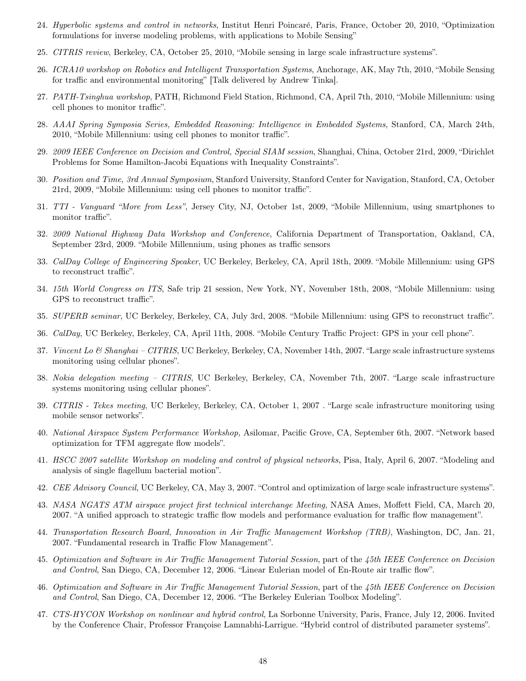- 24. Hyperbolic systems and control in networks, Institut Henri Poincaré, Paris, France, October 20, 2010, "Optimization formulations for inverse modeling problems, with applications to Mobile Sensing"
- 25. CITRIS review, Berkeley, CA, October 25, 2010, "Mobile sensing in large scale infrastructure systems".
- 26. ICRA10 workshop on Robotics and Intelligent Transportation Systems, Anchorage, AK, May 7th, 2010, "Mobile Sensing for traffic and environmental monitoring" [Talk delivered by Andrew Tinka].
- 27. PATH-Tsinghua workshop, PATH, Richmond Field Station, Richmond, CA, April 7th, 2010, "Mobile Millennium: using cell phones to monitor traffic".
- 28. AAAI Spring Symposia Series, Embedded Reasoning: Intelligence in Embedded Systems, Stanford, CA, March 24th, 2010, "Mobile Millennium: using cell phones to monitor traffic".
- 29. 2009 IEEE Conference on Decision and Control, Special SIAM session, Shanghai, China, October 21rd, 2009, "Dirichlet Problems for Some Hamilton-Jacobi Equations with Inequality Constraints".
- 30. Position and Time, 3rd Annual Symposium, Stanford University, Stanford Center for Navigation, Stanford, CA, October 21rd, 2009, "Mobile Millennium: using cell phones to monitor traffic".
- 31. TTI Vanguard "More from Less", Jersey City, NJ, October 1st, 2009, "Mobile Millennium, using smartphones to monitor traffic".
- 32. 2009 National Highway Data Workshop and Conference, California Department of Transportation, Oakland, CA, September 23rd, 2009. "Mobile Millennium, using phones as traffic sensors
- 33. CalDay College of Engineering Speaker, UC Berkeley, Berkeley, CA, April 18th, 2009. "Mobile Millennium: using GPS to reconstruct traffic".
- 34. 15th World Congress on ITS, Safe trip 21 session, New York, NY, November 18th, 2008, "Mobile Millennium: using GPS to reconstruct traffic".
- 35. SUPERB seminar, UC Berkeley, Berkeley, CA, July 3rd, 2008. "Mobile Millennium: using GPS to reconstruct traffic".
- 36. CalDay, UC Berkeley, Berkeley, CA, April 11th, 2008. "Mobile Century Traffic Project: GPS in your cell phone".
- 37. Vincent Lo & Shanghai CITRIS, UC Berkeley, Berkeley, CA, November 14th, 2007. "Large scale infrastructure systems monitoring using cellular phones".
- 38. Nokia delegation meeting CITRIS, UC Berkeley, Berkeley, CA, November 7th, 2007. "Large scale infrastructure systems monitoring using cellular phones".
- 39. CITRIS Tekes meeting, UC Berkeley, Berkeley, CA, October 1, 2007 . "Large scale infrastructure monitoring using mobile sensor networks".
- 40. National Airspace System Performance Workshop, Asilomar, Pacific Grove, CA, September 6th, 2007. "Network based optimization for TFM aggregate flow models".
- 41. HSCC 2007 satellite Workshop on modeling and control of physical networks, Pisa, Italy, April 6, 2007. "Modeling and analysis of single flagellum bacterial motion".
- 42. CEE Advisory Council, UC Berkeley, CA, May 3, 2007. "Control and optimization of large scale infrastructure systems".
- 43. NASA NGATS ATM airspace project first technical interchange Meeting, NASA Ames, Moffett Field, CA, March 20, 2007. "A unified approach to strategic traffic flow models and performance evaluation for traffic flow management".
- 44. Transportation Research Board, Innovation in Air Traffic Management Workshop (TRB), Washington, DC, Jan. 21, 2007. "Fundamental research in Traffic Flow Management".
- 45. Optimization and Software in Air Traffic Management Tutorial Session, part of the 45th IEEE Conference on Decision and Control, San Diego, CA, December 12, 2006. "Linear Eulerian model of En-Route air traffic flow".
- 46. Optimization and Software in Air Traffic Management Tutorial Session, part of the 45th IEEE Conference on Decision and Control, San Diego, CA, December 12, 2006. "The Berkeley Eulerian Toolbox Modeling".
- 47. CTS-HYCON Workshop on nonlinear and hybrid control, La Sorbonne University, Paris, France, July 12, 2006. Invited by the Conference Chair, Professor Françoise Lamnabhi-Larrigue. "Hybrid control of distributed parameter systems".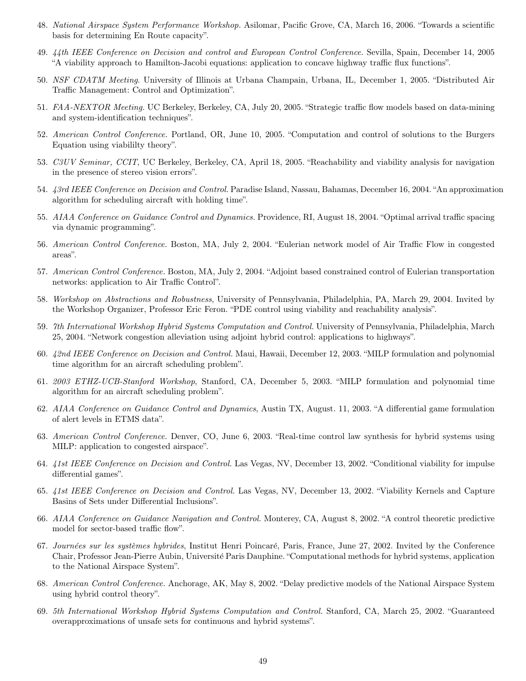- 48. National Airspace System Performance Workshop. Asilomar, Pacific Grove, CA, March 16, 2006. "Towards a scientific basis for determining En Route capacity".
- 49. 44th IEEE Conference on Decision and control and European Control Conference. Sevilla, Spain, December 14, 2005 "A viability approach to Hamilton-Jacobi equations: application to concave highway traffic flux functions".
- 50. NSF CDATM Meeting. University of Illinois at Urbana Champain, Urbana, IL, December 1, 2005. "Distributed Air Traffic Management: Control and Optimization".
- 51. FAA-NEXTOR Meeting. UC Berkeley, Berkeley, CA, July 20, 2005. "Strategic traffic flow models based on data-mining and system-identification techniques".
- 52. American Control Conference. Portland, OR, June 10, 2005. "Computation and control of solutions to the Burgers Equation using viabililty theory".
- 53. C3UV Seminar, CCIT, UC Berkeley, Berkeley, CA, April 18, 2005. "Reachability and viability analysis for navigation in the presence of stereo vision errors".
- 54. 43rd IEEE Conference on Decision and Control. Paradise Island, Nassau, Bahamas, December 16, 2004. "An approximation algorithm for scheduling aircraft with holding time".
- 55. AIAA Conference on Guidance Control and Dynamics. Providence, RI, August 18, 2004. "Optimal arrival traffic spacing via dynamic programming".
- 56. American Control Conference. Boston, MA, July 2, 2004. "Eulerian network model of Air Traffic Flow in congested areas".
- 57. American Control Conference. Boston, MA, July 2, 2004. "Adjoint based constrained control of Eulerian transportation networks: application to Air Traffic Control".
- 58. Workshop on Abstractions and Robustness, University of Pennsylvania, Philadelphia, PA, March 29, 2004. Invited by the Workshop Organizer, Professor Eric Feron. "PDE control using viability and reachability analysis".
- 59. 7th International Workshop Hybrid Systems Computation and Control. University of Pennsylvania, Philadelphia, March 25, 2004. "Network congestion alleviation using adjoint hybrid control: applications to highways".
- 60. 42nd IEEE Conference on Decision and Control. Maui, Hawaii, December 12, 2003. "MILP formulation and polynomial time algorithm for an aircraft scheduling problem".
- 61. 2003 ETHZ-UCB-Stanford Workshop, Stanford, CA, December 5, 2003. "MILP formulation and polynomial time algorithm for an aircraft scheduling problem".
- 62. AIAA Conference on Guidance Control and Dynamics, Austin TX, August. 11, 2003. "A differential game formulation of alert levels in ETMS data".
- 63. American Control Conference. Denver, CO, June 6, 2003. "Real-time control law synthesis for hybrid systems using MILP: application to congested airspace".
- 64. 41st IEEE Conference on Decision and Control. Las Vegas, NV, December 13, 2002. "Conditional viability for impulse differential games".
- 65. 41st IEEE Conference on Decision and Control. Las Vegas, NV, December 13, 2002. "Viability Kernels and Capture Basins of Sets under Differential Inclusions".
- 66. AIAA Conference on Guidance Navigation and Control. Monterey, CA, August 8, 2002. "A control theoretic predictive model for sector-based traffic flow".
- 67. Journées sur les systèmes hybrides, Institut Henri Poincaré, Paris, France, June 27, 2002. Invited by the Conference Chair, Professor Jean-Pierre Aubin, Universit´e Paris Dauphine. "Computational methods for hybrid systems, application to the National Airspace System".
- 68. American Control Conference. Anchorage, AK, May 8, 2002. "Delay predictive models of the National Airspace System using hybrid control theory".
- 69. 5th International Workshop Hybrid Systems Computation and Control. Stanford, CA, March 25, 2002. "Guaranteed overapproximations of unsafe sets for continuous and hybrid systems".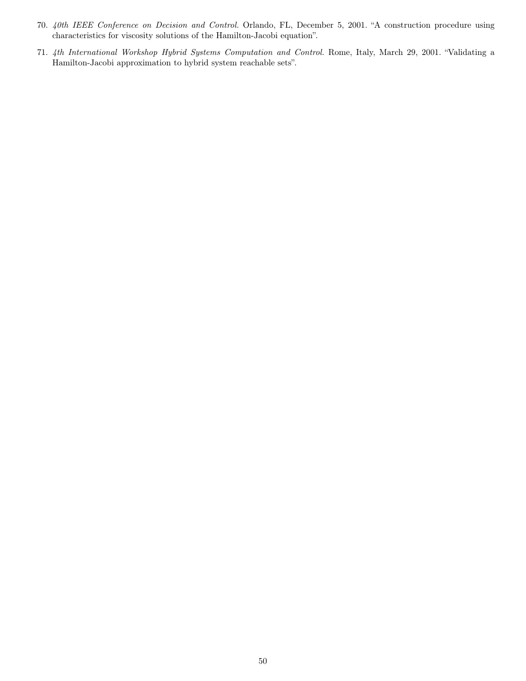- 70. 40th IEEE Conference on Decision and Control. Orlando, FL, December 5, 2001. "A construction procedure using characteristics for viscosity solutions of the Hamilton-Jacobi equation".
- 71. 4th International Workshop Hybrid Systems Computation and Control. Rome, Italy, March 29, 2001. "Validating a Hamilton-Jacobi approximation to hybrid system reachable sets".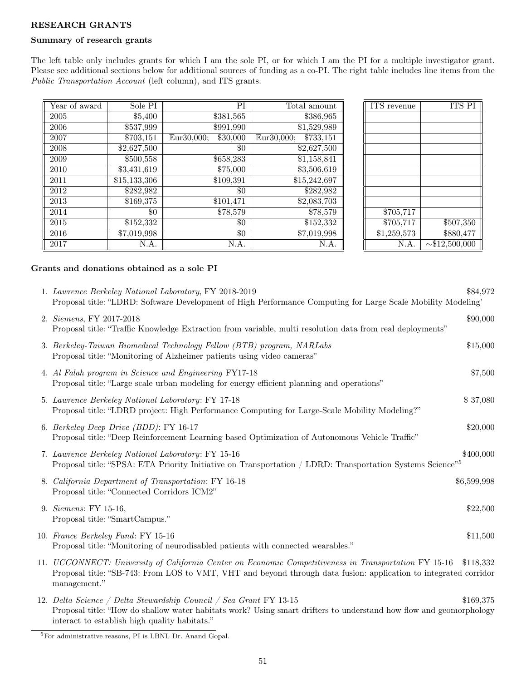## RESEARCH GRANTS

## Summary of research grants

The left table only includes grants for which I am the sole PI, or for which I am the PI for a multiple investigator grant. Please see additional sections below for additional sources of funding as a co-PI. The right table includes line items from the Public Transportation Account (left column), and ITS grants.

| Year of award | Sole PI                 | PI                     | Total amount                        | <b>ITS</b> revenue      | <b>ITS PI</b>       |
|---------------|-------------------------|------------------------|-------------------------------------|-------------------------|---------------------|
| 2005          | \$5,400                 | $\overline{$}381,565$  | \$386,965                           |                         |                     |
| 2006          | \$537,999               | \$991,990              | $\overline{31,529,989}$             |                         |                     |
| 2007          | \$703,151               | Eur30,000;<br>\$30,000 | $\overline{$}733,151$<br>Eur30,000; |                         |                     |
| 2008          | \$2,627,500             | $\$0$                  | \$2,627,500                         |                         |                     |
| 2009          | \$500,558               | \$658,283              | \$1,158,841                         |                         |                     |
| 2010          | \$3,431,619             | \$75,000               | \$3,506,619                         |                         |                     |
| 2011          | \$15,133,306            | \$109,391              | $\overline{$15,242,697}$            |                         |                     |
| 2012          | \$282,982               | \$0                    | \$282,982                           |                         |                     |
| 2013          | \$169,375               | \$101,471              | \$2,083,703                         |                         |                     |
| 2014          | \$0                     | \$78,579               | \$78,579                            | \$705,717               |                     |
| 2015          | $\overline{$}152,332$   | $\$0$                  | \$152,332                           | \$705,717               | \$507,350           |
| 2016          | $\overline{$7,019,998}$ | $\$0$                  | $\overline{$7,019,998}$             | $\overline{31,259,573}$ | \$880,477           |
| 2017          | N.A.                    | N.A.                   | N.A.                                | N.A.                    | $\sim$ \$12,500,000 |

### Grants and donations obtained as a sole PI

| 1. Lawrence Berkeley National Laboratory, FY 2018-2019<br>Proposal title: "LDRD: Software Development of High Performance Computing for Large Scale Mobility Modeling"                                                                                                                                                                                                               | \$84,972              |
|--------------------------------------------------------------------------------------------------------------------------------------------------------------------------------------------------------------------------------------------------------------------------------------------------------------------------------------------------------------------------------------|-----------------------|
| 2. Siemens, FY 2017-2018<br>Proposal title: "Traffic Knowledge Extraction from variable, multi resolution data from real deployments"                                                                                                                                                                                                                                                | \$90,000              |
| 3. Berkeley-Taiwan Biomedical Technology Fellow (BTB) program, NARLabs<br>Proposal title: "Monitoring of Alzheimer patients using video cameras"                                                                                                                                                                                                                                     | \$15,000              |
| 4. Al Falah program in Science and Engineering FY17-18<br>Proposal title: "Large scale urban modeling for energy efficient planning and operations"                                                                                                                                                                                                                                  | \$7,500               |
| 5. Lawrence Berkeley National Laboratory: FY 17-18<br>Proposal title: "LDRD project: High Performance Computing for Large-Scale Mobility Modeling?"                                                                                                                                                                                                                                  | \$37,080              |
| 6. Berkeley Deep Drive (BDD): FY 16-17<br>Proposal title: "Deep Reinforcement Learning based Optimization of Autonomous Vehicle Traffic"                                                                                                                                                                                                                                             | \$20,000              |
| 7. Lawrence Berkeley National Laboratory: FY 15-16<br>Proposal title: "SPSA: ETA Priority Initiative on Transportation / LDRD: Transportation Systems Science" <sup>5</sup>                                                                                                                                                                                                          | \$400,000             |
| 8. California Department of Transportation: FY 16-18<br>Proposal title: "Connected Corridors ICM2"                                                                                                                                                                                                                                                                                   | \$6,599,998           |
| 9. Siemens: FY 15-16,<br>Proposal title: "SmartCampus."                                                                                                                                                                                                                                                                                                                              | \$22,500              |
| 10. France Berkeley Fund: FY 15-16<br>Proposal title: "Monitoring of neurodisabled patients with connected wearables."                                                                                                                                                                                                                                                               | \$11,500              |
| 11. UCCONNECT: University of California Center on Economic Competitiveness in Transportation FY 15-16<br>Proposal title: "SB-743: From LOS to VMT, VHT and beyond through data fusion: application to integrated corridor<br>management."                                                                                                                                            | \$118,332             |
| $\overline{a}$ $\overline{a}$ $\overline{b}$ $\overline{a}$ $\overline{c}$ $\overline{a}$ $\overline{a}$ $\overline{a}$ $\overline{a}$ $\overline{a}$ $\overline{a}$ $\overline{a}$ $\overline{a}$ $\overline{a}$ $\overline{a}$ $\overline{a}$ $\overline{a}$ $\overline{a}$ $\overline{a}$ $\overline{a}$ $\overline{a}$ $\overline{a}$ $\overline{a}$ $\overline{a}$ $\overline{$ | $A \land A \land A =$ |

12. Delta Science / Delta Stewardship Council / Sea Grant FY 13-15 \$169,375 Proposal title: "How do shallow water habitats work? Using smart drifters to understand how flow and geomorphology interact to establish high quality habitats."

<sup>5</sup>For administrative reasons, PI is LBNL Dr. Anand Gopal.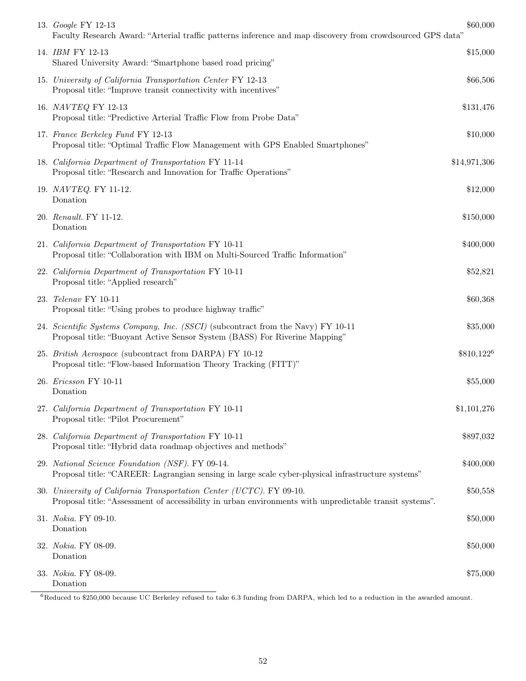| 13. <i>Google</i> FY 12-13<br>Faculty Research Award: "Arterial traffic patterns inference and map discovery from crowdsourced GPS data"                                        | \$60,000     |
|---------------------------------------------------------------------------------------------------------------------------------------------------------------------------------|--------------|
| 14. <i>IBM</i> FY 12-13<br>Shared University Award: "Smartphone based road pricing"                                                                                             | \$15,000     |
| 15. University of California Transportation Center FY 12-13<br>Proposal title: "Improve transit connectivity with incentives"                                                   | \$66,506     |
| 16. NAVTEQ FY 12-13<br>Proposal title: "Predictive Arterial Traffic Flow from Probe Data"                                                                                       | \$131,476    |
| 17. France Berkeley Fund FY 12-13<br>Proposal title: "Optimal Traffic Flow Management with GPS Enabled Smartphones"                                                             | \$10,000     |
| 18. California Department of Transportation FY 11-14<br>Proposal title: "Research and Innovation for Traffic Operations"                                                        | \$14,971,306 |
| 19. NAVTEQ. FY 11-12.<br>Donation                                                                                                                                               | \$12,000     |
| 20. Renault. FY 11-12.<br>Donation                                                                                                                                              | \$150,000    |
| 21. California Department of Transportation FY 10-11<br>Proposal title: "Collaboration with IBM on Multi-Sourced Traffic Information"                                           | \$400,000    |
| 22. California Department of Transportation FY 10-11<br>Proposal title: "Applied research"                                                                                      | \$52,821     |
| 23. Telenav FY 10-11<br>Proposal title: "Using probes to produce highway traffic"                                                                                               | \$60,368     |
| 24. Scientific Systems Company, Inc. (SSCI) (subcontract from the Navy) FY 10-11<br>Proposal title: "Buoyant Active Sensor System (BASS) For Riverine Mapping"                  | \$35,000     |
| 25. British Aerospace (subcontract from DARPA) FY 10-12<br>Proposal title: "Flow-based Information Theory Tracking (FITT)"                                                      | $$810,122^6$ |
| 26. Ericsson FY 10-11<br>Donation                                                                                                                                               | \$55,000     |
| 27. California Department of Transportation FY 10-11<br>Proposal title: "Pilot Procurement"                                                                                     | \$1,101,276  |
| 28. California Department of Transportation FY 10-11<br>Proposal title: "Hybrid data roadmap objectives and methods"                                                            | \$897,032    |
| 29. National Science Foundation (NSF). FY 09-14.<br>Proposal title: "CAREER: Lagrangian sensing in large scale cyber-physical infrastructure systems"                           | \$400,000    |
| 30. University of California Transportation Center (UCTC). FY 09-10.<br>Proposal title: "Assessment of accessibility in urban environments with unpredictable transit systems". | \$50,558     |
| 31. Nokia. FY 09-10.<br>Donation                                                                                                                                                | \$50,000     |
| 32. Nokia. FY 08-09.<br>Donation                                                                                                                                                | \$50,000     |
| 33. Nokia. FY 08-09.<br>Donation                                                                                                                                                | \$75,000     |

<sup>6</sup>Reduced to \$250,000 because UC Berkeley refused to take 6.3 funding from DARPA, which led to a reduction in the awarded amount.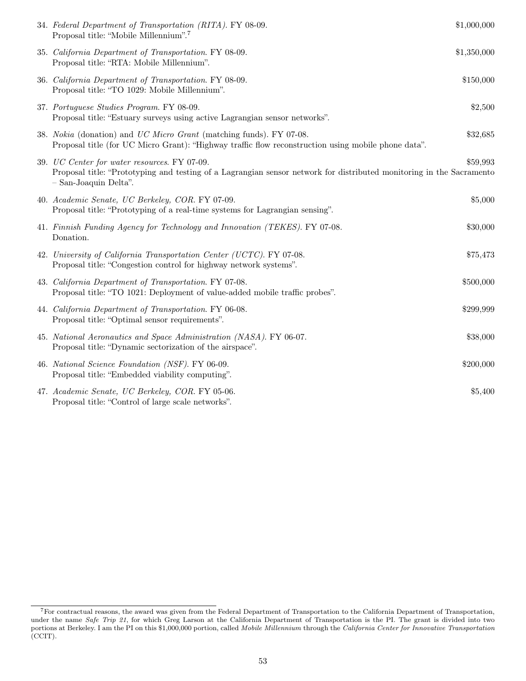| 34. Federal Department of Transportation (RITA). FY 08-09.<br>Proposal title: "Mobile Millennium". <sup>7</sup>                                                                               | \$1,000,000 |
|-----------------------------------------------------------------------------------------------------------------------------------------------------------------------------------------------|-------------|
| 35. California Department of Transportation. FY 08-09.<br>Proposal title: "RTA: Mobile Millennium".                                                                                           | \$1,350,000 |
| 36. California Department of Transportation. FY 08-09.<br>Proposal title: "TO 1029: Mobile Millennium".                                                                                       | \$150,000   |
| 37. Portuguese Studies Program. FY 08-09.<br>Proposal title: "Estuary surveys using active Lagrangian sensor networks".                                                                       | \$2,500     |
| 38. Nokia (donation) and UC Micro Grant (matching funds). FY 07-08.<br>Proposal title (for UC Micro Grant): "Highway traffic flow reconstruction using mobile phone data".                    | \$32,685    |
| 39. UC Center for water resources. FY 07-09.<br>Proposal title: "Prototyping and testing of a Lagrangian sensor network for distributed monitoring in the Sacramento<br>- San-Joaquin Delta". | \$59,993    |
| 40. Academic Senate, UC Berkeley, COR. FY 07-09.<br>Proposal title: "Prototyping of a real-time systems for Lagrangian sensing".                                                              | \$5,000     |
| 41. Finnish Funding Agency for Technology and Innovation (TEKES). FY 07-08.<br>Donation.                                                                                                      | \$30,000    |
| 42. University of California Transportation Center (UCTC). FY 07-08.<br>Proposal title: "Congestion control for highway network systems".                                                     | \$75,473    |
| 43. California Department of Transportation. FY 07-08.<br>Proposal title: "TO 1021: Deployment of value-added mobile traffic probes".                                                         | \$500,000   |
| 44. California Department of Transportation. FY 06-08.<br>Proposal title: "Optimal sensor requirements".                                                                                      | \$299,999   |
| 45. National Aeronautics and Space Administration (NASA). FY 06-07.<br>Proposal title: "Dynamic sectorization of the airspace".                                                               | \$38,000    |
| 46. National Science Foundation (NSF). FY 06-09.<br>Proposal title: "Embedded viability computing".                                                                                           | \$200,000   |
| 47. Academic Senate, UC Berkeley, COR. FY 05-06.<br>Proposal title: "Control of large scale networks".                                                                                        | \$5,400     |

<sup>7</sup>For contractual reasons, the award was given from the Federal Department of Transportation to the California Department of Transportation, under the name Safe Trip 21, for which Greg Larson at the California Department of Transportation is the PI. The grant is divided into two portions at Berkeley. I am the PI on this \$1,000,000 portion, called Mobile Millennium through the California Center for Innovative Transportation (CCIT).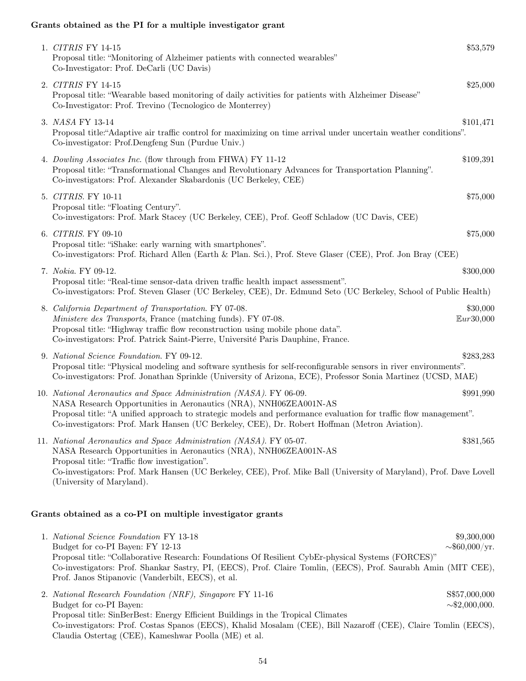### Grants obtained as the PI for a multiple investigator grant

| 1. CITRIS FY 14-15<br>Proposal title: "Monitoring of Alzheimer patients with connected wearables"<br>Co-Investigator: Prof. DeCarli (UC Davis)                                                                                                                                                                                                                | \$53,579                                 |
|---------------------------------------------------------------------------------------------------------------------------------------------------------------------------------------------------------------------------------------------------------------------------------------------------------------------------------------------------------------|------------------------------------------|
| 2. CITRIS FY 14-15<br>Proposal title: "Wearable based monitoring of daily activities for patients with Alzheimer Disease"<br>Co-Investigator: Prof. Trevino (Tecnologico de Monterrey)                                                                                                                                                                        | \$25,000                                 |
| 3. NASA FY 13-14<br>Proposal title:"Adaptive air traffic control for maximizing on time arrival under uncertain weather conditions".<br>Co-investigator: Prof.Dengfeng Sun (Purdue Univ.)                                                                                                                                                                     | \$101,471                                |
| 4. Dowling Associates Inc. (flow through from FHWA) FY 11-12<br>Proposal title: "Transformational Changes and Revolutionary Advances for Transportation Planning".<br>Co-investigators: Prof. Alexander Skabardonis (UC Berkeley, CEE)                                                                                                                        | \$109,391                                |
| 5. CITRIS. FY 10-11<br>Proposal title: "Floating Century".<br>Co-investigators: Prof. Mark Stacey (UC Berkeley, CEE), Prof. Geoff Schladow (UC Davis, CEE)                                                                                                                                                                                                    | \$75,000                                 |
| 6. CITRIS. FY 09-10<br>Proposal title: "iShake: early warning with smartphones".<br>Co-investigators: Prof. Richard Allen (Earth & Plan. Sci.), Prof. Steve Glaser (CEE), Prof. Jon Bray (CEE)                                                                                                                                                                | \$75,000                                 |
| 7. Nokia. FY 09-12.<br>Proposal title: "Real-time sensor-data driven traffic health impact assessment".<br>Co-investigators: Prof. Steven Glaser (UC Berkeley, CEE), Dr. Edmund Seto (UC Berkeley, School of Public Health)                                                                                                                                   | \$300,000                                |
| 8. California Department of Transportation. FY 07-08.<br>Ministere des Transports, France (matching funds). FY 07-08.<br>Proposal title: "Highway traffic flow reconstruction using mobile phone data".<br>Co-investigators: Prof. Patrick Saint-Pierre, Université Paris Dauphine, France.                                                                   | \$30,000<br>Eur30,000                    |
| 9. National Science Foundation. FY 09-12.<br>Proposal title: "Physical modeling and software synthesis for self-reconfigurable sensors in river environments".<br>Co-investigators: Prof. Jonathan Sprinkle (University of Arizona, ECE), Professor Sonia Martinez (UCSD, MAE)                                                                                | \$283,283                                |
| 10. National Aeronautics and Space Administration (NASA). FY 06-09.<br>NASA Research Opportunities in Aeronautics (NRA), NNH06ZEA001N-AS<br>Proposal title: "A unified approach to strategic models and performance evaluation for traffic flow management".<br>Co-investigators: Prof. Mark Hansen (UC Berkeley, CEE), Dr. Robert Hoffman (Metron Aviation). | \$991,990                                |
| 11. National Aeronautics and Space Administration (NASA). FY 05-07.<br>NASA Research Opportunities in Aeronautics (NRA), NNH06ZEA001N-AS<br>Proposal title: "Traffic flow investigation".<br>Co-investigators: Prof. Mark Hansen (UC Berkeley, CEE), Prof. Mike Ball (University of Maryland), Prof. Dave Lovell<br>(University of Maryland).                 | \$381,565                                |
| Grants obtained as a co-PI on multiple investigator grants                                                                                                                                                                                                                                                                                                    |                                          |
| 1. National Science Foundation FY 13-18<br>Budget for co-PI Bayen: FY 12-13<br>Proposal title: "Collaborative Research: Foundations Of Resilient CybEr-physical Systems (FORCES)"<br>Co-investigators: Prof. Shankar Sastry, PI, (EECS), Prof. Claire Tomlin, (EECS), Prof. Saurabh Amin (MIT CEE),<br>Prof. Janos Stipanovic (Vanderbilt, EECS), et al.      | \$9,300,000<br>$\sim $60,000/\text{yr}.$ |
| 2. National Research Foundation (NRF), Singapore FY 11-16<br>Budget for co-PI Bayen:                                                                                                                                                                                                                                                                          | S\$57,000,000<br>$\sim$ \$2,000,000.     |

Proposal title: SinBerBest: Energy Efficient Buildings in the Tropical Climates Co-investigators: Prof. Costas Spanos (EECS), Khalid Mosalam (CEE), Bill Nazaroff (CEE), Claire Tomlin (EECS), Claudia Ostertag (CEE), Kameshwar Poolla (ME) et al.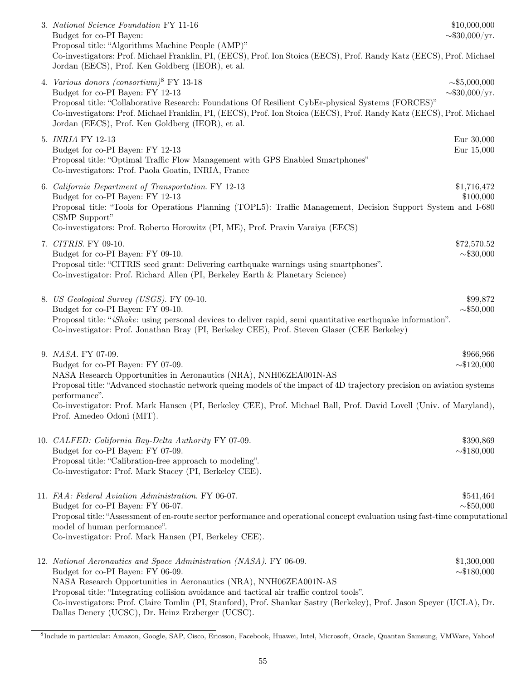| 3. National Science Foundation FY 11-16<br>Budget for co-PI Bayen:<br>Proposal title: "Algorithms Machine People (AMP)"<br>Co-investigators: Prof. Michael Franklin, PI, (EECS), Prof. Ion Stoica (EECS), Prof. Randy Katz (EECS), Prof. Michael<br>Jordan (EECS), Prof. Ken Goldberg (IEOR), et al.                                                                                                                                                        | \$10,000,000<br>$\sim $30,000/yr.$             |
|-------------------------------------------------------------------------------------------------------------------------------------------------------------------------------------------------------------------------------------------------------------------------------------------------------------------------------------------------------------------------------------------------------------------------------------------------------------|------------------------------------------------|
| 4. Various donors (consortium) <sup>8</sup> FY 13-18<br>Budget for co-PI Bayen: FY 12-13<br>Proposal title: "Collaborative Research: Foundations Of Resilient CybEr-physical Systems (FORCES)"<br>Co-investigators: Prof. Michael Franklin, PI, (EECS), Prof. Ion Stoica (EECS), Prof. Randy Katz (EECS), Prof. Michael<br>Jordan (EECS), Prof. Ken Goldberg (IEOR), et al.                                                                                 | $\sim 15,000,000$<br>$\sim $30,000/\text{yr}.$ |
| 5. INRIA FY 12-13<br>Budget for co-PI Bayen: FY 12-13<br>Proposal title: "Optimal Traffic Flow Management with GPS Enabled Smartphones"<br>Co-investigators: Prof. Paola Goatin, INRIA, France                                                                                                                                                                                                                                                              | Eur 30,000<br>Eur 15,000                       |
| 6. California Department of Transportation. FY 12-13<br>Budget for co-PI Bayen: FY 12-13<br>Proposal title: "Tools for Operations Planning (TOPL5): Traffic Management, Decision Support System and I-680<br>CSMP Support"<br>Co-investigators: Prof. Roberto Horowitz (PI, ME), Prof. Pravin Varaiya (EECS)                                                                                                                                                | \$1,716,472<br>\$100,000                       |
| 7. CITRIS. FY 09-10.<br>Budget for co-PI Bayen: FY 09-10.<br>Proposal title: "CITRIS seed grant: Delivering earthquake warnings using smartphones".<br>Co-investigator: Prof. Richard Allen (PI, Berkeley Earth & Planetary Science)                                                                                                                                                                                                                        | \$72,570.52<br>$\sim $30,000$                  |
| 8. US Geological Survey (USGS). FY 09-10.<br>Budget for co-PI Bayen: FY 09-10.<br>Proposal title: "iShake: using personal devices to deliver rapid, semi quantitative earthquake information".<br>Co-investigator: Prof. Jonathan Bray (PI, Berkeley CEE), Prof. Steven Glaser (CEE Berkeley)                                                                                                                                                               | \$99,872<br>$\sim $50,000$                     |
| 9. NASA. FY 07-09.<br>\$966,966<br>Budget for co-PI Bayen: FY 07-09.<br>$\sim $120,000$<br>NASA Research Opportunities in Aeronautics (NRA), NNH06ZEA001N-AS<br>Proposal title: "Advanced stochastic network queing models of the impact of 4D trajectory precision on aviation systems<br>performance".<br>Co-investigator: Prof. Mark Hansen (PI, Berkeley CEE), Prof. Michael Ball, Prof. David Lovell (Univ. of Maryland),<br>Prof. Amedeo Odoni (MIT). |                                                |
| 10. CALFED: California Bay-Delta Authority FY 07-09.<br>Budget for co-PI Bayen: FY 07-09.<br>Proposal title: "Calibration-free approach to modeling".<br>Co-investigator: Prof. Mark Stacey (PI, Berkeley CEE).                                                                                                                                                                                                                                             | \$390,869<br>$\sim $180,000$                   |
| 11. FAA: Federal Aviation Administration. FY 06-07.<br>Budget for co-PI Bayen: FY 06-07.<br>Proposal title: "Assessment of en-route sector performance and operational concept evaluation using fast-time computational<br>model of human performance".<br>Co-investigator: Prof. Mark Hansen (PI, Berkeley CEE).                                                                                                                                           | \$541,464<br>$\sim $50,000$                    |
| 12. National Aeronautics and Space Administration (NASA). FY 06-09.<br>Budget for co-PI Bayen: FY 06-09.<br>NASA Research Opportunities in Aeronautics (NRA), NNH06ZEA001N-AS<br>Proposal title: "Integrating collision avoidance and tactical air traffic control tools".<br>Co-investigators: Prof. Claire Tomlin (PI, Stanford), Prof. Shankar Sastry (Berkeley), Prof. Jason Speyer (UCLA), Dr.<br>Dallas Denery (UCSC), Dr. Heinz Erzberger (UCSC).    | \$1,300,000<br>$\sim $180,000$                 |

<sup>8</sup> Include in particular: Amazon, Google, SAP, Cisco, Ericsson, Facebook, Huawei, Intel, Microsoft, Oracle, Quantan Samsung, VMWare, Yahoo!